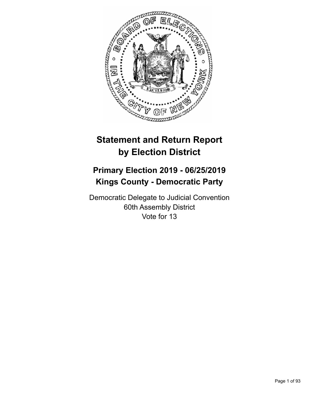

# **Statement and Return Report by Election District**

## **Primary Election 2019 - 06/25/2019 Kings County - Democratic Party**

Democratic Delegate to Judicial Convention 60th Assembly District Vote for 13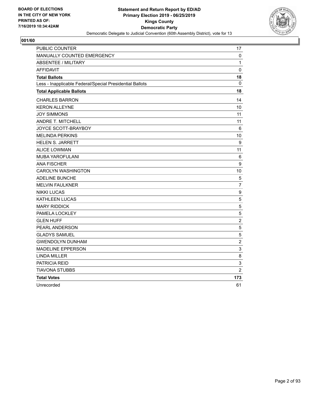

| <b>PUBLIC COUNTER</b>                                    | 17             |
|----------------------------------------------------------|----------------|
| <b>MANUALLY COUNTED EMERGENCY</b>                        | 0              |
| <b>ABSENTEE / MILITARY</b>                               | 1              |
| <b>AFFIDAVIT</b>                                         | $\mathbf 0$    |
| <b>Total Ballots</b>                                     | 18             |
| Less - Inapplicable Federal/Special Presidential Ballots | 0              |
| <b>Total Applicable Ballots</b>                          | 18             |
| <b>CHARLES BARRON</b>                                    | 14             |
| <b>KERON ALLEYNE</b>                                     | 10             |
| <b>JOY SIMMONS</b>                                       | 11             |
| ANDRE T. MITCHELL                                        | 11             |
| JOYCE SCOTT-BRAYBOY                                      | 6              |
| <b>MELINDA PERKINS</b>                                   | 10             |
| <b>HELEN S. JARRETT</b>                                  | 9              |
| <b>ALICE LOWMAN</b>                                      | 11             |
| MUBA YAROFULANI                                          | 6              |
| <b>ANA FISCHER</b>                                       | 9              |
| <b>CAROLYN WASHINGTON</b>                                | 10             |
| ADELINE BUNCHE                                           | 5              |
| <b>MELVIN FAULKNER</b>                                   | $\overline{7}$ |
| <b>NIKKI LUCAS</b>                                       | 9              |
| <b>KATHLEEN LUCAS</b>                                    | $\,$ 5 $\,$    |
| <b>MARY RIDDICK</b>                                      | 5              |
| PAMELA LOCKLEY                                           | 5              |
| <b>GLEN HUFF</b>                                         | $\overline{2}$ |
| PEARL ANDERSON                                           | 5              |
| <b>GLADYS SAMUEL</b>                                     | $\sqrt{5}$     |
| <b>GWENDOLYN DUNHAM</b>                                  | $\overline{2}$ |
| <b>MADELINE EPPERSON</b>                                 | 3              |
| <b>LINDA MILLER</b>                                      | 8              |
| PATRICIA REID                                            | 3              |
| <b>TIAVONA STUBBS</b>                                    | $\overline{2}$ |
| <b>Total Votes</b>                                       | 173            |
| Unrecorded                                               | 61             |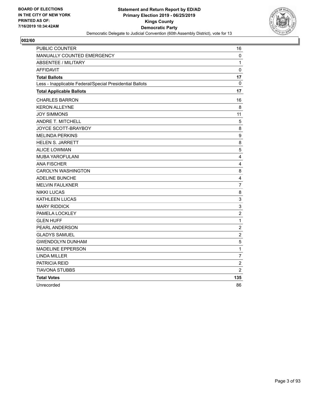

| <b>PUBLIC COUNTER</b>                                    | 16             |
|----------------------------------------------------------|----------------|
| MANUALLY COUNTED EMERGENCY                               | 0              |
| <b>ABSENTEE / MILITARY</b>                               | 1              |
| <b>AFFIDAVIT</b>                                         | 0              |
| <b>Total Ballots</b>                                     | 17             |
| Less - Inapplicable Federal/Special Presidential Ballots | 0              |
| <b>Total Applicable Ballots</b>                          | 17             |
| <b>CHARLES BARRON</b>                                    | 16             |
| <b>KERON ALLEYNE</b>                                     | 8              |
| <b>JOY SIMMONS</b>                                       | 11             |
| ANDRE T. MITCHELL                                        | 5              |
| JOYCE SCOTT-BRAYBOY                                      | 8              |
| <b>MELINDA PERKINS</b>                                   | 9              |
| <b>HELEN S. JARRETT</b>                                  | 8              |
| <b>ALICE LOWMAN</b>                                      | 5              |
| MUBA YAROFULANI                                          | $\overline{4}$ |
| <b>ANA FISCHER</b>                                       | 4              |
| <b>CAROLYN WASHINGTON</b>                                | 8              |
| ADELINE BUNCHE                                           | $\overline{4}$ |
| <b>MELVIN FAULKNER</b>                                   | $\overline{7}$ |
| <b>NIKKI LUCAS</b>                                       | 8              |
| <b>KATHLEEN LUCAS</b>                                    | $\mathsf 3$    |
| <b>MARY RIDDICK</b>                                      | 3              |
| PAMELA LOCKLEY                                           | $\overline{c}$ |
| <b>GLEN HUFF</b>                                         | $\mathbf{1}$   |
| PEARL ANDERSON                                           | $\overline{c}$ |
| <b>GLADYS SAMUEL</b>                                     | $\overline{c}$ |
| <b>GWENDOLYN DUNHAM</b>                                  | 5              |
| <b>MADELINE EPPERSON</b>                                 | $\mathbf{1}$   |
| <b>LINDA MILLER</b>                                      | $\overline{7}$ |
| PATRICIA REID                                            | $\overline{c}$ |
| <b>TIAVONA STUBBS</b>                                    | $\overline{2}$ |
| <b>Total Votes</b>                                       | 135            |
| Unrecorded                                               | 86             |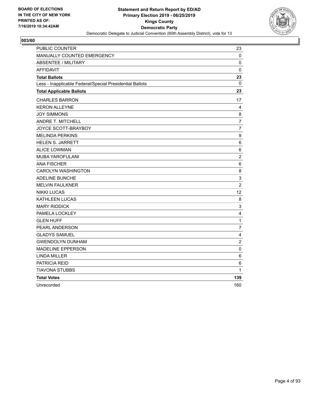

| <b>PUBLIC COUNTER</b>                                    | 23                      |
|----------------------------------------------------------|-------------------------|
| MANUALLY COUNTED EMERGENCY                               | 0                       |
| <b>ABSENTEE / MILITARY</b>                               | 0                       |
| <b>AFFIDAVIT</b>                                         | 0                       |
| <b>Total Ballots</b>                                     | 23                      |
| Less - Inapplicable Federal/Special Presidential Ballots | 0                       |
| <b>Total Applicable Ballots</b>                          | 23                      |
| <b>CHARLES BARRON</b>                                    | 17                      |
| <b>KERON ALLEYNE</b>                                     | 4                       |
| <b>JOY SIMMONS</b>                                       | 8                       |
| ANDRE T. MITCHELL                                        | $\overline{7}$          |
| JOYCE SCOTT-BRAYBOY                                      | $\overline{7}$          |
| <b>MELINDA PERKINS</b>                                   | $\boldsymbol{9}$        |
| <b>HELEN S. JARRETT</b>                                  | 6                       |
| <b>ALICE LOWMAN</b>                                      | 6                       |
| MUBA YAROFULANI                                          | $\overline{c}$          |
| <b>ANA FISCHER</b>                                       | 6                       |
| <b>CAROLYN WASHINGTON</b>                                | 8                       |
| ADELINE BUNCHE                                           | $\mathsf 3$             |
| <b>MELVIN FAULKNER</b>                                   | $\overline{2}$          |
| <b>NIKKI LUCAS</b>                                       | 12                      |
| <b>KATHLEEN LUCAS</b>                                    | 8                       |
| <b>MARY RIDDICK</b>                                      | $\mathsf 3$             |
| PAMELA LOCKLEY                                           | 4                       |
| <b>GLEN HUFF</b>                                         | $\mathbf{1}$            |
| PEARL ANDERSON                                           | $\overline{7}$          |
| <b>GLADYS SAMUEL</b>                                     | $\overline{\mathbf{4}}$ |
| <b>GWENDOLYN DUNHAM</b>                                  | $\overline{c}$          |
| <b>MADELINE EPPERSON</b>                                 | 0                       |
| <b>LINDA MILLER</b>                                      | 6                       |
| PATRICIA REID                                            | 6                       |
| <b>TIAVONA STUBBS</b>                                    | 1                       |
| <b>Total Votes</b>                                       | 139                     |
| Unrecorded                                               | 160                     |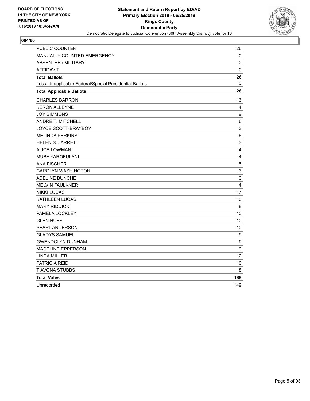

| <b>PUBLIC COUNTER</b>                                    | 26                      |
|----------------------------------------------------------|-------------------------|
| <b>MANUALLY COUNTED EMERGENCY</b>                        | 0                       |
| <b>ABSENTEE / MILITARY</b>                               | 0                       |
| <b>AFFIDAVIT</b>                                         | $\mathbf 0$             |
| <b>Total Ballots</b>                                     | 26                      |
| Less - Inapplicable Federal/Special Presidential Ballots | 0                       |
| <b>Total Applicable Ballots</b>                          | 26                      |
| <b>CHARLES BARRON</b>                                    | 13                      |
| <b>KERON ALLEYNE</b>                                     | 4                       |
| <b>JOY SIMMONS</b>                                       | 9                       |
| ANDRE T. MITCHELL                                        | 6                       |
| JOYCE SCOTT-BRAYBOY                                      | $\mathsf 3$             |
| <b>MELINDA PERKINS</b>                                   | 6                       |
| <b>HELEN S. JARRETT</b>                                  | $\mathsf 3$             |
| <b>ALICE LOWMAN</b>                                      | $\overline{\mathbf{4}}$ |
| MUBA YAROFULANI                                          | $\overline{4}$          |
| <b>ANA FISCHER</b>                                       | $\sqrt{5}$              |
| <b>CAROLYN WASHINGTON</b>                                | 3                       |
| ADELINE BUNCHE                                           | $\mathsf 3$             |
| <b>MELVIN FAULKNER</b>                                   | $\overline{4}$          |
| <b>NIKKI LUCAS</b>                                       | 17                      |
| <b>KATHLEEN LUCAS</b>                                    | 10                      |
| <b>MARY RIDDICK</b>                                      | $\,8\,$                 |
| PAMELA LOCKLEY                                           | 10                      |
| <b>GLEN HUFF</b>                                         | 10                      |
| PEARL ANDERSON                                           | 10                      |
| <b>GLADYS SAMUEL</b>                                     | 9                       |
| <b>GWENDOLYN DUNHAM</b>                                  | 9                       |
| <b>MADELINE EPPERSON</b>                                 | 9                       |
| <b>LINDA MILLER</b>                                      | $12 \overline{ }$       |
| PATRICIA REID                                            | 10                      |
| <b>TIAVONA STUBBS</b>                                    | 8                       |
| <b>Total Votes</b>                                       | 189                     |
| Unrecorded                                               | 149                     |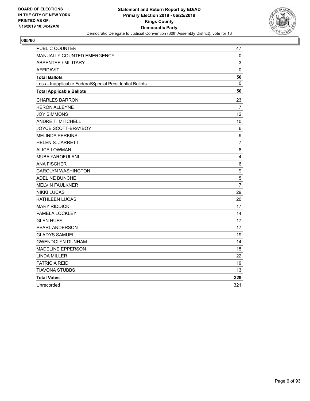

| PUBLIC COUNTER                                           | 47               |
|----------------------------------------------------------|------------------|
| MANUALLY COUNTED EMERGENCY                               | 0                |
| <b>ABSENTEE / MILITARY</b>                               | 3                |
| <b>AFFIDAVIT</b>                                         | $\mathbf 0$      |
| <b>Total Ballots</b>                                     | 50               |
| Less - Inapplicable Federal/Special Presidential Ballots | $\mathbf{0}$     |
| <b>Total Applicable Ballots</b>                          | 50               |
| <b>CHARLES BARRON</b>                                    | 23               |
| <b>KERON ALLEYNE</b>                                     | 7                |
| <b>JOY SIMMONS</b>                                       | 12               |
| <b>ANDRE T. MITCHELL</b>                                 | 10               |
| JOYCE SCOTT-BRAYBOY                                      | 6                |
| <b>MELINDA PERKINS</b>                                   | $\boldsymbol{9}$ |
| <b>HELEN S. JARRETT</b>                                  | $\overline{7}$   |
| <b>ALICE LOWMAN</b>                                      | 8                |
| MUBA YAROFULANI                                          | $\overline{4}$   |
| <b>ANA FISCHER</b>                                       | 6                |
| <b>CAROLYN WASHINGTON</b>                                | 9                |
| ADELINE BUNCHE                                           | $\sqrt{5}$       |
| <b>MELVIN FAULKNER</b>                                   | $\overline{7}$   |
| <b>NIKKI LUCAS</b>                                       | 29               |
| KATHLEEN LUCAS                                           | 20               |
| <b>MARY RIDDICK</b>                                      | 17               |
| PAMELA LOCKLEY                                           | 14               |
| <b>GLEN HUFF</b>                                         | 17               |
| PEARL ANDERSON                                           | 17               |
| <b>GLADYS SAMUEL</b>                                     | 19               |
| <b>GWENDOLYN DUNHAM</b>                                  | 14               |
| <b>MADELINE EPPERSON</b>                                 | 15               |
| <b>LINDA MILLER</b>                                      | 22               |
| PATRICIA REID                                            | 19               |
| <b>TIAVONA STUBBS</b>                                    | 13               |
| <b>Total Votes</b>                                       | 329              |
| Unrecorded                                               | 321              |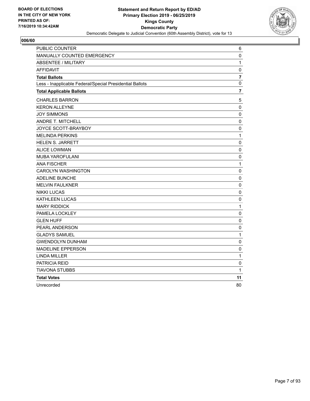

| PUBLIC COUNTER                                           | 6              |
|----------------------------------------------------------|----------------|
| MANUALLY COUNTED EMERGENCY                               | $\pmb{0}$      |
| <b>ABSENTEE / MILITARY</b>                               | 1              |
| <b>AFFIDAVIT</b>                                         | 0              |
| <b>Total Ballots</b>                                     | $\overline{7}$ |
| Less - Inapplicable Federal/Special Presidential Ballots | $\mathbf 0$    |
| <b>Total Applicable Ballots</b>                          | 7              |
| <b>CHARLES BARRON</b>                                    | 5              |
| <b>KERON ALLEYNE</b>                                     | $\mathbf 0$    |
| <b>JOY SIMMONS</b>                                       | 0              |
| <b>ANDRE T. MITCHELL</b>                                 | 0              |
| JOYCE SCOTT-BRAYBOY                                      | $\pmb{0}$      |
| <b>MELINDA PERKINS</b>                                   | $\mathbf{1}$   |
| <b>HELEN S. JARRETT</b>                                  | $\mathbf 0$    |
| <b>ALICE LOWMAN</b>                                      | $\pmb{0}$      |
| MUBA YAROFULANI                                          | 0              |
| <b>ANA FISCHER</b>                                       | 1              |
| <b>CAROLYN WASHINGTON</b>                                | 0              |
| <b>ADELINE BUNCHE</b>                                    | $\mathbf 0$    |
| <b>MELVIN FAULKNER</b>                                   | $\pmb{0}$      |
| <b>NIKKI LUCAS</b>                                       | 0              |
| KATHLEEN LUCAS                                           | 0              |
| <b>MARY RIDDICK</b>                                      | $\mathbf{1}$   |
| PAMELA LOCKLEY                                           | 0              |
| <b>GLEN HUFF</b>                                         | $\pmb{0}$      |
| PEARL ANDERSON                                           | $\mathbf 0$    |
| <b>GLADYS SAMUEL</b>                                     | 1              |
| <b>GWENDOLYN DUNHAM</b>                                  | 0              |
| <b>MADELINE EPPERSON</b>                                 | 0              |
| <b>LINDA MILLER</b>                                      | $\mathbf{1}$   |
| PATRICIA REID                                            | $\mathbf 0$    |
| TIAVONA STUBBS                                           | 1              |
| <b>Total Votes</b>                                       | 11             |
| Unrecorded                                               | 80             |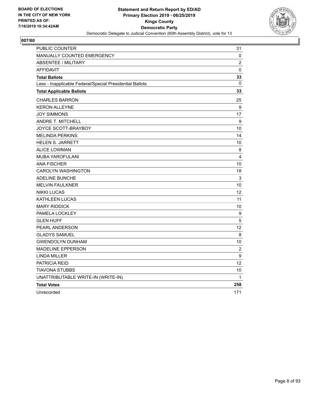

| <b>PUBLIC COUNTER</b>                                    | 31             |
|----------------------------------------------------------|----------------|
| <b>MANUALLY COUNTED EMERGENCY</b>                        | 0              |
| ABSENTEE / MILITARY                                      | $\overline{c}$ |
| <b>AFFIDAVIT</b>                                         | $\mathbf{0}$   |
| <b>Total Ballots</b>                                     | 33             |
| Less - Inapplicable Federal/Special Presidential Ballots | $\Omega$       |
| <b>Total Applicable Ballots</b>                          | 33             |
| <b>CHARLES BARRON</b>                                    | 25             |
| <b>KERON ALLEYNE</b>                                     | 9              |
| <b>JOY SIMMONS</b>                                       | 17             |
| ANDRE T. MITCHELL                                        | 9              |
| JOYCE SCOTT-BRAYBOY                                      | 10             |
| <b>MELINDA PERKINS</b>                                   | 14             |
| <b>HELEN S. JARRETT</b>                                  | 10             |
| <b>ALICE LOWMAN</b>                                      | 8              |
| <b>MUBA YAROFULANI</b>                                   | 4              |
| <b>ANA FISCHER</b>                                       | 10             |
| <b>CAROLYN WASHINGTON</b>                                | 18             |
| <b>ADELINE BUNCHE</b>                                    | $\mathsf 3$    |
| <b>MELVIN FAULKNER</b>                                   | 10             |
| <b>NIKKI LUCAS</b>                                       | 12             |
| KATHLEEN LUCAS                                           | 11             |
| <b>MARY RIDDICK</b>                                      | 10             |
| PAMELA LOCKLEY                                           | 9              |
| <b>GLEN HUFF</b>                                         | 5              |
| PEARL ANDERSON                                           | 12             |
| <b>GLADYS SAMUEL</b>                                     | 8              |
| <b>GWENDOLYN DUNHAM</b>                                  | 10             |
| <b>MADELINE EPPERSON</b>                                 | 2              |
| <b>LINDA MILLER</b>                                      | 9              |
| <b>PATRICIA REID</b>                                     | 12             |
| TIAVONA STUBBS                                           | 10             |
| UNATTRIBUTABLE WRITE-IN (WRITE-IN)                       | $\mathbf{1}$   |
| <b>Total Votes</b>                                       | 258            |
| Unrecorded                                               | 171            |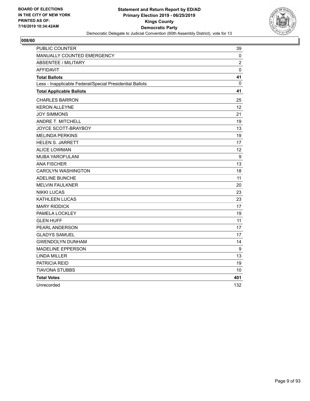

| <b>PUBLIC COUNTER</b>                                    | 39                |
|----------------------------------------------------------|-------------------|
| MANUALLY COUNTED EMERGENCY                               | 0                 |
| <b>ABSENTEE / MILITARY</b>                               | $\overline{2}$    |
| <b>AFFIDAVIT</b>                                         | $\mathbf 0$       |
| <b>Total Ballots</b>                                     | 41                |
| Less - Inapplicable Federal/Special Presidential Ballots | 0                 |
| <b>Total Applicable Ballots</b>                          | 41                |
| <b>CHARLES BARRON</b>                                    | 25                |
| <b>KERON ALLEYNE</b>                                     | $12 \overline{ }$ |
| <b>JOY SIMMONS</b>                                       | 21                |
| <b>ANDRE T. MITCHELL</b>                                 | 19                |
| JOYCE SCOTT-BRAYBOY                                      | 13                |
| <b>MELINDA PERKINS</b>                                   | 19                |
| <b>HELEN S. JARRETT</b>                                  | 17                |
| <b>ALICE LOWMAN</b>                                      | 12                |
| <b>MUBA YAROFULANI</b>                                   | $\boldsymbol{9}$  |
| <b>ANA FISCHER</b>                                       | 13                |
| <b>CAROLYN WASHINGTON</b>                                | 18                |
| <b>ADELINE BUNCHE</b>                                    | 11                |
| <b>MELVIN FAULKNER</b>                                   | 20                |
| <b>NIKKI LUCAS</b>                                       | 23                |
| <b>KATHLEEN LUCAS</b>                                    | 23                |
| <b>MARY RIDDICK</b>                                      | 17                |
| PAMELA LOCKLEY                                           | 19                |
| <b>GLEN HUFF</b>                                         | 11                |
| PEARL ANDERSON                                           | 17                |
| <b>GLADYS SAMUEL</b>                                     | 17                |
| <b>GWENDOLYN DUNHAM</b>                                  | 14                |
| <b>MADELINE EPPERSON</b>                                 | 9                 |
| <b>LINDA MILLER</b>                                      | 13                |
| PATRICIA REID                                            | 19                |
| <b>TIAVONA STUBBS</b>                                    | 10                |
| <b>Total Votes</b>                                       | 401               |
| Unrecorded                                               | 132               |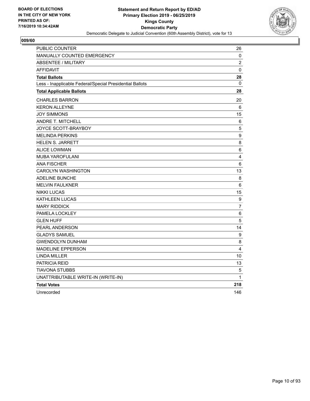

| PUBLIC COUNTER                                           | 26               |
|----------------------------------------------------------|------------------|
| MANUALLY COUNTED EMERGENCY                               | 0                |
| <b>ABSENTEE / MILITARY</b>                               | $\overline{c}$   |
| <b>AFFIDAVIT</b>                                         | $\pmb{0}$        |
| <b>Total Ballots</b>                                     | 28               |
| Less - Inapplicable Federal/Special Presidential Ballots | 0                |
| <b>Total Applicable Ballots</b>                          | 28               |
| <b>CHARLES BARRON</b>                                    | 20               |
| <b>KERON ALLEYNE</b>                                     | 6                |
| <b>JOY SIMMONS</b>                                       | 15               |
| <b>ANDRE T. MITCHELL</b>                                 | 6                |
| JOYCE SCOTT-BRAYBOY                                      | $\mathbf 5$      |
| <b>MELINDA PERKINS</b>                                   | 9                |
| <b>HELEN S. JARRETT</b>                                  | 8                |
| <b>ALICE LOWMAN</b>                                      | 6                |
| <b>MUBA YAROFULANI</b>                                   | 4                |
| <b>ANA FISCHER</b>                                       | 6                |
| <b>CAROLYN WASHINGTON</b>                                | 13               |
| <b>ADELINE BUNCHE</b>                                    | 8                |
| <b>MELVIN FAULKNER</b>                                   | 6                |
| <b>NIKKI LUCAS</b>                                       | 15               |
| <b>KATHLEEN LUCAS</b>                                    | $\boldsymbol{9}$ |
| <b>MARY RIDDICK</b>                                      | $\overline{7}$   |
| PAMELA LOCKLEY                                           | $\,6\,$          |
| <b>GLEN HUFF</b>                                         | $\sqrt{5}$       |
| PEARL ANDERSON                                           | 14               |
| <b>GLADYS SAMUEL</b>                                     | 9                |
| <b>GWENDOLYN DUNHAM</b>                                  | 8                |
| <b>MADELINE EPPERSON</b>                                 | 4                |
| <b>LINDA MILLER</b>                                      | 10               |
| <b>PATRICIA REID</b>                                     | 13               |
| TIAVONA STUBBS                                           | 5                |
| UNATTRIBUTABLE WRITE-IN (WRITE-IN)                       | 1                |
| <b>Total Votes</b>                                       | 218              |
| Unrecorded                                               | 146              |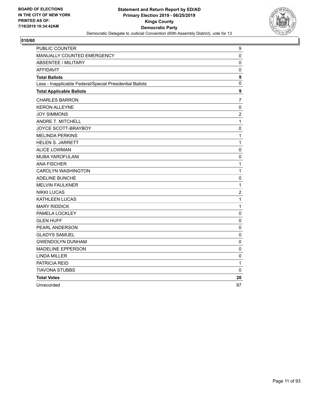

| PUBLIC COUNTER                                           | 9                |
|----------------------------------------------------------|------------------|
| MANUALLY COUNTED EMERGENCY                               | 0                |
| <b>ABSENTEE / MILITARY</b>                               | $\mathbf 0$      |
| <b>AFFIDAVIT</b>                                         | $\pmb{0}$        |
| <b>Total Ballots</b>                                     | 9                |
| Less - Inapplicable Federal/Special Presidential Ballots | 0                |
| <b>Total Applicable Ballots</b>                          | $\boldsymbol{9}$ |
| <b>CHARLES BARRON</b>                                    | $\overline{7}$   |
| <b>KERON ALLEYNE</b>                                     | $\pmb{0}$        |
| <b>JOY SIMMONS</b>                                       | $\overline{c}$   |
| ANDRE T. MITCHELL                                        | 1                |
| JOYCE SCOTT-BRAYBOY                                      | 0                |
| <b>MELINDA PERKINS</b>                                   | 1                |
| <b>HELEN S. JARRETT</b>                                  | 1                |
| <b>ALICE LOWMAN</b>                                      | $\mathbf 0$      |
| <b>MUBA YAROFULANI</b>                                   | $\pmb{0}$        |
| <b>ANA FISCHER</b>                                       | 1                |
| <b>CAROLYN WASHINGTON</b>                                | $\mathbf 1$      |
| <b>ADELINE BUNCHE</b>                                    | $\pmb{0}$        |
| <b>MELVIN FAULKNER</b>                                   | $\mathbf 1$      |
| <b>NIKKI LUCAS</b>                                       | $\overline{c}$   |
| KATHLEEN LUCAS                                           | 1                |
| <b>MARY RIDDICK</b>                                      | $\mathbf{1}$     |
| PAMELA LOCKLEY                                           | 0                |
| <b>GLEN HUFF</b>                                         | $\pmb{0}$        |
| PEARL ANDERSON                                           | $\mathbf 0$      |
| <b>GLADYS SAMUEL</b>                                     | 0                |
| <b>GWENDOLYN DUNHAM</b>                                  | 0                |
| <b>MADELINE EPPERSON</b>                                 | 0                |
| <b>LINDA MILLER</b>                                      | 0                |
| PATRICIA REID                                            | 1                |
| <b>TIAVONA STUBBS</b>                                    | 0                |
| <b>Total Votes</b>                                       | 20               |
| Unrecorded                                               | 97               |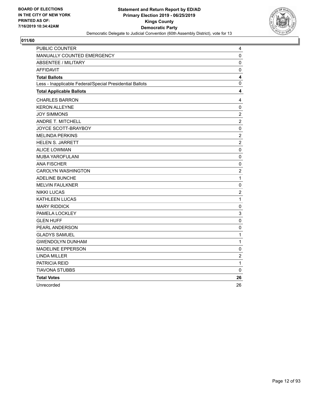

| <b>PUBLIC COUNTER</b>                                    | 4                |
|----------------------------------------------------------|------------------|
| MANUALLY COUNTED EMERGENCY                               | 0                |
| <b>ABSENTEE / MILITARY</b>                               | 0                |
| <b>AFFIDAVIT</b>                                         | 0                |
| <b>Total Ballots</b>                                     | 4                |
| Less - Inapplicable Federal/Special Presidential Ballots | 0                |
| <b>Total Applicable Ballots</b>                          | 4                |
| <b>CHARLES BARRON</b>                                    | 4                |
| <b>KERON ALLEYNE</b>                                     | $\pmb{0}$        |
| <b>JOY SIMMONS</b>                                       | $\overline{c}$   |
| ANDRE T. MITCHELL                                        | $\overline{2}$   |
| JOYCE SCOTT-BRAYBOY                                      | $\pmb{0}$        |
| <b>MELINDA PERKINS</b>                                   | $\boldsymbol{2}$ |
| <b>HELEN S. JARRETT</b>                                  | $\overline{2}$   |
| <b>ALICE LOWMAN</b>                                      | $\pmb{0}$        |
| MUBA YAROFULANI                                          | $\mathbf 0$      |
| <b>ANA FISCHER</b>                                       | $\pmb{0}$        |
| <b>CAROLYN WASHINGTON</b>                                | $\sqrt{2}$       |
| ADELINE BUNCHE                                           | $\mathbf 1$      |
| <b>MELVIN FAULKNER</b>                                   | $\pmb{0}$        |
| <b>NIKKI LUCAS</b>                                       | $\overline{c}$   |
| <b>KATHLEEN LUCAS</b>                                    | $\mathbf{1}$     |
| <b>MARY RIDDICK</b>                                      | $\pmb{0}$        |
| PAMELA LOCKLEY                                           | 3                |
| <b>GLEN HUFF</b>                                         | $\mathbf 0$      |
| PEARL ANDERSON                                           | 0                |
| <b>GLADYS SAMUEL</b>                                     | $\mathbf{1}$     |
| <b>GWENDOLYN DUNHAM</b>                                  | 1                |
| <b>MADELINE EPPERSON</b>                                 | 0                |
| <b>LINDA MILLER</b>                                      | $\boldsymbol{2}$ |
| PATRICIA REID                                            | $\mathbf{1}$     |
| <b>TIAVONA STUBBS</b>                                    | 0                |
| <b>Total Votes</b>                                       | 26               |
| Unrecorded                                               | 26               |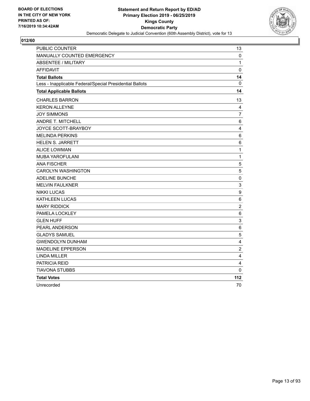

| PUBLIC COUNTER                                           | 13                      |
|----------------------------------------------------------|-------------------------|
| MANUALLY COUNTED EMERGENCY                               | 0                       |
| <b>ABSENTEE / MILITARY</b>                               | 1                       |
| <b>AFFIDAVIT</b>                                         | 0                       |
| <b>Total Ballots</b>                                     | 14                      |
| Less - Inapplicable Federal/Special Presidential Ballots | 0                       |
| <b>Total Applicable Ballots</b>                          | 14                      |
| <b>CHARLES BARRON</b>                                    | 13                      |
| <b>KERON ALLEYNE</b>                                     | 4                       |
| <b>JOY SIMMONS</b>                                       | $\overline{7}$          |
| <b>ANDRE T. MITCHELL</b>                                 | 6                       |
| JOYCE SCOTT-BRAYBOY                                      | $\overline{\mathbf{4}}$ |
| <b>MELINDA PERKINS</b>                                   | $\,6\,$                 |
| <b>HELEN S. JARRETT</b>                                  | $\,6$                   |
| <b>ALICE LOWMAN</b>                                      | $\mathbf{1}$            |
| MUBA YAROFULANI                                          | $\mathbf 1$             |
| <b>ANA FISCHER</b>                                       | 5                       |
| <b>CAROLYN WASHINGTON</b>                                | 5                       |
| <b>ADELINE BUNCHE</b>                                    | $\mathbf 0$             |
| <b>MELVIN FAULKNER</b>                                   | 3                       |
| <b>NIKKI LUCAS</b>                                       | 9                       |
| <b>KATHLEEN LUCAS</b>                                    | 6                       |
| <b>MARY RIDDICK</b>                                      | $\overline{c}$          |
| PAMELA LOCKLEY                                           | 6                       |
| <b>GLEN HUFF</b>                                         | 3                       |
| PEARL ANDERSON                                           | 6                       |
| <b>GLADYS SAMUEL</b>                                     | 5                       |
| <b>GWENDOLYN DUNHAM</b>                                  | 4                       |
| <b>MADELINE EPPERSON</b>                                 | $\boldsymbol{2}$        |
| <b>LINDA MILLER</b>                                      | $\overline{\mathbf{4}}$ |
| PATRICIA REID                                            | 4                       |
| <b>TIAVONA STUBBS</b>                                    | 0                       |
| <b>Total Votes</b>                                       | 112                     |
| Unrecorded                                               | 70                      |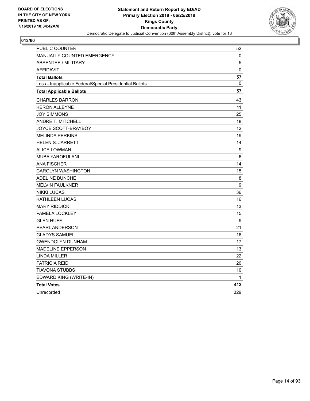

| PUBLIC COUNTER                                           | 52           |
|----------------------------------------------------------|--------------|
| <b>MANUALLY COUNTED EMERGENCY</b>                        | 0            |
| <b>ABSENTEE / MILITARY</b>                               | 5            |
| <b>AFFIDAVIT</b>                                         | 0            |
| <b>Total Ballots</b>                                     | 57           |
| Less - Inapplicable Federal/Special Presidential Ballots | 0            |
| <b>Total Applicable Ballots</b>                          | 57           |
| <b>CHARLES BARRON</b>                                    | 43           |
| <b>KERON ALLEYNE</b>                                     | 11           |
| <b>JOY SIMMONS</b>                                       | 25           |
| <b>ANDRE T. MITCHELL</b>                                 | 18           |
| JOYCE SCOTT-BRAYBOY                                      | 12           |
| <b>MELINDA PERKINS</b>                                   | 19           |
| <b>HELEN S. JARRETT</b>                                  | 14           |
| <b>ALICE LOWMAN</b>                                      | 9            |
| <b>MUBA YAROFULANI</b>                                   | 6            |
| <b>ANA FISCHER</b>                                       | 14           |
| <b>CAROLYN WASHINGTON</b>                                | 15           |
| <b>ADELINE BUNCHE</b>                                    | 8            |
| <b>MELVIN FAULKNER</b>                                   | 9            |
| <b>NIKKI LUCAS</b>                                       | 36           |
| KATHLEEN LUCAS                                           | 16           |
| <b>MARY RIDDICK</b>                                      | 13           |
| PAMELA LOCKLEY                                           | 15           |
| <b>GLEN HUFF</b>                                         | 9            |
| PEARL ANDERSON                                           | 21           |
| <b>GLADYS SAMUEL</b>                                     | 16           |
| <b>GWENDOLYN DUNHAM</b>                                  | 17           |
| <b>MADELINE EPPERSON</b>                                 | 13           |
| <b>LINDA MILLER</b>                                      | 22           |
| <b>PATRICIA REID</b>                                     | 20           |
| <b>TIAVONA STUBBS</b>                                    | 10           |
| EDWARD KING (WRITE-IN)                                   | $\mathbf{1}$ |
| <b>Total Votes</b>                                       | 412          |
| Unrecorded                                               | 329          |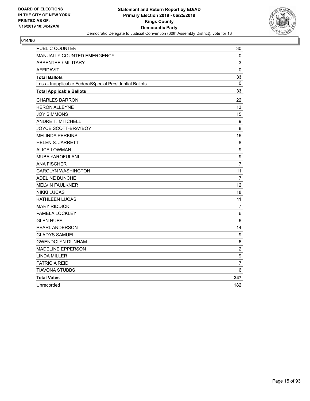

| <b>PUBLIC COUNTER</b>                                    | 30               |
|----------------------------------------------------------|------------------|
| <b>MANUALLY COUNTED EMERGENCY</b>                        | 0                |
| <b>ABSENTEE / MILITARY</b>                               | 3                |
| <b>AFFIDAVIT</b>                                         | $\mathbf 0$      |
| <b>Total Ballots</b>                                     | 33               |
| Less - Inapplicable Federal/Special Presidential Ballots | 0                |
| <b>Total Applicable Ballots</b>                          | 33               |
| <b>CHARLES BARRON</b>                                    | 22               |
| <b>KERON ALLEYNE</b>                                     | 13               |
| <b>JOY SIMMONS</b>                                       | 15               |
| ANDRE T. MITCHELL                                        | 9                |
| JOYCE SCOTT-BRAYBOY                                      | 8                |
| <b>MELINDA PERKINS</b>                                   | 16               |
| <b>HELEN S. JARRETT</b>                                  | 8                |
| <b>ALICE LOWMAN</b>                                      | 9                |
| MUBA YAROFULANI                                          | 9                |
| <b>ANA FISCHER</b>                                       | 7                |
| <b>CAROLYN WASHINGTON</b>                                | 11               |
| ADELINE BUNCHE                                           | 7                |
| <b>MELVIN FAULKNER</b>                                   | 12               |
| <b>NIKKI LUCAS</b>                                       | 18               |
| <b>KATHLEEN LUCAS</b>                                    | 11               |
| <b>MARY RIDDICK</b>                                      | $\overline{7}$   |
| PAMELA LOCKLEY                                           | 6                |
| <b>GLEN HUFF</b>                                         | 6                |
| PEARL ANDERSON                                           | 14               |
| <b>GLADYS SAMUEL</b>                                     | 9                |
| <b>GWENDOLYN DUNHAM</b>                                  | 6                |
| <b>MADELINE EPPERSON</b>                                 | $\overline{c}$   |
| <b>LINDA MILLER</b>                                      | $\boldsymbol{9}$ |
| PATRICIA REID                                            | $\overline{7}$   |
| <b>TIAVONA STUBBS</b>                                    | 6                |
| <b>Total Votes</b>                                       | 247              |
| Unrecorded                                               | 182              |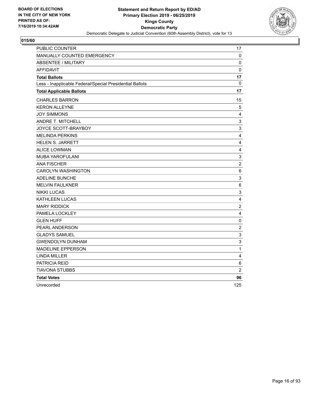

| PUBLIC COUNTER                                           | 17                        |
|----------------------------------------------------------|---------------------------|
| MANUALLY COUNTED EMERGENCY                               | 0                         |
| <b>ABSENTEE / MILITARY</b>                               | 0                         |
| <b>AFFIDAVIT</b>                                         | $\mathbf 0$               |
| <b>Total Ballots</b>                                     | 17                        |
| Less - Inapplicable Federal/Special Presidential Ballots | $\mathbf{0}$              |
| <b>Total Applicable Ballots</b>                          | 17                        |
| <b>CHARLES BARRON</b>                                    | 15                        |
| <b>KERON ALLEYNE</b>                                     | 5                         |
| <b>JOY SIMMONS</b>                                       | 4                         |
| ANDRE T. MITCHELL                                        | $\ensuremath{\mathsf{3}}$ |
| JOYCE SCOTT-BRAYBOY                                      | 3                         |
| <b>MELINDA PERKINS</b>                                   | $\overline{\mathbf{4}}$   |
| <b>HELEN S. JARRETT</b>                                  | $\overline{\mathbf{4}}$   |
| <b>ALICE LOWMAN</b>                                      | $\overline{\mathbf{4}}$   |
| MUBA YAROFULANI                                          | $\ensuremath{\mathsf{3}}$ |
| <b>ANA FISCHER</b>                                       | $\overline{2}$            |
| <b>CAROLYN WASHINGTON</b>                                | 6                         |
| <b>ADELINE BUNCHE</b>                                    | 3                         |
| <b>MELVIN FAULKNER</b>                                   | 6                         |
| <b>NIKKI LUCAS</b>                                       | 3                         |
| KATHLEEN LUCAS                                           | 4                         |
| <b>MARY RIDDICK</b>                                      | $\sqrt{2}$                |
| PAMELA LOCKLEY                                           | 4                         |
| <b>GLEN HUFF</b>                                         | $\pmb{0}$                 |
| PEARL ANDERSON                                           | $\overline{c}$            |
| <b>GLADYS SAMUEL</b>                                     | $\ensuremath{\mathsf{3}}$ |
| <b>GWENDOLYN DUNHAM</b>                                  | $\mathsf 3$               |
| <b>MADELINE EPPERSON</b>                                 | 1                         |
| <b>LINDA MILLER</b>                                      | 4                         |
| PATRICIA REID                                            | 6                         |
| TIAVONA STUBBS                                           | $\overline{2}$            |
| <b>Total Votes</b>                                       | 96                        |
| Unrecorded                                               | 125                       |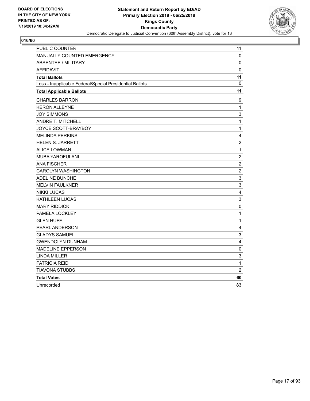

| PUBLIC COUNTER                                           | 11                      |
|----------------------------------------------------------|-------------------------|
| MANUALLY COUNTED EMERGENCY                               | 0                       |
| <b>ABSENTEE / MILITARY</b>                               | 0                       |
| <b>AFFIDAVIT</b>                                         | $\mathbf 0$             |
| <b>Total Ballots</b>                                     | 11                      |
| Less - Inapplicable Federal/Special Presidential Ballots | $\mathbf 0$             |
| <b>Total Applicable Ballots</b>                          | 11                      |
| <b>CHARLES BARRON</b>                                    | 9                       |
| <b>KERON ALLEYNE</b>                                     | $\mathbf{1}$            |
| <b>JOY SIMMONS</b>                                       | 3                       |
| <b>ANDRE T. MITCHELL</b>                                 | $\mathbf{1}$            |
| JOYCE SCOTT-BRAYBOY                                      | $\mathbf{1}$            |
| <b>MELINDA PERKINS</b>                                   | 4                       |
| <b>HELEN S. JARRETT</b>                                  | $\overline{c}$          |
| <b>ALICE LOWMAN</b>                                      | $\mathbf{1}$            |
| <b>MUBA YAROFULANI</b>                                   | $\overline{c}$          |
| <b>ANA FISCHER</b>                                       | $\overline{2}$          |
| <b>CAROLYN WASHINGTON</b>                                | $\boldsymbol{2}$        |
| <b>ADELINE BUNCHE</b>                                    | 3                       |
| <b>MELVIN FAULKNER</b>                                   | 3                       |
| <b>NIKKI LUCAS</b>                                       | $\overline{\mathbf{4}}$ |
| KATHLEEN LUCAS                                           | $\mathsf 3$             |
| <b>MARY RIDDICK</b>                                      | $\mathbf 0$             |
| PAMELA LOCKLEY                                           | 1                       |
| <b>GLEN HUFF</b>                                         | $\mathbf{1}$            |
| PEARL ANDERSON                                           | $\overline{4}$          |
| <b>GLADYS SAMUEL</b>                                     | 3                       |
| <b>GWENDOLYN DUNHAM</b>                                  | 4                       |
| <b>MADELINE EPPERSON</b>                                 | 0                       |
| <b>LINDA MILLER</b>                                      | 3                       |
| PATRICIA REID                                            | 1                       |
| <b>TIAVONA STUBBS</b>                                    | $\overline{c}$          |
| <b>Total Votes</b>                                       | 60                      |
| Unrecorded                                               | 83                      |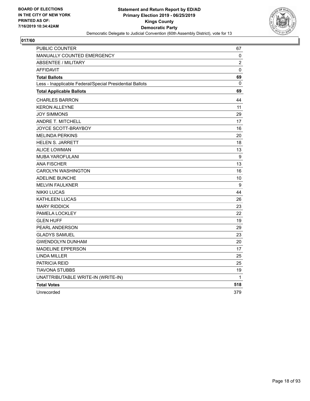

| PUBLIC COUNTER                                           | 67               |
|----------------------------------------------------------|------------------|
| <b>MANUALLY COUNTED EMERGENCY</b>                        | 0                |
| <b>ABSENTEE / MILITARY</b>                               | $\overline{c}$   |
| <b>AFFIDAVIT</b>                                         | 0                |
| <b>Total Ballots</b>                                     | 69               |
| Less - Inapplicable Federal/Special Presidential Ballots | $\mathbf{0}$     |
| <b>Total Applicable Ballots</b>                          | 69               |
| <b>CHARLES BARRON</b>                                    | 44               |
| <b>KERON ALLEYNE</b>                                     | 11               |
| <b>JOY SIMMONS</b>                                       | 29               |
| ANDRE T. MITCHELL                                        | 17               |
| JOYCE SCOTT-BRAYBOY                                      | 16               |
| <b>MELINDA PERKINS</b>                                   | 20               |
| <b>HELEN S. JARRETT</b>                                  | 18               |
| <b>ALICE LOWMAN</b>                                      | 13               |
| <b>MUBA YAROFULANI</b>                                   | 9                |
| <b>ANA FISCHER</b>                                       | 13               |
| <b>CAROLYN WASHINGTON</b>                                | 16               |
| <b>ADELINE BUNCHE</b>                                    | 10               |
| <b>MELVIN FAULKNER</b>                                   | $\boldsymbol{9}$ |
| <b>NIKKI LUCAS</b>                                       | 44               |
| KATHLEEN LUCAS                                           | 26               |
| <b>MARY RIDDICK</b>                                      | 23               |
| PAMELA LOCKLEY                                           | 22               |
| <b>GLEN HUFF</b>                                         | 19               |
| PEARL ANDERSON                                           | 29               |
| <b>GLADYS SAMUEL</b>                                     | 23               |
| <b>GWENDOLYN DUNHAM</b>                                  | 20               |
| <b>MADELINE EPPERSON</b>                                 | 17               |
| <b>LINDA MILLER</b>                                      | 25               |
| <b>PATRICIA REID</b>                                     | 25               |
| TIAVONA STUBBS                                           | 19               |
| UNATTRIBUTABLE WRITE-IN (WRITE-IN)                       | 1                |
| <b>Total Votes</b>                                       | 518              |
| Unrecorded                                               | 379              |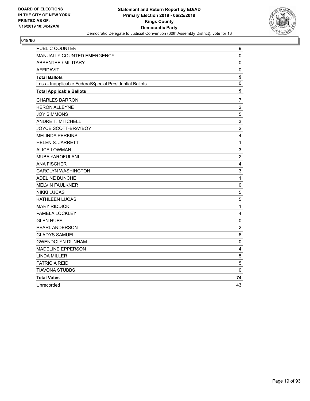

| PUBLIC COUNTER                                           | 9              |
|----------------------------------------------------------|----------------|
| MANUALLY COUNTED EMERGENCY                               | 0              |
| <b>ABSENTEE / MILITARY</b>                               | 0              |
| <b>AFFIDAVIT</b>                                         | 0              |
| <b>Total Ballots</b>                                     | 9              |
| Less - Inapplicable Federal/Special Presidential Ballots | 0              |
| <b>Total Applicable Ballots</b>                          | 9              |
| <b>CHARLES BARRON</b>                                    | 7              |
| <b>KERON ALLEYNE</b>                                     | $\overline{2}$ |
| <b>JOY SIMMONS</b>                                       | 5              |
| <b>ANDRE T. MITCHELL</b>                                 | 3              |
| JOYCE SCOTT-BRAYBOY                                      | $\overline{c}$ |
| <b>MELINDA PERKINS</b>                                   | 4              |
| <b>HELEN S. JARRETT</b>                                  | $\mathbf{1}$   |
| <b>ALICE LOWMAN</b>                                      | 3              |
| MUBA YAROFULANI                                          | $\overline{c}$ |
| <b>ANA FISCHER</b>                                       | 4              |
| <b>CAROLYN WASHINGTON</b>                                | $\mathsf 3$    |
| <b>ADELINE BUNCHE</b>                                    | $\mathbf{1}$   |
| <b>MELVIN FAULKNER</b>                                   | $\mathbf 0$    |
| <b>NIKKI LUCAS</b>                                       | 5              |
| KATHLEEN LUCAS                                           | $\sqrt{5}$     |
| <b>MARY RIDDICK</b>                                      | $\mathbf{1}$   |
| PAMELA LOCKLEY                                           | 4              |
| <b>GLEN HUFF</b>                                         | $\pmb{0}$      |
| PEARL ANDERSON                                           | $\overline{c}$ |
| <b>GLADYS SAMUEL</b>                                     | 6              |
| <b>GWENDOLYN DUNHAM</b>                                  | 0              |
| <b>MADELINE EPPERSON</b>                                 | 4              |
| <b>LINDA MILLER</b>                                      | $\sqrt{5}$     |
| PATRICIA REID                                            | 5              |
| TIAVONA STUBBS                                           | 0              |
| <b>Total Votes</b>                                       | 74             |
| Unrecorded                                               | 43             |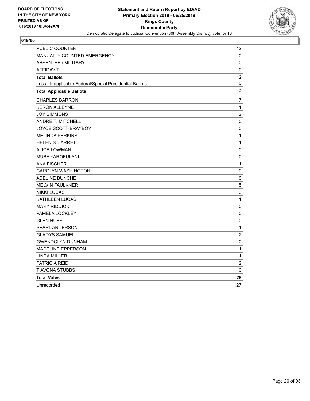

| PUBLIC COUNTER                                           | 12             |
|----------------------------------------------------------|----------------|
| MANUALLY COUNTED EMERGENCY                               | 0              |
| <b>ABSENTEE / MILITARY</b>                               | 0              |
| <b>AFFIDAVIT</b>                                         | $\mathbf 0$    |
| <b>Total Ballots</b>                                     | 12             |
| Less - Inapplicable Federal/Special Presidential Ballots | 0              |
| <b>Total Applicable Ballots</b>                          | 12             |
| <b>CHARLES BARRON</b>                                    | 7              |
| <b>KERON ALLEYNE</b>                                     | $\mathbf{1}$   |
| <b>JOY SIMMONS</b>                                       | $\overline{c}$ |
| <b>ANDRE T. MITCHELL</b>                                 | 0              |
| JOYCE SCOTT-BRAYBOY                                      | 0              |
| <b>MELINDA PERKINS</b>                                   | $\mathbf{1}$   |
| <b>HELEN S. JARRETT</b>                                  | $\mathbf{1}$   |
| <b>ALICE LOWMAN</b>                                      | 0              |
| MUBA YAROFULANI                                          | 0              |
| <b>ANA FISCHER</b>                                       | $\mathbf{1}$   |
| <b>CAROLYN WASHINGTON</b>                                | 0              |
| <b>ADELINE BUNCHE</b>                                    | 0              |
| <b>MELVIN FAULKNER</b>                                   | 5              |
| <b>NIKKI LUCAS</b>                                       | 3              |
| <b>KATHLEEN LUCAS</b>                                    | $\mathbf{1}$   |
| <b>MARY RIDDICK</b>                                      | 0              |
| PAMELA LOCKLEY                                           | $\pmb{0}$      |
| <b>GLEN HUFF</b>                                         | 0              |
| PEARL ANDERSON                                           | $\mathbf{1}$   |
| <b>GLADYS SAMUEL</b>                                     | $\overline{c}$ |
| <b>GWENDOLYN DUNHAM</b>                                  | $\pmb{0}$      |
| <b>MADELINE EPPERSON</b>                                 | $\mathbf 1$    |
| <b>LINDA MILLER</b>                                      | $\mathbf{1}$   |
| PATRICIA REID                                            | $\overline{c}$ |
| <b>TIAVONA STUBBS</b>                                    | 0              |
| <b>Total Votes</b>                                       | 29             |
| Unrecorded                                               | 127            |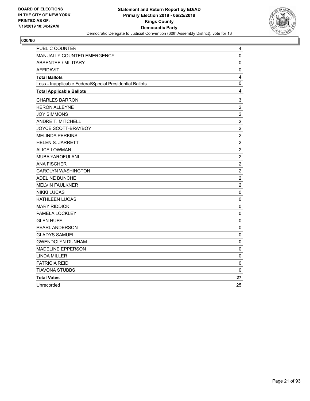

| PUBLIC COUNTER                                           | 4                |
|----------------------------------------------------------|------------------|
| MANUALLY COUNTED EMERGENCY                               | 0                |
| <b>ABSENTEE / MILITARY</b>                               | 0                |
| <b>AFFIDAVIT</b>                                         | $\mathbf 0$      |
| <b>Total Ballots</b>                                     | 4                |
| Less - Inapplicable Federal/Special Presidential Ballots | 0                |
| <b>Total Applicable Ballots</b>                          | 4                |
| <b>CHARLES BARRON</b>                                    | 3                |
| <b>KERON ALLEYNE</b>                                     | $\overline{c}$   |
| <b>JOY SIMMONS</b>                                       | $\overline{c}$   |
| ANDRE T. MITCHELL                                        | $\overline{2}$   |
| JOYCE SCOTT-BRAYBOY                                      | $\boldsymbol{2}$ |
| <b>MELINDA PERKINS</b>                                   | $\boldsymbol{2}$ |
| <b>HELEN S. JARRETT</b>                                  | $\overline{2}$   |
| <b>ALICE LOWMAN</b>                                      | $\boldsymbol{2}$ |
| MUBA YAROFULANI                                          | $\overline{c}$   |
| <b>ANA FISCHER</b>                                       | $\overline{2}$   |
| <b>CAROLYN WASHINGTON</b>                                | $\overline{c}$   |
| <b>ADELINE BUNCHE</b>                                    | $\overline{2}$   |
| <b>MELVIN FAULKNER</b>                                   | $\overline{2}$   |
| <b>NIKKI LUCAS</b>                                       | 0                |
| KATHLEEN LUCAS                                           | 0                |
| <b>MARY RIDDICK</b>                                      | $\mathbf 0$      |
| PAMELA LOCKLEY                                           | 0                |
| <b>GLEN HUFF</b>                                         | $\pmb{0}$        |
| PEARL ANDERSON                                           | $\pmb{0}$        |
| <b>GLADYS SAMUEL</b>                                     | 0                |
| <b>GWENDOLYN DUNHAM</b>                                  | 0                |
| <b>MADELINE EPPERSON</b>                                 | 0                |
| <b>LINDA MILLER</b>                                      | 0                |
| <b>PATRICIA REID</b>                                     | 0                |
| <b>TIAVONA STUBBS</b>                                    | 0                |
| <b>Total Votes</b>                                       | 27               |
| Unrecorded                                               | 25               |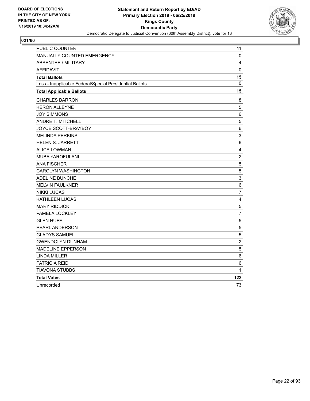

| <b>PUBLIC COUNTER</b>                                    | 11                      |
|----------------------------------------------------------|-------------------------|
| MANUALLY COUNTED EMERGENCY                               | 0                       |
| <b>ABSENTEE / MILITARY</b>                               | 4                       |
| <b>AFFIDAVIT</b>                                         | $\mathbf 0$             |
| <b>Total Ballots</b>                                     | 15                      |
| Less - Inapplicable Federal/Special Presidential Ballots | 0                       |
| <b>Total Applicable Ballots</b>                          | 15                      |
| <b>CHARLES BARRON</b>                                    | 8                       |
| <b>KERON ALLEYNE</b>                                     | 5                       |
| <b>JOY SIMMONS</b>                                       | $\,6$                   |
| ANDRE T. MITCHELL                                        | 5                       |
| JOYCE SCOTT-BRAYBOY                                      | 6                       |
| <b>MELINDA PERKINS</b>                                   | 3                       |
| <b>HELEN S. JARRETT</b>                                  | $\,6\,$                 |
| <b>ALICE LOWMAN</b>                                      | $\overline{\mathbf{4}}$ |
| MUBA YAROFULANI                                          | $\overline{c}$          |
| <b>ANA FISCHER</b>                                       | 5                       |
| <b>CAROLYN WASHINGTON</b>                                | 5                       |
| ADELINE BUNCHE                                           | 3                       |
| <b>MELVIN FAULKNER</b>                                   | 6                       |
| <b>NIKKI LUCAS</b>                                       | $\overline{7}$          |
| <b>KATHLEEN LUCAS</b>                                    | 4                       |
| <b>MARY RIDDICK</b>                                      | 5                       |
| PAMELA LOCKLEY                                           | $\overline{7}$          |
| <b>GLEN HUFF</b>                                         | 5                       |
| PEARL ANDERSON                                           | 5                       |
| <b>GLADYS SAMUEL</b>                                     | 5                       |
| <b>GWENDOLYN DUNHAM</b>                                  | $\overline{2}$          |
| <b>MADELINE EPPERSON</b>                                 | 5                       |
| <b>LINDA MILLER</b>                                      | 6                       |
| PATRICIA REID                                            | 6                       |
| <b>TIAVONA STUBBS</b>                                    | 1                       |
| <b>Total Votes</b>                                       | 122                     |
| Unrecorded                                               | 73                      |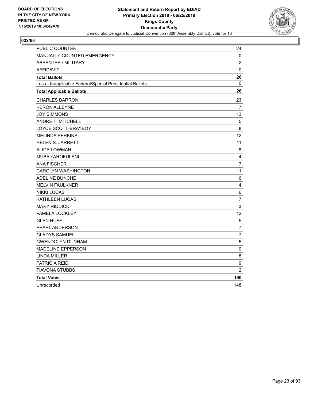

| <b>PUBLIC COUNTER</b>                                    | 24               |
|----------------------------------------------------------|------------------|
| <b>MANUALLY COUNTED EMERGENCY</b>                        | 0                |
| <b>ABSENTEE / MILITARY</b>                               | $\overline{2}$   |
| <b>AFFIDAVIT</b>                                         | $\mathbf 0$      |
| <b>Total Ballots</b>                                     | 26               |
| Less - Inapplicable Federal/Special Presidential Ballots | 0                |
| <b>Total Applicable Ballots</b>                          | 26               |
| <b>CHARLES BARRON</b>                                    | 23               |
| <b>KERON ALLEYNE</b>                                     | 7                |
| <b>JOY SIMMONS</b>                                       | 13               |
| ANDRE T. MITCHELL                                        | 5                |
| JOYCE SCOTT-BRAYBOY                                      | 8                |
| <b>MELINDA PERKINS</b>                                   | 12               |
| <b>HELEN S. JARRETT</b>                                  | 11               |
| <b>ALICE LOWMAN</b>                                      | 8                |
| MUBA YAROFULANI                                          | $\overline{4}$   |
| <b>ANA FISCHER</b>                                       | $\overline{7}$   |
| <b>CAROLYN WASHINGTON</b>                                | 11               |
| ADELINE BUNCHE                                           | 6                |
| <b>MELVIN FAULKNER</b>                                   | $\overline{4}$   |
| <b>NIKKI LUCAS</b>                                       | $\,6$            |
| <b>KATHLEEN LUCAS</b>                                    | $\overline{7}$   |
| <b>MARY RIDDICK</b>                                      | $\mathsf 3$      |
| PAMELA LOCKLEY                                           | 12               |
| <b>GLEN HUFF</b>                                         | 5                |
| PEARL ANDERSON                                           | $\overline{7}$   |
| <b>GLADYS SAMUEL</b>                                     | $\overline{7}$   |
| <b>GWENDOLYN DUNHAM</b>                                  | 5                |
| <b>MADELINE EPPERSON</b>                                 | 0                |
| <b>LINDA MILLER</b>                                      | 8                |
| PATRICIA REID                                            | $\boldsymbol{9}$ |
| <b>TIAVONA STUBBS</b>                                    | $\overline{2}$   |
| <b>Total Votes</b>                                       | 190              |
| Unrecorded                                               | 148              |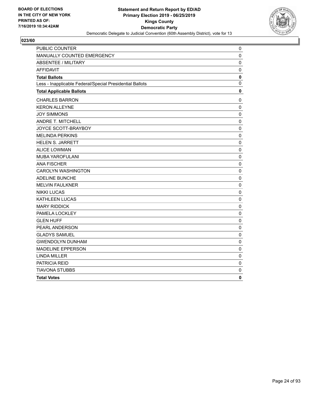

| PUBLIC COUNTER                                           | 0              |
|----------------------------------------------------------|----------------|
| MANUALLY COUNTED EMERGENCY                               | 0              |
| <b>ABSENTEE / MILITARY</b>                               | 0              |
| <b>AFFIDAVIT</b>                                         | $\mathbf 0$    |
| <b>Total Ballots</b>                                     | $\pmb{0}$      |
| Less - Inapplicable Federal/Special Presidential Ballots | $\overline{0}$ |
| <b>Total Applicable Ballots</b>                          | 0              |
| <b>CHARLES BARRON</b>                                    | 0              |
| <b>KERON ALLEYNE</b>                                     | $\mathbf 0$    |
| <b>JOY SIMMONS</b>                                       | 0              |
| <b>ANDRE T. MITCHELL</b>                                 | $\mathbf 0$    |
| JOYCE SCOTT-BRAYBOY                                      | 0              |
| <b>MELINDA PERKINS</b>                                   | $\mathbf 0$    |
| <b>HELEN S. JARRETT</b>                                  | 0              |
| <b>ALICE LOWMAN</b>                                      | $\mathbf 0$    |
| MUBA YAROFULANI                                          | $\mathbf 0$    |
| <b>ANA FISCHER</b>                                       | $\mathbf 0$    |
| <b>CAROLYN WASHINGTON</b>                                | $\mathbf 0$    |
| <b>ADELINE BUNCHE</b>                                    | $\mathbf 0$    |
| <b>MELVIN FAULKNER</b>                                   | $\pmb{0}$      |
| <b>NIKKI LUCAS</b>                                       | 0              |
| KATHLEEN LUCAS                                           | $\mathbf 0$    |
| <b>MARY RIDDICK</b>                                      | $\mathbf 0$    |
| PAMELA LOCKLEY                                           | $\mathbf 0$    |
| <b>GLEN HUFF</b>                                         | 0              |
| PEARL ANDERSON                                           | $\mathbf 0$    |
| <b>GLADYS SAMUEL</b>                                     | 0              |
| <b>GWENDOLYN DUNHAM</b>                                  | $\pmb{0}$      |
| <b>MADELINE EPPERSON</b>                                 | 0              |
| <b>LINDA MILLER</b>                                      | 0              |
| PATRICIA REID                                            | 0              |
| <b>TIAVONA STUBBS</b>                                    | 0              |
| <b>Total Votes</b>                                       | 0              |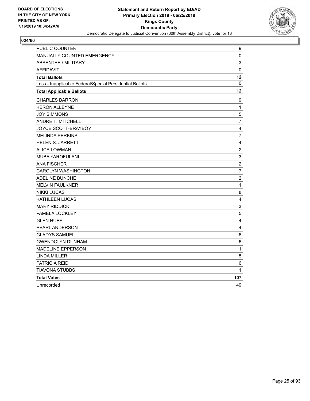

| PUBLIC COUNTER                                           | 9                       |
|----------------------------------------------------------|-------------------------|
| MANUALLY COUNTED EMERGENCY                               | $\pmb{0}$               |
| <b>ABSENTEE / MILITARY</b>                               | 3                       |
| <b>AFFIDAVIT</b>                                         | 0                       |
| <b>Total Ballots</b>                                     | 12                      |
| Less - Inapplicable Federal/Special Presidential Ballots | 0                       |
| <b>Total Applicable Ballots</b>                          | 12                      |
| <b>CHARLES BARRON</b>                                    | 9                       |
| <b>KERON ALLEYNE</b>                                     | $\mathbf{1}$            |
| <b>JOY SIMMONS</b>                                       | 5                       |
| ANDRE T. MITCHELL                                        | $\overline{7}$          |
| JOYCE SCOTT-BRAYBOY                                      | 4                       |
| <b>MELINDA PERKINS</b>                                   | $\overline{7}$          |
| <b>HELEN S. JARRETT</b>                                  | $\overline{4}$          |
| <b>ALICE LOWMAN</b>                                      | $\overline{c}$          |
| MUBA YAROFULANI                                          | $\mathsf 3$             |
| <b>ANA FISCHER</b>                                       | $\overline{c}$          |
| <b>CAROLYN WASHINGTON</b>                                | $\overline{7}$          |
| ADELINE BUNCHE                                           | $\overline{c}$          |
| <b>MELVIN FAULKNER</b>                                   | $\mathbf{1}$            |
| <b>NIKKI LUCAS</b>                                       | 8                       |
| <b>KATHLEEN LUCAS</b>                                    | 4                       |
| <b>MARY RIDDICK</b>                                      | $\mathsf 3$             |
| PAMELA LOCKLEY                                           | $\mathbf 5$             |
| <b>GLEN HUFF</b>                                         | $\overline{\mathbf{4}}$ |
| PEARL ANDERSON                                           | $\overline{4}$          |
| <b>GLADYS SAMUEL</b>                                     | 6                       |
| <b>GWENDOLYN DUNHAM</b>                                  | 6                       |
| <b>MADELINE EPPERSON</b>                                 | 1                       |
| <b>LINDA MILLER</b>                                      | $\overline{5}$          |
| PATRICIA REID                                            | 6                       |
| TIAVONA STUBBS                                           | 1                       |
| <b>Total Votes</b>                                       | 107                     |
| Unrecorded                                               | 49                      |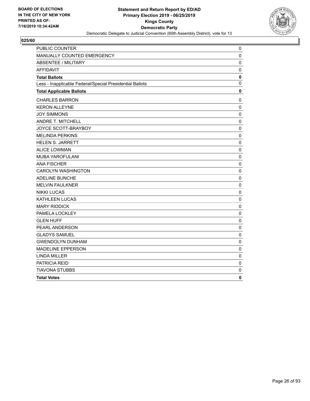

| PUBLIC COUNTER                                           | 0            |
|----------------------------------------------------------|--------------|
| MANUALLY COUNTED EMERGENCY                               | 0            |
| <b>ABSENTEE / MILITARY</b>                               | 0            |
| <b>AFFIDAVIT</b>                                         | 0            |
| <b>Total Ballots</b>                                     | $\mathbf 0$  |
| Less - Inapplicable Federal/Special Presidential Ballots | $\mathbf{0}$ |
| <b>Total Applicable Ballots</b>                          | 0            |
| <b>CHARLES BARRON</b>                                    | 0            |
| <b>KERON ALLEYNE</b>                                     | 0            |
| <b>JOY SIMMONS</b>                                       | $\mathbf 0$  |
| ANDRE T. MITCHELL                                        | $\pmb{0}$    |
| JOYCE SCOTT-BRAYBOY                                      | 0            |
| <b>MELINDA PERKINS</b>                                   | 0            |
| <b>HELEN S. JARRETT</b>                                  | 0            |
| <b>ALICE LOWMAN</b>                                      | $\pmb{0}$    |
| MUBA YAROFULANI                                          | $\mathbf 0$  |
| <b>ANA FISCHER</b>                                       | $\mathbf 0$  |
| <b>CAROLYN WASHINGTON</b>                                | $\mathbf 0$  |
| ADELINE BUNCHE                                           | $\mathbf 0$  |
| <b>MELVIN FAULKNER</b>                                   | $\mathbf 0$  |
| <b>NIKKI LUCAS</b>                                       | $\mathbf 0$  |
| KATHLEEN LUCAS                                           | $\mathbf 0$  |
| <b>MARY RIDDICK</b>                                      | $\mathbf 0$  |
| PAMELA LOCKLEY                                           | $\mathbf{0}$ |
| <b>GLEN HUFF</b>                                         | 0            |
| PEARL ANDERSON                                           | 0            |
| <b>GLADYS SAMUEL</b>                                     | 0            |
| <b>GWENDOLYN DUNHAM</b>                                  | 0            |
| <b>MADELINE EPPERSON</b>                                 | $\mathbf 0$  |
| <b>LINDA MILLER</b>                                      | 0            |
| PATRICIA REID                                            | 0            |
| <b>TIAVONA STUBBS</b>                                    | 0            |
| <b>Total Votes</b>                                       | 0            |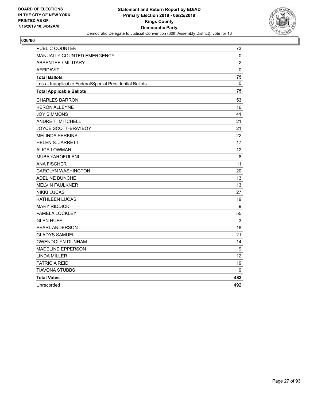

| <b>PUBLIC COUNTER</b>                                    | 73                |
|----------------------------------------------------------|-------------------|
| <b>MANUALLY COUNTED EMERGENCY</b>                        | 0                 |
| <b>ABSENTEE / MILITARY</b>                               | $\overline{2}$    |
| <b>AFFIDAVIT</b>                                         | $\mathbf 0$       |
| <b>Total Ballots</b>                                     | 75                |
| Less - Inapplicable Federal/Special Presidential Ballots | $\mathbf 0$       |
| <b>Total Applicable Ballots</b>                          | 75                |
| <b>CHARLES BARRON</b>                                    | 53                |
| <b>KERON ALLEYNE</b>                                     | 16                |
| <b>JOY SIMMONS</b>                                       | 41                |
| ANDRE T. MITCHELL                                        | 21                |
| JOYCE SCOTT-BRAYBOY                                      | 21                |
| <b>MELINDA PERKINS</b>                                   | 22                |
| <b>HELEN S. JARRETT</b>                                  | 17                |
| <b>ALICE LOWMAN</b>                                      | 12                |
| MUBA YAROFULANI                                          | 8                 |
| <b>ANA FISCHER</b>                                       | 11                |
| <b>CAROLYN WASHINGTON</b>                                | 20                |
| ADELINE BUNCHE                                           | 13                |
| <b>MELVIN FAULKNER</b>                                   | 13                |
| <b>NIKKI LUCAS</b>                                       | 27                |
| <b>KATHLEEN LUCAS</b>                                    | 19                |
| <b>MARY RIDDICK</b>                                      | 9                 |
| PAMELA LOCKLEY                                           | 55                |
| <b>GLEN HUFF</b>                                         | 3                 |
| PEARL ANDERSON                                           | 18                |
| <b>GLADYS SAMUEL</b>                                     | 21                |
| <b>GWENDOLYN DUNHAM</b>                                  | 14                |
| <b>MADELINE EPPERSON</b>                                 | 9                 |
| <b>LINDA MILLER</b>                                      | $12 \overline{ }$ |
| PATRICIA REID                                            | 19                |
| <b>TIAVONA STUBBS</b>                                    | 9                 |
| <b>Total Votes</b>                                       | 483               |
| Unrecorded                                               | 492               |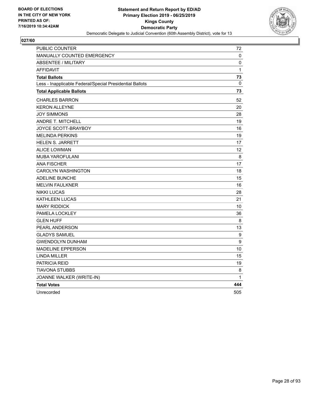

| PUBLIC COUNTER                                           | 72          |
|----------------------------------------------------------|-------------|
| <b>MANUALLY COUNTED EMERGENCY</b>                        | 0           |
| ABSENTEE / MILITARY                                      | 0           |
| <b>AFFIDAVIT</b>                                         | 1           |
| <b>Total Ballots</b>                                     | 73          |
| Less - Inapplicable Federal/Special Presidential Ballots | $\mathbf 0$ |
| <b>Total Applicable Ballots</b>                          | 73          |
| <b>CHARLES BARRON</b>                                    | 52          |
| <b>KERON ALLEYNE</b>                                     | 20          |
| <b>JOY SIMMONS</b>                                       | 28          |
| ANDRE T. MITCHELL                                        | 19          |
| JOYCE SCOTT-BRAYBOY                                      | 16          |
| <b>MELINDA PERKINS</b>                                   | 19          |
| <b>HELEN S. JARRETT</b>                                  | 17          |
| <b>ALICE LOWMAN</b>                                      | 12          |
| <b>MUBA YAROFULANI</b>                                   | 8           |
| <b>ANA FISCHER</b>                                       | 17          |
| <b>CAROLYN WASHINGTON</b>                                | 18          |
| <b>ADELINE BUNCHE</b>                                    | 15          |
| <b>MELVIN FAULKNER</b>                                   | 16          |
| <b>NIKKI LUCAS</b>                                       | 28          |
| <b>KATHLEEN LUCAS</b>                                    | 21          |
| <b>MARY RIDDICK</b>                                      | 10          |
| PAMELA LOCKLEY                                           | 36          |
| <b>GLEN HUFF</b>                                         | 8           |
| PEARL ANDERSON                                           | 13          |
| <b>GLADYS SAMUEL</b>                                     | 9           |
| <b>GWENDOLYN DUNHAM</b>                                  | 9           |
| <b>MADELINE EPPERSON</b>                                 | 10          |
| <b>LINDA MILLER</b>                                      | 15          |
| <b>PATRICIA REID</b>                                     | 19          |
| <b>TIAVONA STUBBS</b>                                    | 8           |
| JOANNE WALKER (WRITE-IN)                                 | 1           |
| <b>Total Votes</b>                                       | 444         |
| Unrecorded                                               | 505         |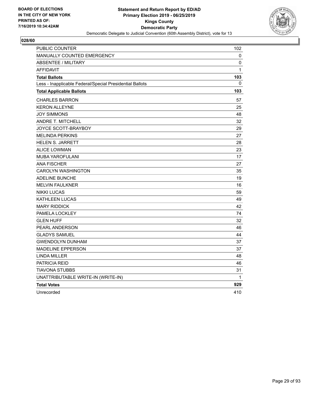

| PUBLIC COUNTER                                           | 102          |
|----------------------------------------------------------|--------------|
| MANUALLY COUNTED EMERGENCY                               | 0            |
| <b>ABSENTEE / MILITARY</b>                               | 0            |
| <b>AFFIDAVIT</b>                                         | $\mathbf{1}$ |
| <b>Total Ballots</b>                                     | 103          |
| Less - Inapplicable Federal/Special Presidential Ballots | 0            |
| <b>Total Applicable Ballots</b>                          | 103          |
| <b>CHARLES BARRON</b>                                    | 57           |
| <b>KERON ALLEYNE</b>                                     | 25           |
| <b>JOY SIMMONS</b>                                       | 48           |
| <b>ANDRE T. MITCHELL</b>                                 | 32           |
| JOYCE SCOTT-BRAYBOY                                      | 29           |
| <b>MELINDA PERKINS</b>                                   | 27           |
| <b>HELEN S. JARRETT</b>                                  | 28           |
| <b>ALICE LOWMAN</b>                                      | 23           |
| <b>MUBA YAROFULANI</b>                                   | 17           |
| <b>ANA FISCHER</b>                                       | 27           |
| <b>CAROLYN WASHINGTON</b>                                | 35           |
| <b>ADELINE BUNCHE</b>                                    | 19           |
| <b>MELVIN FAULKNER</b>                                   | 16           |
| <b>NIKKI LUCAS</b>                                       | 59           |
| <b>KATHLEEN LUCAS</b>                                    | 49           |
| <b>MARY RIDDICK</b>                                      | 42           |
| PAMELA LOCKLEY                                           | 74           |
| <b>GLEN HUFF</b>                                         | 32           |
| PEARL ANDERSON                                           | 46           |
| <b>GLADYS SAMUEL</b>                                     | 44           |
| <b>GWENDOLYN DUNHAM</b>                                  | 37           |
| <b>MADELINE EPPERSON</b>                                 | 37           |
| <b>LINDA MILLER</b>                                      | 48           |
| <b>PATRICIA REID</b>                                     | 46           |
| TIAVONA STUBBS                                           | 31           |
| UNATTRIBUTABLE WRITE-IN (WRITE-IN)                       | 1            |
| <b>Total Votes</b>                                       | 929          |
| Unrecorded                                               | 410          |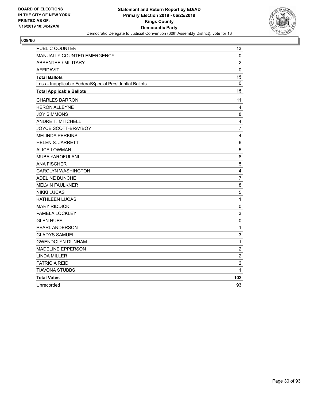

| <b>PUBLIC COUNTER</b>                                    | 13               |
|----------------------------------------------------------|------------------|
| MANUALLY COUNTED EMERGENCY                               | 0                |
| <b>ABSENTEE / MILITARY</b>                               | $\overline{2}$   |
| <b>AFFIDAVIT</b>                                         | $\mathbf 0$      |
| <b>Total Ballots</b>                                     | 15               |
| Less - Inapplicable Federal/Special Presidential Ballots | 0                |
| <b>Total Applicable Ballots</b>                          | 15               |
| <b>CHARLES BARRON</b>                                    | 11               |
| <b>KERON ALLEYNE</b>                                     | 4                |
| <b>JOY SIMMONS</b>                                       | 8                |
| <b>ANDRE T. MITCHELL</b>                                 | 4                |
| JOYCE SCOTT-BRAYBOY                                      | $\overline{7}$   |
| <b>MELINDA PERKINS</b>                                   | 4                |
| <b>HELEN S. JARRETT</b>                                  | 6                |
| <b>ALICE LOWMAN</b>                                      | 5                |
| MUBA YAROFULANI                                          | 8                |
| <b>ANA FISCHER</b>                                       | 5                |
| <b>CAROLYN WASHINGTON</b>                                | 4                |
| ADELINE BUNCHE                                           | $\overline{7}$   |
| <b>MELVIN FAULKNER</b>                                   | 8                |
| <b>NIKKI LUCAS</b>                                       | $\mathbf 5$      |
| <b>KATHLEEN LUCAS</b>                                    | $\mathbf{1}$     |
| <b>MARY RIDDICK</b>                                      | $\pmb{0}$        |
| PAMELA LOCKLEY                                           | 3                |
| <b>GLEN HUFF</b>                                         | $\mathbf 0$      |
| <b>PEARL ANDERSON</b>                                    | $\mathbf{1}$     |
| <b>GLADYS SAMUEL</b>                                     | 3                |
| <b>GWENDOLYN DUNHAM</b>                                  | $\mathbf 1$      |
| <b>MADELINE EPPERSON</b>                                 | $\boldsymbol{2}$ |
| <b>LINDA MILLER</b>                                      | $\overline{c}$   |
| PATRICIA REID                                            | $\overline{c}$   |
| <b>TIAVONA STUBBS</b>                                    | $\mathbf{1}$     |
| <b>Total Votes</b>                                       | 102              |
| Unrecorded                                               | 93               |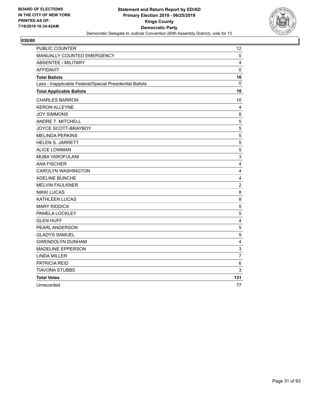

| <b>PUBLIC COUNTER</b>                                    | $12 \overline{ }$ |
|----------------------------------------------------------|-------------------|
| MANUALLY COUNTED EMERGENCY                               | 0                 |
| <b>ABSENTEE / MILITARY</b>                               | 4                 |
| <b>AFFIDAVIT</b>                                         | $\mathbf 0$       |
| <b>Total Ballots</b>                                     | 16                |
| Less - Inapplicable Federal/Special Presidential Ballots | 0                 |
| <b>Total Applicable Ballots</b>                          | 16                |
| <b>CHARLES BARRON</b>                                    | 10                |
| <b>KERON ALLEYNE</b>                                     | 4                 |
| <b>JOY SIMMONS</b>                                       | 8                 |
| ANDRE T. MITCHELL                                        | 5                 |
| JOYCE SCOTT-BRAYBOY                                      | 5                 |
| <b>MELINDA PERKINS</b>                                   | 5                 |
| <b>HELEN S. JARRETT</b>                                  | 5                 |
| <b>ALICE LOWMAN</b>                                      | 5                 |
| MUBA YAROFULANI                                          | 3                 |
| <b>ANA FISCHER</b>                                       | 4                 |
| <b>CAROLYN WASHINGTON</b>                                | 4                 |
| ADELINE BUNCHE                                           | $\overline{4}$    |
| <b>MELVIN FAULKNER</b>                                   | $\overline{c}$    |
| <b>NIKKI LUCAS</b>                                       | 8                 |
| <b>KATHLEEN LUCAS</b>                                    | 8                 |
| <b>MARY RIDDICK</b>                                      | 5                 |
| PAMELA LOCKLEY                                           | 5                 |
| <b>GLEN HUFF</b>                                         | 4                 |
| PEARL ANDERSON                                           | 5                 |
| <b>GLADYS SAMUEL</b>                                     | 9                 |
| <b>GWENDOLYN DUNHAM</b>                                  | 4                 |
| <b>MADELINE EPPERSON</b>                                 | 3                 |
| <b>LINDA MILLER</b>                                      | $\overline{7}$    |
| PATRICIA REID                                            | 6                 |
| <b>TIAVONA STUBBS</b>                                    | 3                 |
| <b>Total Votes</b>                                       | 131               |
| Unrecorded                                               | 77                |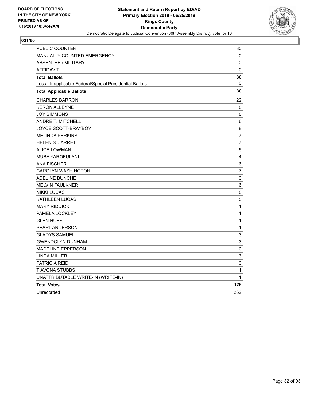

| PUBLIC COUNTER                                           | 30                        |
|----------------------------------------------------------|---------------------------|
| MANUALLY COUNTED EMERGENCY                               | 0                         |
| <b>ABSENTEE / MILITARY</b>                               | 0                         |
| <b>AFFIDAVIT</b>                                         | 0                         |
| <b>Total Ballots</b>                                     | 30                        |
| Less - Inapplicable Federal/Special Presidential Ballots | $\mathbf 0$               |
| <b>Total Applicable Ballots</b>                          | 30                        |
| <b>CHARLES BARRON</b>                                    | 22                        |
| <b>KERON ALLEYNE</b>                                     | 8                         |
| <b>JOY SIMMONS</b>                                       | 8                         |
| ANDRE T. MITCHELL                                        | 6                         |
| JOYCE SCOTT-BRAYBOY                                      | 8                         |
| <b>MELINDA PERKINS</b>                                   | $\overline{7}$            |
| HELEN S. JARRETT                                         | $\overline{7}$            |
| <b>ALICE LOWMAN</b>                                      | 5                         |
| <b>MUBA YAROFULANI</b>                                   | 4                         |
| <b>ANA FISCHER</b>                                       | 6                         |
| <b>CAROLYN WASHINGTON</b>                                | $\overline{7}$            |
| <b>ADELINE BUNCHE</b>                                    | $\ensuremath{\mathsf{3}}$ |
| <b>MELVIN FAULKNER</b>                                   | 6                         |
| <b>NIKKI LUCAS</b>                                       | 8                         |
| <b>KATHLEEN LUCAS</b>                                    | 5                         |
| <b>MARY RIDDICK</b>                                      | $\mathbf{1}$              |
| PAMELA LOCKLEY                                           | $\mathbf{1}$              |
| <b>GLEN HUFF</b>                                         | 1                         |
| PEARL ANDERSON                                           | 1                         |
| <b>GLADYS SAMUEL</b>                                     | 3                         |
| <b>GWENDOLYN DUNHAM</b>                                  | 3                         |
| MADELINE EPPERSON                                        | $\pmb{0}$                 |
| <b>LINDA MILLER</b>                                      | $\ensuremath{\mathsf{3}}$ |
| PATRICIA REID                                            | 3                         |
| TIAVONA STUBBS                                           | $\mathbf 1$               |
| UNATTRIBUTABLE WRITE-IN (WRITE-IN)                       | 1                         |
| <b>Total Votes</b>                                       | 128                       |
| Unrecorded                                               | 262                       |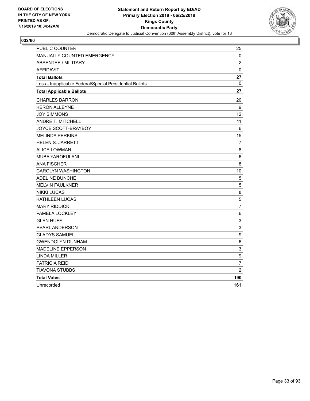

| <b>PUBLIC COUNTER</b>                                    | 25                        |
|----------------------------------------------------------|---------------------------|
| MANUALLY COUNTED EMERGENCY                               | 0                         |
| <b>ABSENTEE / MILITARY</b>                               | $\overline{2}$            |
| <b>AFFIDAVIT</b>                                         | $\mathbf 0$               |
| <b>Total Ballots</b>                                     | 27                        |
| Less - Inapplicable Federal/Special Presidential Ballots | $\mathbf{0}$              |
| <b>Total Applicable Ballots</b>                          | 27                        |
| <b>CHARLES BARRON</b>                                    | 20                        |
| <b>KERON ALLEYNE</b>                                     | 9                         |
| <b>JOY SIMMONS</b>                                       | $12 \overline{ }$         |
| ANDRE T. MITCHELL                                        | 11                        |
| JOYCE SCOTT-BRAYBOY                                      | 6                         |
| <b>MELINDA PERKINS</b>                                   | 15                        |
| <b>HELEN S. JARRETT</b>                                  | 7                         |
| <b>ALICE LOWMAN</b>                                      | 8                         |
| <b>MUBA YAROFULANI</b>                                   | 6                         |
| <b>ANA FISCHER</b>                                       | 8                         |
| <b>CAROLYN WASHINGTON</b>                                | 10                        |
| <b>ADELINE BUNCHE</b>                                    | 5                         |
| <b>MELVIN FAULKNER</b>                                   | 5                         |
| <b>NIKKI LUCAS</b>                                       | 8                         |
| KATHLEEN LUCAS                                           | 5                         |
| <b>MARY RIDDICK</b>                                      | $\overline{7}$            |
| PAMELA LOCKLEY                                           | 6                         |
| <b>GLEN HUFF</b>                                         | $\ensuremath{\mathsf{3}}$ |
| <b>PEARL ANDERSON</b>                                    | 3                         |
| <b>GLADYS SAMUEL</b>                                     | $\boldsymbol{9}$          |
| <b>GWENDOLYN DUNHAM</b>                                  | 6                         |
| <b>MADELINE EPPERSON</b>                                 | 3                         |
| <b>LINDA MILLER</b>                                      | 9                         |
| PATRICIA REID                                            | $\overline{7}$            |
| TIAVONA STUBBS                                           | $\overline{2}$            |
| <b>Total Votes</b>                                       | 190                       |
| Unrecorded                                               | 161                       |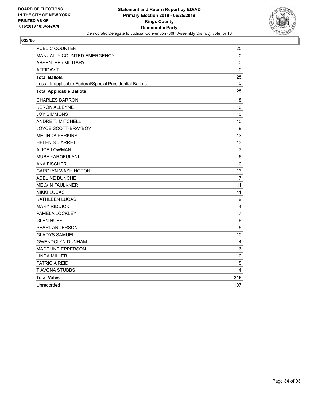

| PUBLIC COUNTER                                           | 25             |
|----------------------------------------------------------|----------------|
| MANUALLY COUNTED EMERGENCY                               | 0              |
| <b>ABSENTEE / MILITARY</b>                               | 0              |
| <b>AFFIDAVIT</b>                                         | $\mathbf 0$    |
| <b>Total Ballots</b>                                     | 25             |
| Less - Inapplicable Federal/Special Presidential Ballots | 0              |
| <b>Total Applicable Ballots</b>                          | 25             |
| <b>CHARLES BARRON</b>                                    | 18             |
| <b>KERON ALLEYNE</b>                                     | 10             |
| <b>JOY SIMMONS</b>                                       | 10             |
| <b>ANDRE T. MITCHELL</b>                                 | 10             |
| JOYCE SCOTT-BRAYBOY                                      | 9              |
| <b>MELINDA PERKINS</b>                                   | 13             |
| <b>HELEN S. JARRETT</b>                                  | 13             |
| <b>ALICE LOWMAN</b>                                      | $\overline{7}$ |
| <b>MUBA YAROFULANI</b>                                   | $\,6\,$        |
| <b>ANA FISCHER</b>                                       | 10             |
| <b>CAROLYN WASHINGTON</b>                                | 13             |
| <b>ADELINE BUNCHE</b>                                    | 7              |
| <b>MELVIN FAULKNER</b>                                   | 11             |
| <b>NIKKI LUCAS</b>                                       | 11             |
| <b>KATHLEEN LUCAS</b>                                    | 9              |
| <b>MARY RIDDICK</b>                                      | 4              |
| PAMELA LOCKLEY                                           | $\overline{7}$ |
| <b>GLEN HUFF</b>                                         | 6              |
| PEARL ANDERSON                                           | 5              |
| <b>GLADYS SAMUEL</b>                                     | 10             |
| <b>GWENDOLYN DUNHAM</b>                                  | 4              |
| <b>MADELINE EPPERSON</b>                                 | 6              |
| <b>LINDA MILLER</b>                                      | 10             |
| PATRICIA REID                                            | 5              |
| <b>TIAVONA STUBBS</b>                                    | 4              |
| <b>Total Votes</b>                                       | 218            |
| Unrecorded                                               | 107            |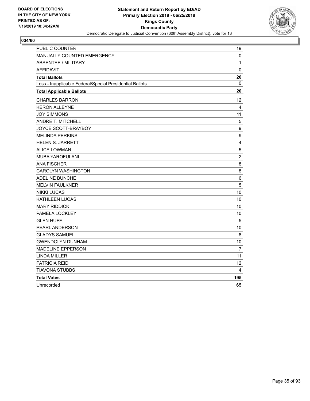

| <b>PUBLIC COUNTER</b>                                    | 19                |
|----------------------------------------------------------|-------------------|
| <b>MANUALLY COUNTED EMERGENCY</b>                        | 0                 |
| <b>ABSENTEE / MILITARY</b>                               | 1                 |
| <b>AFFIDAVIT</b>                                         | 0                 |
| <b>Total Ballots</b>                                     | 20                |
| Less - Inapplicable Federal/Special Presidential Ballots | 0                 |
| <b>Total Applicable Ballots</b>                          | 20                |
| <b>CHARLES BARRON</b>                                    | 12 <sup>2</sup>   |
| <b>KERON ALLEYNE</b>                                     | 4                 |
| <b>JOY SIMMONS</b>                                       | 11                |
| ANDRE T. MITCHELL                                        | 5                 |
| JOYCE SCOTT-BRAYBOY                                      | 9                 |
| <b>MELINDA PERKINS</b>                                   | $\boldsymbol{9}$  |
| HELEN S. JARRETT                                         | $\overline{4}$    |
| <b>ALICE LOWMAN</b>                                      | 5                 |
| MUBA YAROFULANI                                          | $\overline{c}$    |
| <b>ANA FISCHER</b>                                       | 8                 |
| <b>CAROLYN WASHINGTON</b>                                | 8                 |
| ADELINE BUNCHE                                           | $\,6\,$           |
| <b>MELVIN FAULKNER</b>                                   | 5                 |
| <b>NIKKI LUCAS</b>                                       | 10                |
| <b>KATHLEEN LUCAS</b>                                    | 10                |
| <b>MARY RIDDICK</b>                                      | 10                |
| PAMELA LOCKLEY                                           | 10                |
| <b>GLEN HUFF</b>                                         | 5                 |
| PEARL ANDERSON                                           | 10                |
| <b>GLADYS SAMUEL</b>                                     | 8                 |
| <b>GWENDOLYN DUNHAM</b>                                  | 10                |
| <b>MADELINE EPPERSON</b>                                 | $\overline{7}$    |
| <b>LINDA MILLER</b>                                      | 11                |
| PATRICIA REID                                            | $12 \overline{ }$ |
| <b>TIAVONA STUBBS</b>                                    | 4                 |
| <b>Total Votes</b>                                       | 195               |
| Unrecorded                                               | 65                |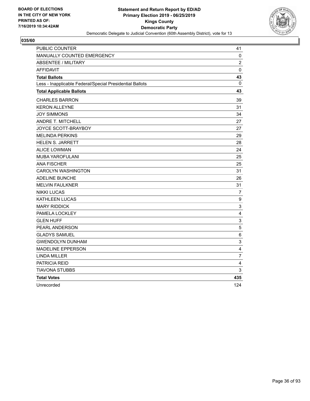

| PUBLIC COUNTER                                           | 41                        |
|----------------------------------------------------------|---------------------------|
| MANUALLY COUNTED EMERGENCY                               | 0                         |
| <b>ABSENTEE / MILITARY</b>                               | $\overline{2}$            |
| <b>AFFIDAVIT</b>                                         | 0                         |
| <b>Total Ballots</b>                                     | 43                        |
| Less - Inapplicable Federal/Special Presidential Ballots | $\mathbf{0}$              |
| <b>Total Applicable Ballots</b>                          | 43                        |
| <b>CHARLES BARRON</b>                                    | 39                        |
| <b>KERON ALLEYNE</b>                                     | 31                        |
| <b>JOY SIMMONS</b>                                       | 34                        |
| ANDRE T. MITCHELL                                        | 27                        |
| JOYCE SCOTT-BRAYBOY                                      | 27                        |
| <b>MELINDA PERKINS</b>                                   | 29                        |
| <b>HELEN S. JARRETT</b>                                  | 28                        |
| <b>ALICE LOWMAN</b>                                      | 24                        |
| <b>MUBA YAROFULANI</b>                                   | 25                        |
| <b>ANA FISCHER</b>                                       | 25                        |
| <b>CAROLYN WASHINGTON</b>                                | 31                        |
| <b>ADELINE BUNCHE</b>                                    | 26                        |
| <b>MELVIN FAULKNER</b>                                   | 31                        |
| <b>NIKKI LUCAS</b>                                       | $\overline{7}$            |
| KATHLEEN LUCAS                                           | 9                         |
| <b>MARY RIDDICK</b>                                      | 3                         |
| PAMELA LOCKLEY                                           | 4                         |
| <b>GLEN HUFF</b>                                         | $\ensuremath{\mathsf{3}}$ |
| PEARL ANDERSON                                           | 5                         |
| <b>GLADYS SAMUEL</b>                                     | 6                         |
| <b>GWENDOLYN DUNHAM</b>                                  | 3                         |
| <b>MADELINE EPPERSON</b>                                 | 4                         |
| <b>LINDA MILLER</b>                                      | $\overline{7}$            |
| PATRICIA REID                                            | 4                         |
| TIAVONA STUBBS                                           | 3                         |
| <b>Total Votes</b>                                       | 435                       |
| Unrecorded                                               | 124                       |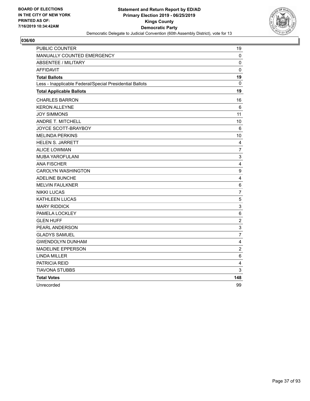

| <b>PUBLIC COUNTER</b>                                    | 19             |
|----------------------------------------------------------|----------------|
| <b>MANUALLY COUNTED EMERGENCY</b>                        | 0              |
| <b>ABSENTEE / MILITARY</b>                               | 0              |
| <b>AFFIDAVIT</b>                                         | $\mathbf 0$    |
| <b>Total Ballots</b>                                     | 19             |
| Less - Inapplicable Federal/Special Presidential Ballots | 0              |
| <b>Total Applicable Ballots</b>                          | 19             |
| <b>CHARLES BARRON</b>                                    | 16             |
| <b>KERON ALLEYNE</b>                                     | 6              |
| <b>JOY SIMMONS</b>                                       | 11             |
| ANDRE T. MITCHELL                                        | 10             |
| JOYCE SCOTT-BRAYBOY                                      | 6              |
| <b>MELINDA PERKINS</b>                                   | 10             |
| <b>HELEN S. JARRETT</b>                                  | 4              |
| <b>ALICE LOWMAN</b>                                      | $\overline{7}$ |
| MUBA YAROFULANI                                          | $\mathsf 3$    |
| <b>ANA FISCHER</b>                                       | 4              |
| <b>CAROLYN WASHINGTON</b>                                | 9              |
| ADELINE BUNCHE                                           | $\overline{4}$ |
| <b>MELVIN FAULKNER</b>                                   | 6              |
| <b>NIKKI LUCAS</b>                                       | $\overline{7}$ |
| <b>KATHLEEN LUCAS</b>                                    | $\sqrt{5}$     |
| <b>MARY RIDDICK</b>                                      | 3              |
| PAMELA LOCKLEY                                           | 6              |
| <b>GLEN HUFF</b>                                         | $\overline{2}$ |
| PEARL ANDERSON                                           | 3              |
| <b>GLADYS SAMUEL</b>                                     | $\overline{7}$ |
| <b>GWENDOLYN DUNHAM</b>                                  | 4              |
| <b>MADELINE EPPERSON</b>                                 | $\overline{c}$ |
| <b>LINDA MILLER</b>                                      | 6              |
| PATRICIA REID                                            | 4              |
| <b>TIAVONA STUBBS</b>                                    | 3              |
| <b>Total Votes</b>                                       | 148            |
| Unrecorded                                               | 99             |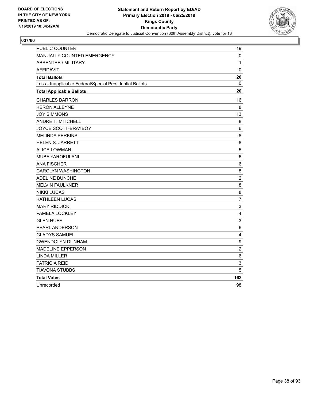

| <b>PUBLIC COUNTER</b>                                    | 19                      |
|----------------------------------------------------------|-------------------------|
| MANUALLY COUNTED EMERGENCY                               | 0                       |
| <b>ABSENTEE / MILITARY</b>                               | 1                       |
| <b>AFFIDAVIT</b>                                         | 0                       |
| <b>Total Ballots</b>                                     | 20                      |
| Less - Inapplicable Federal/Special Presidential Ballots | $\mathbf{0}$            |
| <b>Total Applicable Ballots</b>                          | 20                      |
| <b>CHARLES BARRON</b>                                    | 16                      |
| <b>KERON ALLEYNE</b>                                     | 8                       |
| <b>JOY SIMMONS</b>                                       | 13                      |
| ANDRE T. MITCHELL                                        | 8                       |
| JOYCE SCOTT-BRAYBOY                                      | 6                       |
| <b>MELINDA PERKINS</b>                                   | 8                       |
| <b>HELEN S. JARRETT</b>                                  | 8                       |
| <b>ALICE LOWMAN</b>                                      | 5                       |
| <b>MUBA YAROFULANI</b>                                   | 6                       |
| <b>ANA FISCHER</b>                                       | 6                       |
| <b>CAROLYN WASHINGTON</b>                                | 8                       |
| <b>ADELINE BUNCHE</b>                                    | $\overline{c}$          |
| <b>MELVIN FAULKNER</b>                                   | 8                       |
| <b>NIKKI LUCAS</b>                                       | 8                       |
| KATHLEEN LUCAS                                           | $\overline{7}$          |
| <b>MARY RIDDICK</b>                                      | $\mathsf 3$             |
| PAMELA LOCKLEY                                           | $\overline{4}$          |
| <b>GLEN HUFF</b>                                         | $\mathsf 3$             |
| <b>PEARL ANDERSON</b>                                    | 6                       |
| <b>GLADYS SAMUEL</b>                                     | $\overline{\mathbf{4}}$ |
| <b>GWENDOLYN DUNHAM</b>                                  | $\boldsymbol{9}$        |
| <b>MADELINE EPPERSON</b>                                 | $\sqrt{2}$              |
| <b>LINDA MILLER</b>                                      | 6                       |
| PATRICIA REID                                            | 3                       |
| TIAVONA STUBBS                                           | 5                       |
| <b>Total Votes</b>                                       | 162                     |
| Unrecorded                                               | 98                      |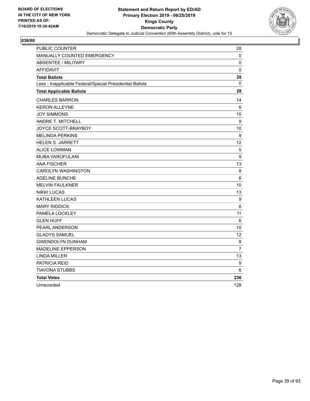

| <b>PUBLIC COUNTER</b>                                    | 28             |
|----------------------------------------------------------|----------------|
| <b>MANUALLY COUNTED EMERGENCY</b>                        | 0              |
| <b>ABSENTEE / MILITARY</b>                               | 0              |
| <b>AFFIDAVIT</b>                                         | 0              |
| <b>Total Ballots</b>                                     | 28             |
| Less - Inapplicable Federal/Special Presidential Ballots | 0              |
| <b>Total Applicable Ballots</b>                          | 28             |
| <b>CHARLES BARRON</b>                                    | 14             |
| <b>KERON ALLEYNE</b>                                     | 6              |
| <b>JOY SIMMONS</b>                                       | 15             |
| ANDRE T. MITCHELL                                        | 9              |
| JOYCE SCOTT-BRAYBOY                                      | 10             |
| <b>MELINDA PERKINS</b>                                   | 9              |
| <b>HELEN S. JARRETT</b>                                  | 12             |
| <b>ALICE LOWMAN</b>                                      | $\overline{5}$ |
| <b>MUBA YAROFULANI</b>                                   | 9              |
| <b>ANA FISCHER</b>                                       | 13             |
| <b>CAROLYN WASHINGTON</b>                                | 8              |
| <b>ADELINE BUNCHE</b>                                    | 6              |
| <b>MELVIN FAULKNER</b>                                   | 10             |
| <b>NIKKI LUCAS</b>                                       | 13             |
| KATHLEEN LUCAS                                           | 9              |
| <b>MARY RIDDICK</b>                                      | 6              |
| PAMELA LOCKLEY                                           | 11             |
| <b>GLEN HUFF</b>                                         | 6              |
| PEARL ANDERSON                                           | 10             |
| <b>GLADYS SAMUEL</b>                                     | 12             |
| <b>GWENDOLYN DUNHAM</b>                                  | 8              |
| <b>MADELINE EPPERSON</b>                                 | $\overline{7}$ |
| <b>LINDA MILLER</b>                                      | 13             |
| PATRICIA REID                                            | 9              |
| TIAVONA STUBBS                                           | 6              |
| <b>Total Votes</b>                                       | 236            |
| Unrecorded                                               | 128            |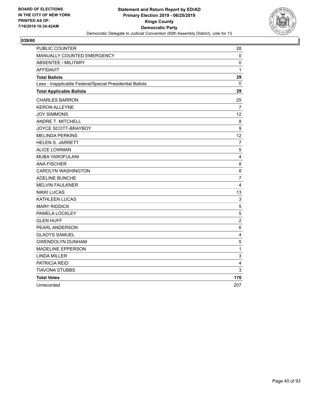

| <b>PUBLIC COUNTER</b>                                    | 28             |
|----------------------------------------------------------|----------------|
| <b>MANUALLY COUNTED EMERGENCY</b>                        | 0              |
| <b>ABSENTEE / MILITARY</b>                               | 0              |
| <b>AFFIDAVIT</b>                                         | $\mathbf{1}$   |
| <b>Total Ballots</b>                                     | 29             |
| Less - Inapplicable Federal/Special Presidential Ballots | 0              |
| <b>Total Applicable Ballots</b>                          | 29             |
| <b>CHARLES BARRON</b>                                    | 25             |
| <b>KERON ALLEYNE</b>                                     | 7              |
| <b>JOY SIMMONS</b>                                       | 12             |
| ANDRE T. MITCHELL                                        | 8              |
| JOYCE SCOTT-BRAYBOY                                      | 9              |
| <b>MELINDA PERKINS</b>                                   | 12             |
| <b>HELEN S. JARRETT</b>                                  | $\overline{7}$ |
| <b>ALICE LOWMAN</b>                                      | 5              |
| MUBA YAROFULANI                                          | $\overline{4}$ |
| <b>ANA FISCHER</b>                                       | 8              |
| <b>CAROLYN WASHINGTON</b>                                | 8              |
| ADELINE BUNCHE                                           | 7              |
| <b>MELVIN FAULKNER</b>                                   | $\overline{4}$ |
| <b>NIKKI LUCAS</b>                                       | 13             |
| <b>KATHLEEN LUCAS</b>                                    | $\mathsf 3$    |
| <b>MARY RIDDICK</b>                                      | 5              |
| PAMELA LOCKLEY                                           | 5              |
| <b>GLEN HUFF</b>                                         | $\overline{2}$ |
| PEARL ANDERSON                                           | 6              |
| <b>GLADYS SAMUEL</b>                                     | 4              |
| <b>GWENDOLYN DUNHAM</b>                                  | 5              |
| <b>MADELINE EPPERSON</b>                                 | 1              |
| <b>LINDA MILLER</b>                                      | 3              |
| PATRICIA REID                                            | 4              |
| <b>TIAVONA STUBBS</b>                                    | 3              |
| <b>Total Votes</b>                                       | 170            |
| Unrecorded                                               | 207            |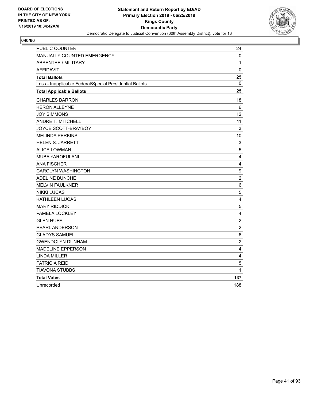

| <b>PUBLIC COUNTER</b>                                    | 24                      |
|----------------------------------------------------------|-------------------------|
| <b>MANUALLY COUNTED EMERGENCY</b>                        | 0                       |
| <b>ABSENTEE / MILITARY</b>                               | 1                       |
| <b>AFFIDAVIT</b>                                         | $\mathbf 0$             |
| <b>Total Ballots</b>                                     | 25                      |
| Less - Inapplicable Federal/Special Presidential Ballots | 0                       |
| <b>Total Applicable Ballots</b>                          | 25                      |
| <b>CHARLES BARRON</b>                                    | 18                      |
| <b>KERON ALLEYNE</b>                                     | 6                       |
| <b>JOY SIMMONS</b>                                       | 12                      |
| ANDRE T. MITCHELL                                        | 11                      |
| JOYCE SCOTT-BRAYBOY                                      | 3                       |
| <b>MELINDA PERKINS</b>                                   | 10                      |
| <b>HELEN S. JARRETT</b>                                  | 3                       |
| <b>ALICE LOWMAN</b>                                      | 5                       |
| MUBA YAROFULANI                                          | $\overline{4}$          |
| <b>ANA FISCHER</b>                                       | 4                       |
| <b>CAROLYN WASHINGTON</b>                                | 9                       |
| ADELINE BUNCHE                                           | $\overline{2}$          |
| <b>MELVIN FAULKNER</b>                                   | 6                       |
| <b>NIKKI LUCAS</b>                                       | 5                       |
| <b>KATHLEEN LUCAS</b>                                    | 4                       |
| <b>MARY RIDDICK</b>                                      | 5                       |
| PAMELA LOCKLEY                                           | 4                       |
| <b>GLEN HUFF</b>                                         | $\overline{2}$          |
| PEARL ANDERSON                                           | $\overline{c}$          |
| <b>GLADYS SAMUEL</b>                                     | 6                       |
| <b>GWENDOLYN DUNHAM</b>                                  | $\overline{2}$          |
| <b>MADELINE EPPERSON</b>                                 | 4                       |
| <b>LINDA MILLER</b>                                      | $\overline{\mathbf{4}}$ |
| PATRICIA REID                                            | 5                       |
| <b>TIAVONA STUBBS</b>                                    | 1                       |
| <b>Total Votes</b>                                       | 137                     |
| Unrecorded                                               | 188                     |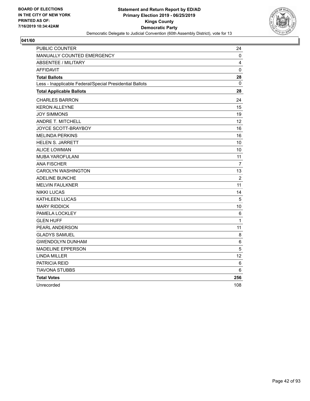

| <b>PUBLIC COUNTER</b>                                    | 24              |
|----------------------------------------------------------|-----------------|
| <b>MANUALLY COUNTED EMERGENCY</b>                        | 0               |
| <b>ABSENTEE / MILITARY</b>                               | 4               |
| <b>AFFIDAVIT</b>                                         | $\mathbf 0$     |
| <b>Total Ballots</b>                                     | 28              |
| Less - Inapplicable Federal/Special Presidential Ballots | 0               |
| <b>Total Applicable Ballots</b>                          | 28              |
| <b>CHARLES BARRON</b>                                    | 24              |
| <b>KERON ALLEYNE</b>                                     | 15              |
| <b>JOY SIMMONS</b>                                       | 19              |
| ANDRE T. MITCHELL                                        | 12 <sup>2</sup> |
| JOYCE SCOTT-BRAYBOY                                      | 16              |
| <b>MELINDA PERKINS</b>                                   | 16              |
| <b>HELEN S. JARRETT</b>                                  | 10              |
| <b>ALICE LOWMAN</b>                                      | 10              |
| MUBA YAROFULANI                                          | 11              |
| <b>ANA FISCHER</b>                                       | $\overline{7}$  |
| <b>CAROLYN WASHINGTON</b>                                | 13              |
| ADELINE BUNCHE                                           | $\overline{2}$  |
| <b>MELVIN FAULKNER</b>                                   | 11              |
| <b>NIKKI LUCAS</b>                                       | 14              |
| <b>KATHLEEN LUCAS</b>                                    | 5               |
| <b>MARY RIDDICK</b>                                      | 10              |
| PAMELA LOCKLEY                                           | 6               |
| <b>GLEN HUFF</b>                                         | 1               |
| <b>PEARL ANDERSON</b>                                    | 11              |
| <b>GLADYS SAMUEL</b>                                     | 8               |
| <b>GWENDOLYN DUNHAM</b>                                  | 6               |
| <b>MADELINE EPPERSON</b>                                 | 5               |
| <b>LINDA MILLER</b>                                      | 12              |
| PATRICIA REID                                            | 6               |
| <b>TIAVONA STUBBS</b>                                    | 6               |
| <b>Total Votes</b>                                       | 256             |
| Unrecorded                                               | 108             |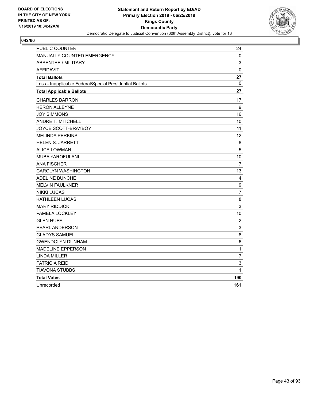

| <b>PUBLIC COUNTER</b>                                    | 24             |
|----------------------------------------------------------|----------------|
| MANUALLY COUNTED EMERGENCY                               | 0              |
| <b>ABSENTEE / MILITARY</b>                               | 3              |
| <b>AFFIDAVIT</b>                                         | $\mathbf 0$    |
| <b>Total Ballots</b>                                     | 27             |
| Less - Inapplicable Federal/Special Presidential Ballots | $\mathbf{0}$   |
| <b>Total Applicable Ballots</b>                          | 27             |
| <b>CHARLES BARRON</b>                                    | 17             |
| <b>KERON ALLEYNE</b>                                     | 9              |
| <b>JOY SIMMONS</b>                                       | 16             |
| <b>ANDRE T. MITCHELL</b>                                 | 10             |
| JOYCE SCOTT-BRAYBOY                                      | 11             |
| <b>MELINDA PERKINS</b>                                   | 12             |
| <b>HELEN S. JARRETT</b>                                  | 8              |
| <b>ALICE LOWMAN</b>                                      | 5              |
| MUBA YAROFULANI                                          | 10             |
| <b>ANA FISCHER</b>                                       | $\overline{7}$ |
| <b>CAROLYN WASHINGTON</b>                                | 13             |
| <b>ADELINE BUNCHE</b>                                    | 4              |
| <b>MELVIN FAULKNER</b>                                   | 9              |
| <b>NIKKI LUCAS</b>                                       | $\overline{7}$ |
| KATHLEEN LUCAS                                           | 8              |
| <b>MARY RIDDICK</b>                                      | 3              |
| PAMELA LOCKLEY                                           | 10             |
| <b>GLEN HUFF</b>                                         | $\overline{c}$ |
| PEARL ANDERSON                                           | 3              |
| <b>GLADYS SAMUEL</b>                                     | 8              |
| <b>GWENDOLYN DUNHAM</b>                                  | 6              |
| <b>MADELINE EPPERSON</b>                                 | $\mathbf 1$    |
| <b>LINDA MILLER</b>                                      | $\overline{7}$ |
| PATRICIA REID                                            | 3              |
| TIAVONA STUBBS                                           | 1              |
| <b>Total Votes</b>                                       | 190            |
| Unrecorded                                               | 161            |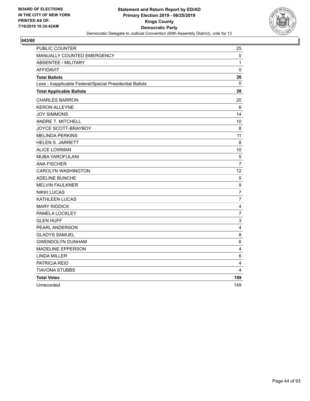

| <b>PUBLIC COUNTER</b>                                    | 25                        |
|----------------------------------------------------------|---------------------------|
| MANUALLY COUNTED EMERGENCY                               | 0                         |
| <b>ABSENTEE / MILITARY</b>                               | 1                         |
| <b>AFFIDAVIT</b>                                         | 0                         |
| <b>Total Ballots</b>                                     | 26                        |
| Less - Inapplicable Federal/Special Presidential Ballots | $\mathbf{0}$              |
| <b>Total Applicable Ballots</b>                          | 26                        |
| <b>CHARLES BARRON</b>                                    | 20                        |
| <b>KERON ALLEYNE</b>                                     | 6                         |
| <b>JOY SIMMONS</b>                                       | 14                        |
| ANDRE T. MITCHELL                                        | 10                        |
| JOYCE SCOTT-BRAYBOY                                      | 8                         |
| <b>MELINDA PERKINS</b>                                   | 11                        |
| <b>HELEN S. JARRETT</b>                                  | 8                         |
| <b>ALICE LOWMAN</b>                                      | 10                        |
| <b>MUBA YAROFULANI</b>                                   | $\overline{5}$            |
| <b>ANA FISCHER</b>                                       | $\overline{7}$            |
| <b>CAROLYN WASHINGTON</b>                                | 12                        |
| <b>ADELINE BUNCHE</b>                                    | 5                         |
| <b>MELVIN FAULKNER</b>                                   | 9                         |
| <b>NIKKI LUCAS</b>                                       | $\overline{7}$            |
| KATHLEEN LUCAS                                           | $\overline{7}$            |
| <b>MARY RIDDICK</b>                                      | 4                         |
| PAMELA LOCKLEY                                           | $\overline{7}$            |
| <b>GLEN HUFF</b>                                         | $\ensuremath{\mathsf{3}}$ |
| <b>PEARL ANDERSON</b>                                    | $\overline{4}$            |
| <b>GLADYS SAMUEL</b>                                     | 8                         |
| <b>GWENDOLYN DUNHAM</b>                                  | 6                         |
| <b>MADELINE EPPERSON</b>                                 | 4                         |
| <b>LINDA MILLER</b>                                      | 6                         |
| PATRICIA REID                                            | 4                         |
| TIAVONA STUBBS                                           | 4                         |
| <b>Total Votes</b>                                       | 189                       |
| Unrecorded                                               | 149                       |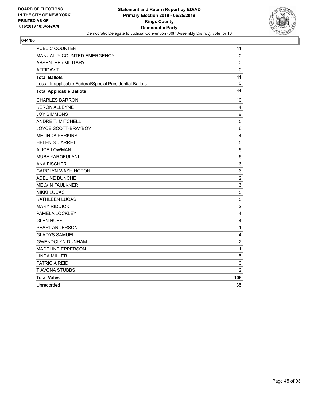

| <b>PUBLIC COUNTER</b>                                    | 11                      |
|----------------------------------------------------------|-------------------------|
| MANUALLY COUNTED EMERGENCY                               | 0                       |
| <b>ABSENTEE / MILITARY</b>                               | 0                       |
| <b>AFFIDAVIT</b>                                         | 0                       |
| <b>Total Ballots</b>                                     | 11                      |
| Less - Inapplicable Federal/Special Presidential Ballots | $\Omega$                |
| <b>Total Applicable Ballots</b>                          | 11                      |
| <b>CHARLES BARRON</b>                                    | 10                      |
| <b>KERON ALLEYNE</b>                                     | 4                       |
| <b>JOY SIMMONS</b>                                       | 9                       |
| <b>ANDRE T. MITCHELL</b>                                 | $\sqrt{5}$              |
| JOYCE SCOTT-BRAYBOY                                      | 6                       |
| <b>MELINDA PERKINS</b>                                   | $\overline{4}$          |
| <b>HELEN S. JARRETT</b>                                  | $\sqrt{5}$              |
| <b>ALICE LOWMAN</b>                                      | 5                       |
| <b>MUBA YAROFULANI</b>                                   | $\sqrt{5}$              |
| <b>ANA FISCHER</b>                                       | 6                       |
| <b>CAROLYN WASHINGTON</b>                                | 6                       |
| <b>ADELINE BUNCHE</b>                                    | $\overline{c}$          |
| <b>MELVIN FAULKNER</b>                                   | 3                       |
| <b>NIKKI LUCAS</b>                                       | 5                       |
| KATHLEEN LUCAS                                           | $\mathbf 5$             |
| <b>MARY RIDDICK</b>                                      | $\overline{c}$          |
| PAMELA LOCKLEY                                           | $\overline{\mathbf{4}}$ |
| <b>GLEN HUFF</b>                                         | $\overline{\mathbf{4}}$ |
| PEARL ANDERSON                                           | $\mathbf{1}$            |
| <b>GLADYS SAMUEL</b>                                     | $\overline{\mathbf{4}}$ |
| <b>GWENDOLYN DUNHAM</b>                                  | $\sqrt{2}$              |
| <b>MADELINE EPPERSON</b>                                 | 1                       |
| <b>LINDA MILLER</b>                                      | $\sqrt{5}$              |
| PATRICIA REID                                            | 3                       |
| <b>TIAVONA STUBBS</b>                                    | $\overline{2}$          |
| <b>Total Votes</b>                                       | 108                     |
| Unrecorded                                               | 35                      |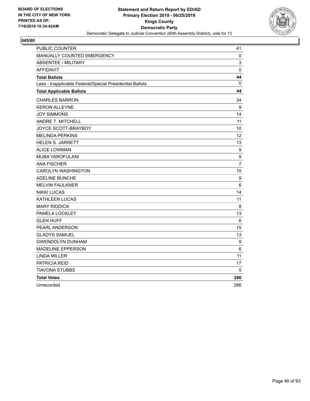

| <b>PUBLIC COUNTER</b>                                    | 41               |
|----------------------------------------------------------|------------------|
| <b>MANUALLY COUNTED EMERGENCY</b>                        | 0                |
| <b>ABSENTEE / MILITARY</b>                               | 3                |
| <b>AFFIDAVIT</b>                                         | $\mathbf 0$      |
| <b>Total Ballots</b>                                     | 44               |
| Less - Inapplicable Federal/Special Presidential Ballots | $\mathbf{0}$     |
| <b>Total Applicable Ballots</b>                          | 44               |
| <b>CHARLES BARRON</b>                                    | 34               |
| <b>KERON ALLEYNE</b>                                     | 9                |
| <b>JOY SIMMONS</b>                                       | 14               |
| ANDRE T. MITCHELL                                        | 11               |
| JOYCE SCOTT-BRAYBOY                                      | 10               |
| <b>MELINDA PERKINS</b>                                   | 12               |
| <b>HELEN S. JARRETT</b>                                  | 13               |
| <b>ALICE LOWMAN</b>                                      | 9                |
| <b>MUBA YAROFULANI</b>                                   | 9                |
| <b>ANA FISCHER</b>                                       | $\overline{7}$   |
| <b>CAROLYN WASHINGTON</b>                                | 15               |
| <b>ADELINE BUNCHE</b>                                    | 9                |
| <b>MELVIN FAULKNER</b>                                   | 6                |
| <b>NIKKI LUCAS</b>                                       | 14               |
| KATHLEEN LUCAS                                           | 11               |
| <b>MARY RIDDICK</b>                                      | 8                |
| PAMELA LOCKLEY                                           | 13               |
| <b>GLEN HUFF</b>                                         | 6                |
| PEARL ANDERSON                                           | 15               |
| <b>GLADYS SAMUEL</b>                                     | 13               |
| <b>GWENDOLYN DUNHAM</b>                                  | $\boldsymbol{9}$ |
| <b>MADELINE EPPERSON</b>                                 | 6                |
| <b>LINDA MILLER</b>                                      | 11               |
| PATRICIA REID                                            | 17               |
| TIAVONA STUBBS                                           | 5                |
| <b>Total Votes</b>                                       | 286              |
| Unrecorded                                               | 286              |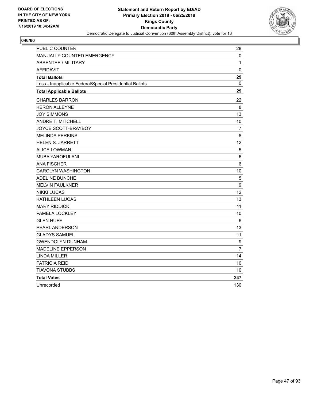

| PUBLIC COUNTER                                           | 28              |
|----------------------------------------------------------|-----------------|
| <b>MANUALLY COUNTED EMERGENCY</b>                        | 0               |
| <b>ABSENTEE / MILITARY</b>                               | 1               |
| <b>AFFIDAVIT</b>                                         | $\mathbf 0$     |
| <b>Total Ballots</b>                                     | 29              |
| Less - Inapplicable Federal/Special Presidential Ballots | 0               |
| <b>Total Applicable Ballots</b>                          | 29              |
| <b>CHARLES BARRON</b>                                    | 22              |
| <b>KERON ALLEYNE</b>                                     | 8               |
| <b>JOY SIMMONS</b>                                       | 13              |
| <b>ANDRE T. MITCHELL</b>                                 | 10              |
| JOYCE SCOTT-BRAYBOY                                      | $\overline{7}$  |
| <b>MELINDA PERKINS</b>                                   | 8               |
| <b>HELEN S. JARRETT</b>                                  | 12 <sup>2</sup> |
| <b>ALICE LOWMAN</b>                                      | 5               |
| <b>MUBA YAROFULANI</b>                                   | 6               |
| <b>ANA FISCHER</b>                                       | 6               |
| <b>CAROLYN WASHINGTON</b>                                | 10              |
| <b>ADELINE BUNCHE</b>                                    | $\sqrt{5}$      |
| <b>MELVIN FAULKNER</b>                                   | 9               |
| <b>NIKKI LUCAS</b>                                       | 12              |
| KATHLEEN LUCAS                                           | 13              |
| <b>MARY RIDDICK</b>                                      | 11              |
| PAMELA LOCKLEY                                           | 10              |
| <b>GLEN HUFF</b>                                         | 6               |
| PEARL ANDERSON                                           | 13              |
| <b>GLADYS SAMUEL</b>                                     | 11              |
| <b>GWENDOLYN DUNHAM</b>                                  | 9               |
| <b>MADELINE EPPERSON</b>                                 | $\overline{7}$  |
| <b>LINDA MILLER</b>                                      | 14              |
| PATRICIA REID                                            | 10              |
| <b>TIAVONA STUBBS</b>                                    | 10              |
| <b>Total Votes</b>                                       | 247             |
| Unrecorded                                               | 130             |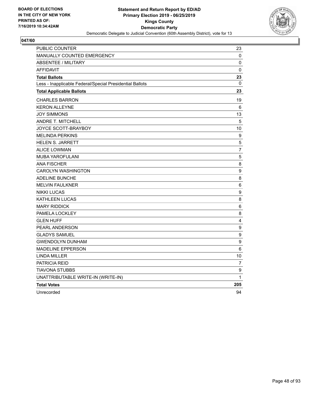

| PUBLIC COUNTER                                           | 23               |
|----------------------------------------------------------|------------------|
| MANUALLY COUNTED EMERGENCY                               | 0                |
| <b>ABSENTEE / MILITARY</b>                               | 0                |
| <b>AFFIDAVIT</b>                                         | 0                |
| <b>Total Ballots</b>                                     | 23               |
| Less - Inapplicable Federal/Special Presidential Ballots | 0                |
| <b>Total Applicable Ballots</b>                          | 23               |
| <b>CHARLES BARRON</b>                                    | 19               |
| <b>KERON ALLEYNE</b>                                     | 6                |
| <b>JOY SIMMONS</b>                                       | 13               |
| ANDRE T. MITCHELL                                        | 5                |
| JOYCE SCOTT-BRAYBOY                                      | 10               |
| <b>MELINDA PERKINS</b>                                   | 9                |
| <b>HELEN S. JARRETT</b>                                  | 5                |
| <b>ALICE LOWMAN</b>                                      | $\overline{7}$   |
| <b>MUBA YAROFULANI</b>                                   | $\sqrt{5}$       |
| <b>ANA FISCHER</b>                                       | 8                |
| <b>CAROLYN WASHINGTON</b>                                | 9                |
| <b>ADELINE BUNCHE</b>                                    | 8                |
| <b>MELVIN FAULKNER</b>                                   | $\,6\,$          |
| <b>NIKKI LUCAS</b>                                       | $\boldsymbol{9}$ |
| KATHLEEN LUCAS                                           | 8                |
| <b>MARY RIDDICK</b>                                      | 6                |
| PAMELA LOCKLEY                                           | 8                |
| <b>GLEN HUFF</b>                                         | 4                |
| PEARL ANDERSON                                           | $\boldsymbol{9}$ |
| <b>GLADYS SAMUEL</b>                                     | 9                |
| <b>GWENDOLYN DUNHAM</b>                                  | $\boldsymbol{9}$ |
| <b>MADELINE EPPERSON</b>                                 | 6                |
| <b>LINDA MILLER</b>                                      | 10               |
| <b>PATRICIA REID</b>                                     | $\overline{7}$   |
| <b>TIAVONA STUBBS</b>                                    | $\boldsymbol{9}$ |
| UNATTRIBUTABLE WRITE-IN (WRITE-IN)                       | 1                |
| <b>Total Votes</b>                                       | 205              |
| Unrecorded                                               | 94               |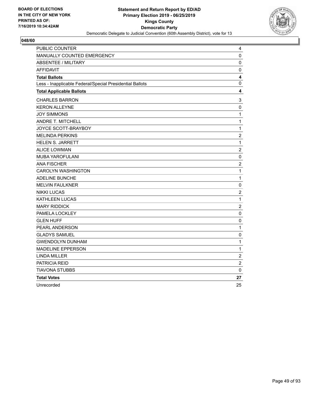

| PUBLIC COUNTER                                           | 4              |
|----------------------------------------------------------|----------------|
| MANUALLY COUNTED EMERGENCY                               | 0              |
| <b>ABSENTEE / MILITARY</b>                               | $\mathbf 0$    |
| <b>AFFIDAVIT</b>                                         | $\pmb{0}$      |
| <b>Total Ballots</b>                                     | 4              |
| Less - Inapplicable Federal/Special Presidential Ballots | 0              |
| <b>Total Applicable Ballots</b>                          | 4              |
| <b>CHARLES BARRON</b>                                    | 3              |
| <b>KERON ALLEYNE</b>                                     | $\pmb{0}$      |
| <b>JOY SIMMONS</b>                                       | $\mathbf 1$    |
| ANDRE T. MITCHELL                                        | 1              |
| JOYCE SCOTT-BRAYBOY                                      | $\mathbf{1}$   |
| <b>MELINDA PERKINS</b>                                   | $\overline{c}$ |
| <b>HELEN S. JARRETT</b>                                  | $\mathbf 1$    |
| <b>ALICE LOWMAN</b>                                      | $\overline{c}$ |
| MUBA YAROFULANI                                          | $\pmb{0}$      |
| <b>ANA FISCHER</b>                                       | $\overline{c}$ |
| CAROLYN WASHINGTON                                       | $\mathbf 1$    |
| <b>ADELINE BUNCHE</b>                                    | $\mathbf{1}$   |
| <b>MELVIN FAULKNER</b>                                   | $\pmb{0}$      |
| <b>NIKKI LUCAS</b>                                       | $\overline{c}$ |
| KATHLEEN LUCAS                                           | 1              |
| <b>MARY RIDDICK</b>                                      | $\overline{c}$ |
| PAMELA LOCKLEY                                           | 0              |
| <b>GLEN HUFF</b>                                         | $\pmb{0}$      |
| PEARL ANDERSON                                           | $\mathbf{1}$   |
| <b>GLADYS SAMUEL</b>                                     | 0              |
| <b>GWENDOLYN DUNHAM</b>                                  | 1              |
| <b>MADELINE EPPERSON</b>                                 | 1              |
| <b>LINDA MILLER</b>                                      | $\overline{c}$ |
| PATRICIA REID                                            | $\overline{2}$ |
| TIAVONA STUBBS                                           | 0              |
| <b>Total Votes</b>                                       | 27             |
| Unrecorded                                               | 25             |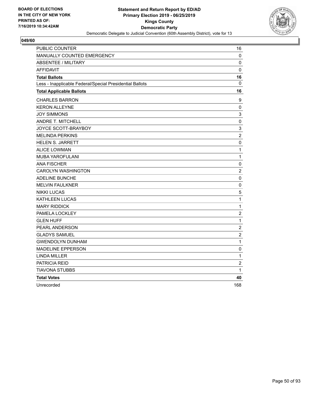

| <b>PUBLIC COUNTER</b>                                    | 16               |
|----------------------------------------------------------|------------------|
| MANUALLY COUNTED EMERGENCY                               | 0                |
| <b>ABSENTEE / MILITARY</b>                               | 0                |
| <b>AFFIDAVIT</b>                                         | 0                |
| <b>Total Ballots</b>                                     | 16               |
| Less - Inapplicable Federal/Special Presidential Ballots | 0                |
| <b>Total Applicable Ballots</b>                          | 16               |
| <b>CHARLES BARRON</b>                                    | 9                |
| <b>KERON ALLEYNE</b>                                     | $\pmb{0}$        |
| <b>JOY SIMMONS</b>                                       | 3                |
| ANDRE T. MITCHELL                                        | $\pmb{0}$        |
| JOYCE SCOTT-BRAYBOY                                      | $\mathsf 3$      |
| <b>MELINDA PERKINS</b>                                   | $\boldsymbol{2}$ |
| <b>HELEN S. JARRETT</b>                                  | $\pmb{0}$        |
| <b>ALICE LOWMAN</b>                                      | $\mathbf{1}$     |
| <b>MUBA YAROFULANI</b>                                   | $\mathbf 1$      |
| <b>ANA FISCHER</b>                                       | $\mathbf 0$      |
| <b>CAROLYN WASHINGTON</b>                                | $\overline{2}$   |
| <b>ADELINE BUNCHE</b>                                    | $\mathbf 0$      |
| <b>MELVIN FAULKNER</b>                                   | $\pmb{0}$        |
| <b>NIKKI LUCAS</b>                                       | 5                |
| KATHLEEN LUCAS                                           | 1                |
| <b>MARY RIDDICK</b>                                      | $\mathbf 1$      |
| PAMELA LOCKLEY                                           | $\overline{c}$   |
| <b>GLEN HUFF</b>                                         | $\mathbf 1$      |
| <b>PEARL ANDERSON</b>                                    | $\overline{c}$   |
| <b>GLADYS SAMUEL</b>                                     | $\overline{c}$   |
| <b>GWENDOLYN DUNHAM</b>                                  | $\mathbf{1}$     |
| <b>MADELINE EPPERSON</b>                                 | 0                |
| <b>LINDA MILLER</b>                                      | $\mathbf 1$      |
| PATRICIA REID                                            | $\boldsymbol{2}$ |
| TIAVONA STUBBS                                           | 1                |
| <b>Total Votes</b>                                       | 40               |
| Unrecorded                                               | 168              |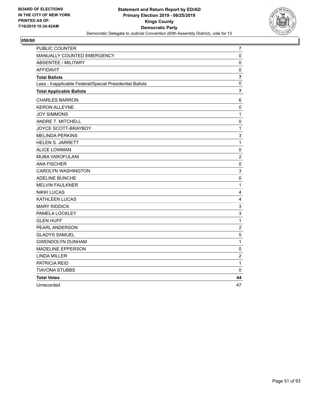

| PUBLIC COUNTER                                           | $\overline{7}$            |
|----------------------------------------------------------|---------------------------|
| MANUALLY COUNTED EMERGENCY                               | 0                         |
| <b>ABSENTEE / MILITARY</b>                               | $\mathbf 0$               |
| <b>AFFIDAVIT</b>                                         | $\pmb{0}$                 |
| <b>Total Ballots</b>                                     | $\overline{7}$            |
| Less - Inapplicable Federal/Special Presidential Ballots | 0                         |
| <b>Total Applicable Ballots</b>                          | 7                         |
| <b>CHARLES BARRON</b>                                    | 6                         |
| <b>KERON ALLEYNE</b>                                     | $\pmb{0}$                 |
| <b>JOY SIMMONS</b>                                       | 1                         |
| ANDRE T. MITCHELL                                        | 0                         |
| JOYCE SCOTT-BRAYBOY                                      | $\mathbf{1}$              |
| <b>MELINDA PERKINS</b>                                   | 3                         |
| <b>HELEN S. JARRETT</b>                                  | $\mathbf{1}$              |
| <b>ALICE LOWMAN</b>                                      | $\pmb{0}$                 |
| MUBA YAROFULANI                                          | $\overline{c}$            |
| <b>ANA FISCHER</b>                                       | 0                         |
| CAROLYN WASHINGTON                                       | $\mathsf 3$               |
| <b>ADELINE BUNCHE</b>                                    | $\mathbf 0$               |
| <b>MELVIN FAULKNER</b>                                   | $\mathbf{1}$              |
| <b>NIKKI LUCAS</b>                                       | 4                         |
| KATHLEEN LUCAS                                           | 4                         |
| <b>MARY RIDDICK</b>                                      | $\ensuremath{\mathsf{3}}$ |
| PAMELA LOCKLEY                                           | 3                         |
| <b>GLEN HUFF</b>                                         | $\mathbf 1$               |
| PEARL ANDERSON                                           | $\overline{c}$            |
| <b>GLADYS SAMUEL</b>                                     | 5                         |
| <b>GWENDOLYN DUNHAM</b>                                  | 1                         |
| <b>MADELINE EPPERSON</b>                                 | 0                         |
| <b>LINDA MILLER</b>                                      | $\boldsymbol{2}$          |
| PATRICIA REID                                            | 1                         |
| TIAVONA STUBBS                                           | 0                         |
| <b>Total Votes</b>                                       | 44                        |
| Unrecorded                                               | 47                        |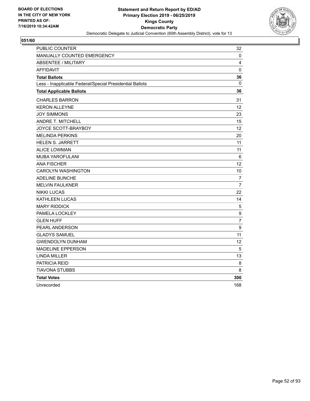

| <b>PUBLIC COUNTER</b>                                    | 32                |
|----------------------------------------------------------|-------------------|
| MANUALLY COUNTED EMERGENCY                               | 0                 |
| <b>ABSENTEE / MILITARY</b>                               | 4                 |
| <b>AFFIDAVIT</b>                                         | $\mathbf 0$       |
| <b>Total Ballots</b>                                     | 36                |
| Less - Inapplicable Federal/Special Presidential Ballots | 0                 |
| <b>Total Applicable Ballots</b>                          | 36                |
| <b>CHARLES BARRON</b>                                    | 31                |
| <b>KERON ALLEYNE</b>                                     | $12 \overline{ }$ |
| <b>JOY SIMMONS</b>                                       | 23                |
| <b>ANDRE T. MITCHELL</b>                                 | 15                |
| JOYCE SCOTT-BRAYBOY                                      | 12                |
| <b>MELINDA PERKINS</b>                                   | 20                |
| <b>HELEN S. JARRETT</b>                                  | 11                |
| <b>ALICE LOWMAN</b>                                      | 11                |
| <b>MUBA YAROFULANI</b>                                   | 6                 |
| <b>ANA FISCHER</b>                                       | 12                |
| <b>CAROLYN WASHINGTON</b>                                | 10                |
| <b>ADELINE BUNCHE</b>                                    | 7                 |
| <b>MELVIN FAULKNER</b>                                   | $\overline{7}$    |
| <b>NIKKI LUCAS</b>                                       | 22                |
| <b>KATHLEEN LUCAS</b>                                    | 14                |
| <b>MARY RIDDICK</b>                                      | 5                 |
| PAMELA LOCKLEY                                           | 9                 |
| <b>GLEN HUFF</b>                                         | $\overline{7}$    |
| PEARL ANDERSON                                           | 9                 |
| <b>GLADYS SAMUEL</b>                                     | 11                |
| <b>GWENDOLYN DUNHAM</b>                                  | 12                |
| <b>MADELINE EPPERSON</b>                                 | 5                 |
| <b>LINDA MILLER</b>                                      | 13                |
| PATRICIA REID                                            | 8                 |
| <b>TIAVONA STUBBS</b>                                    | 8                 |
| <b>Total Votes</b>                                       | 300               |
| Unrecorded                                               | 168               |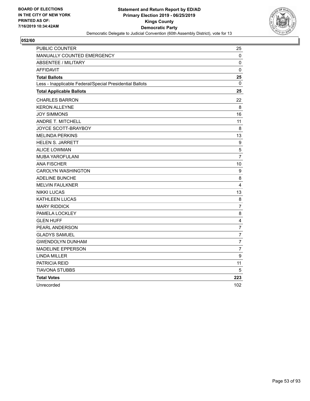

| <b>PUBLIC COUNTER</b>                                    | 25               |
|----------------------------------------------------------|------------------|
| <b>MANUALLY COUNTED EMERGENCY</b>                        | 0                |
| <b>ABSENTEE / MILITARY</b>                               | 0                |
| <b>AFFIDAVIT</b>                                         | $\mathbf 0$      |
| <b>Total Ballots</b>                                     | 25               |
| Less - Inapplicable Federal/Special Presidential Ballots | 0                |
| <b>Total Applicable Ballots</b>                          | 25               |
| <b>CHARLES BARRON</b>                                    | 22               |
| <b>KERON ALLEYNE</b>                                     | 8                |
| <b>JOY SIMMONS</b>                                       | 16               |
| ANDRE T. MITCHELL                                        | 11               |
| JOYCE SCOTT-BRAYBOY                                      | 8                |
| <b>MELINDA PERKINS</b>                                   | 13               |
| <b>HELEN S. JARRETT</b>                                  | 9                |
| <b>ALICE LOWMAN</b>                                      | 5                |
| MUBA YAROFULANI                                          | $\overline{7}$   |
| <b>ANA FISCHER</b>                                       | 10               |
| <b>CAROLYN WASHINGTON</b>                                | 9                |
| ADELINE BUNCHE                                           | 8                |
| <b>MELVIN FAULKNER</b>                                   | $\overline{4}$   |
| <b>NIKKI LUCAS</b>                                       | 13               |
| <b>KATHLEEN LUCAS</b>                                    | 8                |
| <b>MARY RIDDICK</b>                                      | $\overline{7}$   |
| PAMELA LOCKLEY                                           | 8                |
| <b>GLEN HUFF</b>                                         | 4                |
| PEARL ANDERSON                                           | $\overline{7}$   |
| <b>GLADYS SAMUEL</b>                                     | $\overline{7}$   |
| <b>GWENDOLYN DUNHAM</b>                                  | 7                |
| <b>MADELINE EPPERSON</b>                                 | $\overline{7}$   |
| <b>LINDA MILLER</b>                                      | $\boldsymbol{9}$ |
| PATRICIA REID                                            | 11               |
| <b>TIAVONA STUBBS</b>                                    | 5                |
| <b>Total Votes</b>                                       | 223              |
| Unrecorded                                               | 102              |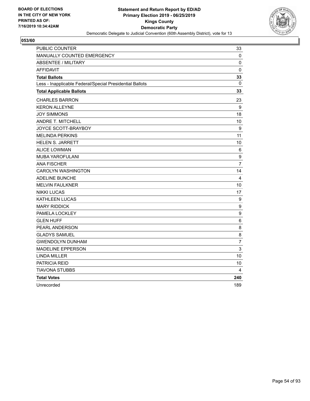

| PUBLIC COUNTER                                           | 33               |
|----------------------------------------------------------|------------------|
| MANUALLY COUNTED EMERGENCY                               | 0                |
| <b>ABSENTEE / MILITARY</b>                               | 0                |
| <b>AFFIDAVIT</b>                                         | $\mathbf 0$      |
| <b>Total Ballots</b>                                     | 33               |
| Less - Inapplicable Federal/Special Presidential Ballots | $\mathbf{0}$     |
| <b>Total Applicable Ballots</b>                          | 33               |
| <b>CHARLES BARRON</b>                                    | 23               |
| <b>KERON ALLEYNE</b>                                     | 9                |
| <b>JOY SIMMONS</b>                                       | 18               |
| ANDRE T. MITCHELL                                        | 10               |
| JOYCE SCOTT-BRAYBOY                                      | 9                |
| <b>MELINDA PERKINS</b>                                   | 11               |
| <b>HELEN S. JARRETT</b>                                  | 10               |
| <b>ALICE LOWMAN</b>                                      | 6                |
| <b>MUBA YAROFULANI</b>                                   | $\boldsymbol{9}$ |
| <b>ANA FISCHER</b>                                       | $\overline{7}$   |
| <b>CAROLYN WASHINGTON</b>                                | 14               |
| <b>ADELINE BUNCHE</b>                                    | $\overline{4}$   |
| <b>MELVIN FAULKNER</b>                                   | 10               |
| <b>NIKKI LUCAS</b>                                       | 17               |
| KATHLEEN LUCAS                                           | 9                |
| <b>MARY RIDDICK</b>                                      | 9                |
| PAMELA LOCKLEY                                           | 9                |
| <b>GLEN HUFF</b>                                         | 6                |
| PEARL ANDERSON                                           | 8                |
| <b>GLADYS SAMUEL</b>                                     | 8                |
| <b>GWENDOLYN DUNHAM</b>                                  | $\overline{7}$   |
| <b>MADELINE EPPERSON</b>                                 | 3                |
| <b>LINDA MILLER</b>                                      | 10               |
| PATRICIA REID                                            | 10               |
| TIAVONA STUBBS                                           | 4                |
| <b>Total Votes</b>                                       | 240              |
| Unrecorded                                               | 189              |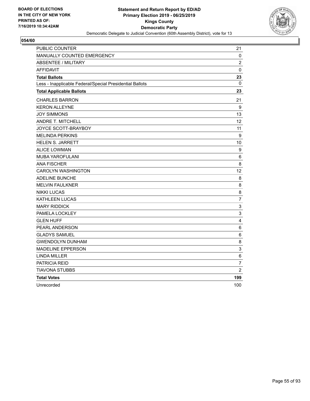

| <b>PUBLIC COUNTER</b>                                    | 21                        |
|----------------------------------------------------------|---------------------------|
| <b>MANUALLY COUNTED EMERGENCY</b>                        | 0                         |
| <b>ABSENTEE / MILITARY</b>                               | $\overline{2}$            |
| <b>AFFIDAVIT</b>                                         | $\mathbf 0$               |
| <b>Total Ballots</b>                                     | 23                        |
| Less - Inapplicable Federal/Special Presidential Ballots | 0                         |
| <b>Total Applicable Ballots</b>                          | 23                        |
| <b>CHARLES BARRON</b>                                    | 21                        |
| <b>KERON ALLEYNE</b>                                     | 9                         |
| <b>JOY SIMMONS</b>                                       | 13                        |
| ANDRE T. MITCHELL                                        | $12 \overline{ }$         |
| JOYCE SCOTT-BRAYBOY                                      | 11                        |
| <b>MELINDA PERKINS</b>                                   | $\boldsymbol{9}$          |
| <b>HELEN S. JARRETT</b>                                  | 10                        |
| <b>ALICE LOWMAN</b>                                      | 9                         |
| MUBA YAROFULANI                                          | 6                         |
| <b>ANA FISCHER</b>                                       | 8                         |
| <b>CAROLYN WASHINGTON</b>                                | 12                        |
| ADELINE BUNCHE                                           | 8                         |
| <b>MELVIN FAULKNER</b>                                   | 8                         |
| <b>NIKKI LUCAS</b>                                       | 8                         |
| <b>KATHLEEN LUCAS</b>                                    | $\overline{7}$            |
| <b>MARY RIDDICK</b>                                      | $\ensuremath{\mathsf{3}}$ |
| PAMELA LOCKLEY                                           | 3                         |
| <b>GLEN HUFF</b>                                         | 4                         |
| PEARL ANDERSON                                           | 6                         |
| <b>GLADYS SAMUEL</b>                                     | 6                         |
| <b>GWENDOLYN DUNHAM</b>                                  | 8                         |
| <b>MADELINE EPPERSON</b>                                 | 3                         |
| <b>LINDA MILLER</b>                                      | 6                         |
| PATRICIA REID                                            | $\overline{7}$            |
| <b>TIAVONA STUBBS</b>                                    | $\overline{2}$            |
| <b>Total Votes</b>                                       | 199                       |
| Unrecorded                                               | 100                       |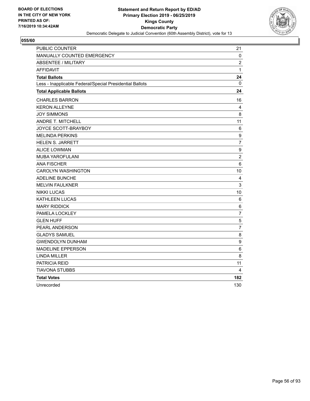

| <b>PUBLIC COUNTER</b>                                    | 21               |
|----------------------------------------------------------|------------------|
| <b>MANUALLY COUNTED EMERGENCY</b>                        | 0                |
| <b>ABSENTEE / MILITARY</b>                               | $\overline{2}$   |
| <b>AFFIDAVIT</b>                                         | $\mathbf{1}$     |
| <b>Total Ballots</b>                                     | 24               |
| Less - Inapplicable Federal/Special Presidential Ballots | 0                |
| <b>Total Applicable Ballots</b>                          | 24               |
| <b>CHARLES BARRON</b>                                    | 16               |
| <b>KERON ALLEYNE</b>                                     | 4                |
| <b>JOY SIMMONS</b>                                       | 8                |
| ANDRE T. MITCHELL                                        | 11               |
| JOYCE SCOTT-BRAYBOY                                      | 6                |
| <b>MELINDA PERKINS</b>                                   | $\boldsymbol{9}$ |
| <b>HELEN S. JARRETT</b>                                  | $\overline{7}$   |
| <b>ALICE LOWMAN</b>                                      | $\boldsymbol{9}$ |
| MUBA YAROFULANI                                          | $\overline{c}$   |
| <b>ANA FISCHER</b>                                       | 6                |
| <b>CAROLYN WASHINGTON</b>                                | 10               |
| ADELINE BUNCHE                                           | 4                |
| <b>MELVIN FAULKNER</b>                                   | 3                |
| <b>NIKKI LUCAS</b>                                       | 10               |
| <b>KATHLEEN LUCAS</b>                                    | 6                |
| <b>MARY RIDDICK</b>                                      | 6                |
| PAMELA LOCKLEY                                           | $\overline{7}$   |
| <b>GLEN HUFF</b>                                         | 5                |
| PEARL ANDERSON                                           | $\overline{7}$   |
| <b>GLADYS SAMUEL</b>                                     | 8                |
| <b>GWENDOLYN DUNHAM</b>                                  | 9                |
| <b>MADELINE EPPERSON</b>                                 | 6                |
| <b>LINDA MILLER</b>                                      | 8                |
| PATRICIA REID                                            | 11               |
| <b>TIAVONA STUBBS</b>                                    | 4                |
| <b>Total Votes</b>                                       | 182              |
| Unrecorded                                               | 130              |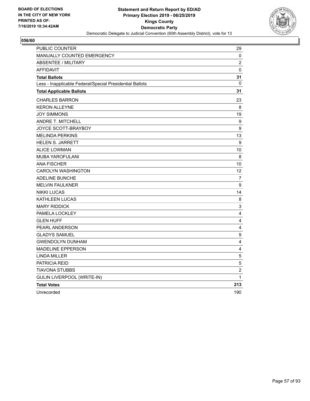

| PUBLIC COUNTER                                           | 29                      |
|----------------------------------------------------------|-------------------------|
| MANUALLY COUNTED EMERGENCY                               | 0                       |
| <b>ABSENTEE / MILITARY</b>                               | $\overline{c}$          |
| <b>AFFIDAVIT</b>                                         | $\pmb{0}$               |
| <b>Total Ballots</b>                                     | 31                      |
| Less - Inapplicable Federal/Special Presidential Ballots | 0                       |
| <b>Total Applicable Ballots</b>                          | 31                      |
| <b>CHARLES BARRON</b>                                    | 23                      |
| <b>KERON ALLEYNE</b>                                     | 8                       |
| <b>JOY SIMMONS</b>                                       | 19                      |
| ANDRE T. MITCHELL                                        | 9                       |
| JOYCE SCOTT-BRAYBOY                                      | $\boldsymbol{9}$        |
| <b>MELINDA PERKINS</b>                                   | 13                      |
| <b>HELEN S. JARRETT</b>                                  | $\boldsymbol{9}$        |
| <b>ALICE LOWMAN</b>                                      | 10                      |
| <b>MUBA YAROFULANI</b>                                   | 8                       |
| <b>ANA FISCHER</b>                                       | 10                      |
| <b>CAROLYN WASHINGTON</b>                                | 12                      |
| <b>ADELINE BUNCHE</b>                                    | $\overline{7}$          |
| <b>MELVIN FAULKNER</b>                                   | 9                       |
| <b>NIKKI LUCAS</b>                                       | 14                      |
| KATHLEEN LUCAS                                           | 8                       |
| <b>MARY RIDDICK</b>                                      | 3                       |
| PAMELA LOCKLEY                                           | 4                       |
| <b>GLEN HUFF</b>                                         | 4                       |
| PEARL ANDERSON                                           | 4                       |
| <b>GLADYS SAMUEL</b>                                     | 9                       |
| <b>GWENDOLYN DUNHAM</b>                                  | $\overline{\mathbf{4}}$ |
| <b>MADELINE EPPERSON</b>                                 | 4                       |
| <b>LINDA MILLER</b>                                      | 5                       |
| <b>PATRICIA REID</b>                                     | 5                       |
| <b>TIAVONA STUBBS</b>                                    | $\overline{c}$          |
| <b>GULIN LIVERPOOL (WRITE-IN)</b>                        | 1                       |
| <b>Total Votes</b>                                       | 213                     |
| Unrecorded                                               | 190                     |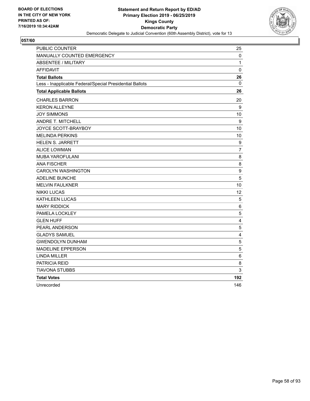

| PUBLIC COUNTER                                           | 25                      |
|----------------------------------------------------------|-------------------------|
| MANUALLY COUNTED EMERGENCY                               | 0                       |
| <b>ABSENTEE / MILITARY</b>                               | 1                       |
| <b>AFFIDAVIT</b>                                         | $\mathbf 0$             |
| <b>Total Ballots</b>                                     | 26                      |
| Less - Inapplicable Federal/Special Presidential Ballots | $\mathbf{0}$            |
| <b>Total Applicable Ballots</b>                          | 26                      |
| <b>CHARLES BARRON</b>                                    | 20                      |
| <b>KERON ALLEYNE</b>                                     | 9                       |
| <b>JOY SIMMONS</b>                                       | 10                      |
| <b>ANDRE T. MITCHELL</b>                                 | 9                       |
| JOYCE SCOTT-BRAYBOY                                      | 10                      |
| <b>MELINDA PERKINS</b>                                   | 10                      |
| <b>HELEN S. JARRETT</b>                                  | 9                       |
| <b>ALICE LOWMAN</b>                                      | $\overline{7}$          |
| MUBA YAROFULANI                                          | 8                       |
| <b>ANA FISCHER</b>                                       | 8                       |
| <b>CAROLYN WASHINGTON</b>                                | 9                       |
| ADELINE BUNCHE                                           | $\sqrt{5}$              |
| <b>MELVIN FAULKNER</b>                                   | 10                      |
| <b>NIKKI LUCAS</b>                                       | $12 \overline{ }$       |
| <b>KATHLEEN LUCAS</b>                                    | 5                       |
| <b>MARY RIDDICK</b>                                      | 6                       |
| PAMELA LOCKLEY                                           | $\mathbf 5$             |
| <b>GLEN HUFF</b>                                         | $\overline{\mathbf{4}}$ |
| PEARL ANDERSON                                           | 5                       |
| <b>GLADYS SAMUEL</b>                                     | 4                       |
| <b>GWENDOLYN DUNHAM</b>                                  | 5                       |
| <b>MADELINE EPPERSON</b>                                 | 5                       |
| <b>LINDA MILLER</b>                                      | $\,6\,$                 |
| PATRICIA REID                                            | 8                       |
| TIAVONA STUBBS                                           | 3                       |
| <b>Total Votes</b>                                       | 192                     |
| Unrecorded                                               | 146                     |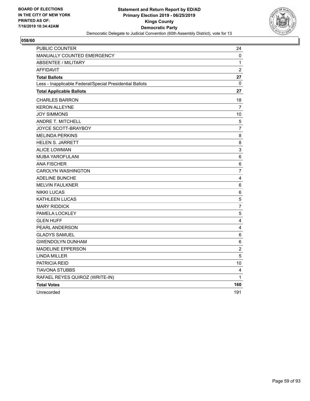

| PUBLIC COUNTER                                           | 24             |
|----------------------------------------------------------|----------------|
| MANUALLY COUNTED EMERGENCY                               | 0              |
| <b>ABSENTEE / MILITARY</b>                               | 1              |
| <b>AFFIDAVIT</b>                                         | $\overline{c}$ |
| <b>Total Ballots</b>                                     | 27             |
| Less - Inapplicable Federal/Special Presidential Ballots | 0              |
| <b>Total Applicable Ballots</b>                          | 27             |
| <b>CHARLES BARRON</b>                                    | 18             |
| <b>KERON ALLEYNE</b>                                     | $\overline{7}$ |
| <b>JOY SIMMONS</b>                                       | 10             |
| ANDRE T. MITCHELL                                        | $\sqrt{5}$     |
| JOYCE SCOTT-BRAYBOY                                      | $\overline{7}$ |
| <b>MELINDA PERKINS</b>                                   | $\,8\,$        |
| <b>HELEN S. JARRETT</b>                                  | 8              |
| <b>ALICE LOWMAN</b>                                      | 3              |
| <b>MUBA YAROFULANI</b>                                   | $\,6\,$        |
| <b>ANA FISCHER</b>                                       | 6              |
| <b>CAROLYN WASHINGTON</b>                                | $\overline{7}$ |
| <b>ADELINE BUNCHE</b>                                    | 4              |
| <b>MELVIN FAULKNER</b>                                   | $\,6\,$        |
| <b>NIKKI LUCAS</b>                                       | 6              |
| KATHLEEN LUCAS                                           | $\mathbf 5$    |
| <b>MARY RIDDICK</b>                                      | $\overline{7}$ |
| PAMELA LOCKLEY                                           | $\mathbf 5$    |
| <b>GLEN HUFF</b>                                         | $\overline{4}$ |
| PEARL ANDERSON                                           | 4              |
| <b>GLADYS SAMUEL</b>                                     | 6              |
| <b>GWENDOLYN DUNHAM</b>                                  | 6              |
| <b>MADELINE EPPERSON</b>                                 | $\overline{c}$ |
| <b>LINDA MILLER</b>                                      | 5              |
| <b>PATRICIA REID</b>                                     | 10             |
| <b>TIAVONA STUBBS</b>                                    | 4              |
| RAFAEL REYES QUIROZ (WRITE-IN)                           | 1              |
| <b>Total Votes</b>                                       | 160            |
| Unrecorded                                               | 191            |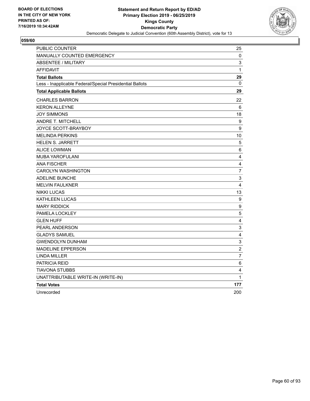

| PUBLIC COUNTER                                           | 25                      |
|----------------------------------------------------------|-------------------------|
| MANUALLY COUNTED EMERGENCY                               | 0                       |
| <b>ABSENTEE / MILITARY</b>                               | 3                       |
| <b>AFFIDAVIT</b>                                         | $\mathbf{1}$            |
| <b>Total Ballots</b>                                     | 29                      |
| Less - Inapplicable Federal/Special Presidential Ballots | $\Omega$                |
| <b>Total Applicable Ballots</b>                          | 29                      |
| <b>CHARLES BARRON</b>                                    | 22                      |
| <b>KERON ALLEYNE</b>                                     | 6                       |
| <b>JOY SIMMONS</b>                                       | 18                      |
| <b>ANDRE T. MITCHELL</b>                                 | 9                       |
| JOYCE SCOTT-BRAYBOY                                      | 9                       |
| <b>MELINDA PERKINS</b>                                   | 10                      |
| <b>HELEN S. JARRETT</b>                                  | $\overline{5}$          |
| <b>ALICE LOWMAN</b>                                      | 6                       |
| <b>MUBA YAROFULANI</b>                                   | $\overline{\mathbf{4}}$ |
| <b>ANA FISCHER</b>                                       | $\overline{4}$          |
| <b>CAROLYN WASHINGTON</b>                                | $\overline{7}$          |
| <b>ADELINE BUNCHE</b>                                    | $\mathsf 3$             |
| <b>MELVIN FAULKNER</b>                                   | 4                       |
| <b>NIKKI LUCAS</b>                                       | 13                      |
| <b>KATHLEEN LUCAS</b>                                    | 9                       |
| <b>MARY RIDDICK</b>                                      | $\boldsymbol{9}$        |
| PAMELA LOCKLEY                                           | 5                       |
| <b>GLEN HUFF</b>                                         | $\overline{\mathbf{4}}$ |
| PEARL ANDERSON                                           | $\mathsf 3$             |
| <b>GLADYS SAMUEL</b>                                     | 4                       |
| <b>GWENDOLYN DUNHAM</b>                                  | 3                       |
| <b>MADELINE EPPERSON</b>                                 | $\overline{c}$          |
| <b>LINDA MILLER</b>                                      | $\overline{7}$          |
| <b>PATRICIA REID</b>                                     | $\,6$                   |
| TIAVONA STUBBS                                           | $\overline{\mathbf{4}}$ |
| UNATTRIBUTABLE WRITE-IN (WRITE-IN)                       | 1                       |
| <b>Total Votes</b>                                       | 177                     |
| Unrecorded                                               | 200                     |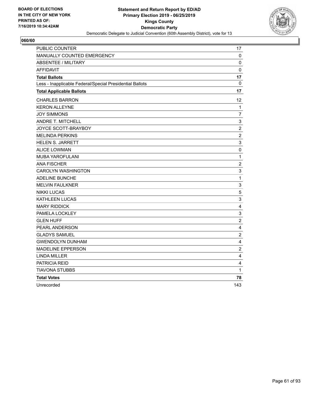

| PUBLIC COUNTER                                           | 17                        |
|----------------------------------------------------------|---------------------------|
| MANUALLY COUNTED EMERGENCY                               | 0                         |
| <b>ABSENTEE / MILITARY</b>                               | 0                         |
| <b>AFFIDAVIT</b>                                         | $\mathbf 0$               |
| <b>Total Ballots</b>                                     | 17                        |
| Less - Inapplicable Federal/Special Presidential Ballots | 0                         |
| <b>Total Applicable Ballots</b>                          | 17                        |
| <b>CHARLES BARRON</b>                                    | 12                        |
| <b>KERON ALLEYNE</b>                                     | 1                         |
| <b>JOY SIMMONS</b>                                       | $\overline{7}$            |
| <b>ANDRE T. MITCHELL</b>                                 | 3                         |
| JOYCE SCOTT-BRAYBOY                                      | $\boldsymbol{2}$          |
| <b>MELINDA PERKINS</b>                                   | $\boldsymbol{2}$          |
| <b>HELEN S. JARRETT</b>                                  | 3                         |
| <b>ALICE LOWMAN</b>                                      | $\pmb{0}$                 |
| MUBA YAROFULANI                                          | $\mathbf 1$               |
| <b>ANA FISCHER</b>                                       | $\overline{2}$            |
| <b>CAROLYN WASHINGTON</b>                                | 3                         |
| <b>ADELINE BUNCHE</b>                                    | $\mathbf{1}$              |
| <b>MELVIN FAULKNER</b>                                   | 3                         |
| <b>NIKKI LUCAS</b>                                       | 5                         |
| KATHLEEN LUCAS                                           | $\mathsf 3$               |
| <b>MARY RIDDICK</b>                                      | 4                         |
| PAMELA LOCKLEY                                           | $\ensuremath{\mathsf{3}}$ |
| <b>GLEN HUFF</b>                                         | $\overline{c}$            |
| PEARL ANDERSON                                           | $\overline{4}$            |
| <b>GLADYS SAMUEL</b>                                     | $\overline{c}$            |
| <b>GWENDOLYN DUNHAM</b>                                  | 4                         |
| <b>MADELINE EPPERSON</b>                                 | $\boldsymbol{2}$          |
| <b>LINDA MILLER</b>                                      | $\overline{\mathbf{4}}$   |
| <b>PATRICIA REID</b>                                     | 4                         |
| <b>TIAVONA STUBBS</b>                                    | $\mathbf{1}$              |
| <b>Total Votes</b>                                       | 78                        |
| Unrecorded                                               | 143                       |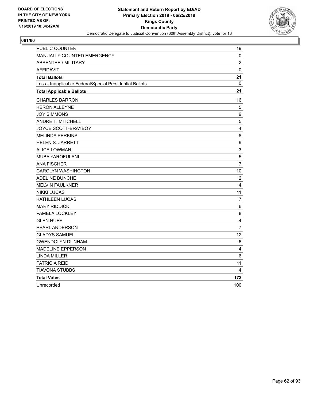

| <b>PUBLIC COUNTER</b>                                    | 19             |
|----------------------------------------------------------|----------------|
| MANUALLY COUNTED EMERGENCY                               | 0              |
| <b>ABSENTEE / MILITARY</b>                               | $\overline{2}$ |
| <b>AFFIDAVIT</b>                                         | $\mathbf 0$    |
| <b>Total Ballots</b>                                     | 21             |
| Less - Inapplicable Federal/Special Presidential Ballots | 0              |
| <b>Total Applicable Ballots</b>                          | 21             |
| <b>CHARLES BARRON</b>                                    | 16             |
| <b>KERON ALLEYNE</b>                                     | 5              |
| <b>JOY SIMMONS</b>                                       | 9              |
| ANDRE T. MITCHELL                                        | 5              |
| JOYCE SCOTT-BRAYBOY                                      | 4              |
| <b>MELINDA PERKINS</b>                                   | 8              |
| <b>HELEN S. JARRETT</b>                                  | 9              |
| <b>ALICE LOWMAN</b>                                      | 3              |
| MUBA YAROFULANI                                          | 5              |
| <b>ANA FISCHER</b>                                       | $\overline{7}$ |
| <b>CAROLYN WASHINGTON</b>                                | 10             |
| ADELINE BUNCHE                                           | $\overline{2}$ |
| <b>MELVIN FAULKNER</b>                                   | 4              |
| <b>NIKKI LUCAS</b>                                       | 11             |
| <b>KATHLEEN LUCAS</b>                                    | 7              |
| <b>MARY RIDDICK</b>                                      | 6              |
| PAMELA LOCKLEY                                           | 8              |
| <b>GLEN HUFF</b>                                         | 4              |
| PEARL ANDERSON                                           | $\overline{7}$ |
| <b>GLADYS SAMUEL</b>                                     | 12             |
| <b>GWENDOLYN DUNHAM</b>                                  | 6              |
| <b>MADELINE EPPERSON</b>                                 | 4              |
| <b>LINDA MILLER</b>                                      | 6              |
| PATRICIA REID                                            | 11             |
| <b>TIAVONA STUBBS</b>                                    | 4              |
| <b>Total Votes</b>                                       | 173            |
| Unrecorded                                               | 100            |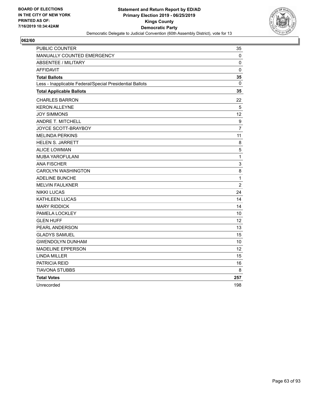

| <b>PUBLIC COUNTER</b>                                    | 35                |
|----------------------------------------------------------|-------------------|
| <b>MANUALLY COUNTED EMERGENCY</b>                        | 0                 |
| <b>ABSENTEE / MILITARY</b>                               | 0                 |
| <b>AFFIDAVIT</b>                                         | $\mathbf 0$       |
| <b>Total Ballots</b>                                     | 35                |
| Less - Inapplicable Federal/Special Presidential Ballots | 0                 |
| <b>Total Applicable Ballots</b>                          | 35                |
| <b>CHARLES BARRON</b>                                    | 22                |
| <b>KERON ALLEYNE</b>                                     | 5                 |
| <b>JOY SIMMONS</b>                                       | $12 \overline{ }$ |
| ANDRE T. MITCHELL                                        | 9                 |
| JOYCE SCOTT-BRAYBOY                                      | $\overline{7}$    |
| <b>MELINDA PERKINS</b>                                   | 11                |
| HELEN S. JARRETT                                         | 8                 |
| <b>ALICE LOWMAN</b>                                      | 5                 |
| MUBA YAROFULANI                                          | $\mathbf{1}$      |
| <b>ANA FISCHER</b>                                       | $\mathsf 3$       |
| <b>CAROLYN WASHINGTON</b>                                | 8                 |
| ADELINE BUNCHE                                           | $\mathbf 1$       |
| <b>MELVIN FAULKNER</b>                                   | $\overline{c}$    |
| <b>NIKKI LUCAS</b>                                       | 24                |
| <b>KATHLEEN LUCAS</b>                                    | 14                |
| <b>MARY RIDDICK</b>                                      | 14                |
| PAMELA LOCKLEY                                           | 10                |
| <b>GLEN HUFF</b>                                         | 12                |
| PEARL ANDERSON                                           | 13                |
| <b>GLADYS SAMUEL</b>                                     | 15                |
| <b>GWENDOLYN DUNHAM</b>                                  | 10                |
| <b>MADELINE EPPERSON</b>                                 | 12                |
| <b>LINDA MILLER</b>                                      | 15                |
| PATRICIA REID                                            | 16                |
| <b>TIAVONA STUBBS</b>                                    | 8                 |
| <b>Total Votes</b>                                       | 257               |
| Unrecorded                                               | 198               |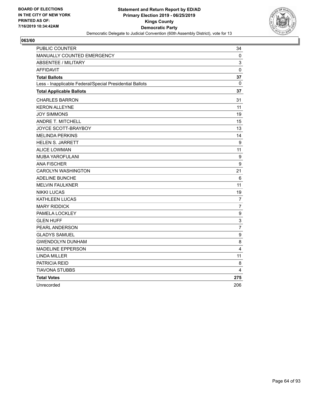

| <b>PUBLIC COUNTER</b>                                    | 34                        |
|----------------------------------------------------------|---------------------------|
| <b>MANUALLY COUNTED EMERGENCY</b>                        | 0                         |
| <b>ABSENTEE / MILITARY</b>                               | 3                         |
| <b>AFFIDAVIT</b>                                         | $\mathbf 0$               |
| <b>Total Ballots</b>                                     | 37                        |
| Less - Inapplicable Federal/Special Presidential Ballots | 0                         |
| <b>Total Applicable Ballots</b>                          | 37                        |
| <b>CHARLES BARRON</b>                                    | 31                        |
| <b>KERON ALLEYNE</b>                                     | 11                        |
| <b>JOY SIMMONS</b>                                       | 19                        |
| ANDRE T. MITCHELL                                        | 15                        |
| JOYCE SCOTT-BRAYBOY                                      | 13                        |
| <b>MELINDA PERKINS</b>                                   | 14                        |
| <b>HELEN S. JARRETT</b>                                  | 9                         |
| <b>ALICE LOWMAN</b>                                      | 11                        |
| MUBA YAROFULANI                                          | 9                         |
| <b>ANA FISCHER</b>                                       | 9                         |
| <b>CAROLYN WASHINGTON</b>                                | 21                        |
| ADELINE BUNCHE                                           | 6                         |
| <b>MELVIN FAULKNER</b>                                   | 11                        |
| <b>NIKKI LUCAS</b>                                       | 19                        |
| <b>KATHLEEN LUCAS</b>                                    | 7                         |
| <b>MARY RIDDICK</b>                                      | $\overline{7}$            |
| PAMELA LOCKLEY                                           | 9                         |
| <b>GLEN HUFF</b>                                         | $\ensuremath{\mathsf{3}}$ |
| PEARL ANDERSON                                           | $\overline{7}$            |
| <b>GLADYS SAMUEL</b>                                     | $\boldsymbol{9}$          |
| <b>GWENDOLYN DUNHAM</b>                                  | 8                         |
| <b>MADELINE EPPERSON</b>                                 | 4                         |
| <b>LINDA MILLER</b>                                      | 11                        |
| PATRICIA REID                                            | 8                         |
| <b>TIAVONA STUBBS</b>                                    | 4                         |
| <b>Total Votes</b>                                       | 275                       |
| Unrecorded                                               | 206                       |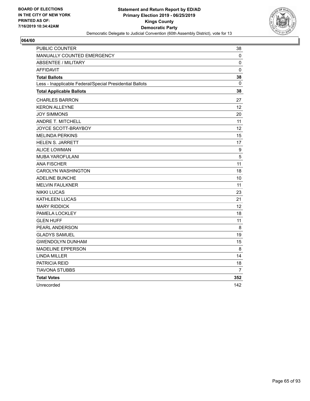

| <b>PUBLIC COUNTER</b>                                    | 38  |
|----------------------------------------------------------|-----|
| MANUALLY COUNTED EMERGENCY                               | 0   |
| <b>ABSENTEE / MILITARY</b>                               | 0   |
| <b>AFFIDAVIT</b>                                         | 0   |
| <b>Total Ballots</b>                                     | 38  |
| Less - Inapplicable Federal/Special Presidential Ballots | 0   |
| <b>Total Applicable Ballots</b>                          | 38  |
| <b>CHARLES BARRON</b>                                    | 27  |
| <b>KERON ALLEYNE</b>                                     | 12  |
| <b>JOY SIMMONS</b>                                       | 20  |
| ANDRE T. MITCHELL                                        | 11  |
| JOYCE SCOTT-BRAYBOY                                      | 12  |
| <b>MELINDA PERKINS</b>                                   | 15  |
| <b>HELEN S. JARRETT</b>                                  | 17  |
| <b>ALICE LOWMAN</b>                                      | 9   |
| <b>MUBA YAROFULANI</b>                                   | 5   |
| <b>ANA FISCHER</b>                                       | 11  |
| <b>CAROLYN WASHINGTON</b>                                | 18  |
| <b>ADELINE BUNCHE</b>                                    | 10  |
| <b>MELVIN FAULKNER</b>                                   | 11  |
| <b>NIKKI LUCAS</b>                                       | 23  |
| KATHLEEN LUCAS                                           | 21  |
| <b>MARY RIDDICK</b>                                      | 12  |
| PAMELA LOCKLEY                                           | 18  |
| <b>GLEN HUFF</b>                                         | 11  |
| PEARL ANDERSON                                           | 8   |
| <b>GLADYS SAMUEL</b>                                     | 19  |
| <b>GWENDOLYN DUNHAM</b>                                  | 15  |
| <b>MADELINE EPPERSON</b>                                 | 8   |
| <b>LINDA MILLER</b>                                      | 14  |
| PATRICIA REID                                            | 18  |
| TIAVONA STUBBS                                           | 7   |
| <b>Total Votes</b>                                       | 352 |
| Unrecorded                                               | 142 |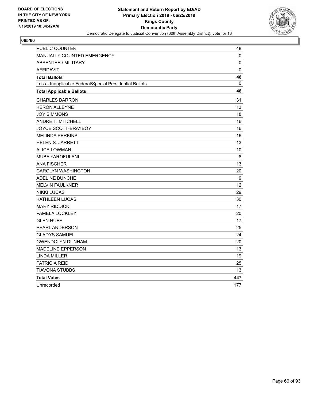

| PUBLIC COUNTER                                           | 48          |
|----------------------------------------------------------|-------------|
| MANUALLY COUNTED EMERGENCY                               | 0           |
| <b>ABSENTEE / MILITARY</b>                               | 0           |
| <b>AFFIDAVIT</b>                                         | $\mathbf 0$ |
| <b>Total Ballots</b>                                     | 48          |
| Less - Inapplicable Federal/Special Presidential Ballots | 0           |
| <b>Total Applicable Ballots</b>                          | 48          |
| <b>CHARLES BARRON</b>                                    | 31          |
| <b>KERON ALLEYNE</b>                                     | 13          |
| <b>JOY SIMMONS</b>                                       | 18          |
| <b>ANDRE T. MITCHELL</b>                                 | 16          |
| JOYCE SCOTT-BRAYBOY                                      | 16          |
| <b>MELINDA PERKINS</b>                                   | 16          |
| <b>HELEN S. JARRETT</b>                                  | 13          |
| <b>ALICE LOWMAN</b>                                      | 10          |
| <b>MUBA YAROFULANI</b>                                   | 8           |
| <b>ANA FISCHER</b>                                       | 13          |
| <b>CAROLYN WASHINGTON</b>                                | 20          |
| <b>ADELINE BUNCHE</b>                                    | 9           |
| <b>MELVIN FAULKNER</b>                                   | 12          |
| <b>NIKKI LUCAS</b>                                       | 29          |
| <b>KATHLEEN LUCAS</b>                                    | 30          |
| <b>MARY RIDDICK</b>                                      | 17          |
| PAMELA LOCKLEY                                           | 20          |
| <b>GLEN HUFF</b>                                         | 17          |
| PEARL ANDERSON                                           | 25          |
| <b>GLADYS SAMUEL</b>                                     | 24          |
| <b>GWENDOLYN DUNHAM</b>                                  | 20          |
| <b>MADELINE EPPERSON</b>                                 | 13          |
| <b>LINDA MILLER</b>                                      | 19          |
| PATRICIA REID                                            | 25          |
| <b>TIAVONA STUBBS</b>                                    | 13          |
| <b>Total Votes</b>                                       | 447         |
| Unrecorded                                               | 177         |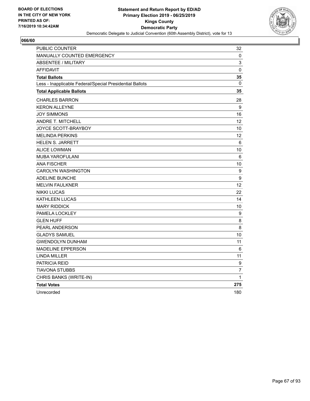

| PUBLIC COUNTER                                           | 32                |
|----------------------------------------------------------|-------------------|
| MANUALLY COUNTED EMERGENCY                               | 0                 |
| <b>ABSENTEE / MILITARY</b>                               | 3                 |
| <b>AFFIDAVIT</b>                                         | 0                 |
| <b>Total Ballots</b>                                     | 35                |
| Less - Inapplicable Federal/Special Presidential Ballots | 0                 |
| <b>Total Applicable Ballots</b>                          | 35                |
| <b>CHARLES BARRON</b>                                    | 28                |
| <b>KERON ALLEYNE</b>                                     | 9                 |
| <b>JOY SIMMONS</b>                                       | 16                |
| <b>ANDRE T. MITCHELL</b>                                 | $12 \overline{ }$ |
| JOYCE SCOTT-BRAYBOY                                      | 10                |
| <b>MELINDA PERKINS</b>                                   | 12                |
| <b>HELEN S. JARRETT</b>                                  | 6                 |
| <b>ALICE LOWMAN</b>                                      | 10                |
| MUBA YAROFULANI                                          | 6                 |
| <b>ANA FISCHER</b>                                       | 10                |
| <b>CAROLYN WASHINGTON</b>                                | 9                 |
| <b>ADELINE BUNCHE</b>                                    | 9                 |
| <b>MELVIN FAULKNER</b>                                   | 12                |
| <b>NIKKI LUCAS</b>                                       | 22                |
| <b>KATHLEEN LUCAS</b>                                    | 14                |
| <b>MARY RIDDICK</b>                                      | 10                |
| PAMELA LOCKLEY                                           | 9                 |
| <b>GLEN HUFF</b>                                         | 8                 |
| PEARL ANDERSON                                           | 8                 |
| <b>GLADYS SAMUEL</b>                                     | 10                |
| <b>GWENDOLYN DUNHAM</b>                                  | 11                |
| <b>MADELINE EPPERSON</b>                                 | 6                 |
| LINDA MILLER                                             | 11                |
| <b>PATRICIA REID</b>                                     | 9                 |
| <b>TIAVONA STUBBS</b>                                    | $\overline{7}$    |
| CHRIS BANKS (WRITE-IN)                                   | 1                 |
| <b>Total Votes</b>                                       | 275               |
| Unrecorded                                               | 180               |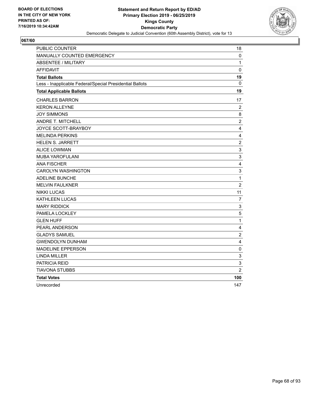

| PUBLIC COUNTER                                           | 18             |
|----------------------------------------------------------|----------------|
| MANUALLY COUNTED EMERGENCY                               | 0              |
| <b>ABSENTEE / MILITARY</b>                               | 1              |
| <b>AFFIDAVIT</b>                                         | $\mathbf 0$    |
| <b>Total Ballots</b>                                     | 19             |
| Less - Inapplicable Federal/Special Presidential Ballots | 0              |
| <b>Total Applicable Ballots</b>                          | 19             |
| <b>CHARLES BARRON</b>                                    | 17             |
| <b>KERON ALLEYNE</b>                                     | $\overline{2}$ |
| <b>JOY SIMMONS</b>                                       | 8              |
| <b>ANDRE T. MITCHELL</b>                                 | $\overline{2}$ |
| JOYCE SCOTT-BRAYBOY                                      | 4              |
| <b>MELINDA PERKINS</b>                                   | 4              |
| <b>HELEN S. JARRETT</b>                                  | $\overline{2}$ |
| <b>ALICE LOWMAN</b>                                      | 3              |
| MUBA YAROFULANI                                          | 3              |
| <b>ANA FISCHER</b>                                       | 4              |
| <b>CAROLYN WASHINGTON</b>                                | 3              |
| ADELINE BUNCHE                                           | $\mathbf{1}$   |
| <b>MELVIN FAULKNER</b>                                   | $\overline{c}$ |
| <b>NIKKI LUCAS</b>                                       | 11             |
| <b>KATHLEEN LUCAS</b>                                    | 7              |
| <b>MARY RIDDICK</b>                                      | $\mathsf 3$    |
| PAMELA LOCKLEY                                           | 5              |
| <b>GLEN HUFF</b>                                         | $\mathbf 1$    |
| PEARL ANDERSON                                           | $\overline{4}$ |
| <b>GLADYS SAMUEL</b>                                     | $\overline{c}$ |
| <b>GWENDOLYN DUNHAM</b>                                  | 4              |
| <b>MADELINE EPPERSON</b>                                 | 0              |
| <b>LINDA MILLER</b>                                      | $\mathsf 3$    |
| PATRICIA REID                                            | 3              |
| TIAVONA STUBBS                                           | $\overline{2}$ |
| <b>Total Votes</b>                                       | 100            |
| Unrecorded                                               | 147            |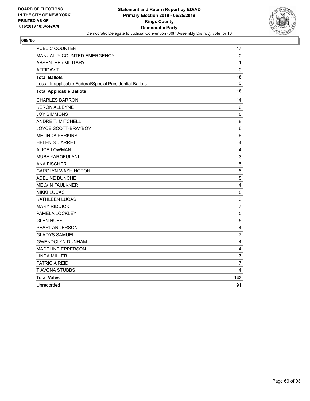

| <b>PUBLIC COUNTER</b>                                    | 17                        |
|----------------------------------------------------------|---------------------------|
| MANUALLY COUNTED EMERGENCY                               | 0                         |
| <b>ABSENTEE / MILITARY</b>                               | 1                         |
| <b>AFFIDAVIT</b>                                         | 0                         |
| <b>Total Ballots</b>                                     | 18                        |
| Less - Inapplicable Federal/Special Presidential Ballots | $\mathbf{0}$              |
| <b>Total Applicable Ballots</b>                          | 18                        |
| <b>CHARLES BARRON</b>                                    | 14                        |
| <b>KERON ALLEYNE</b>                                     | 6                         |
| <b>JOY SIMMONS</b>                                       | 8                         |
| ANDRE T. MITCHELL                                        | 8                         |
| JOYCE SCOTT-BRAYBOY                                      | 6                         |
| <b>MELINDA PERKINS</b>                                   | 6                         |
| <b>HELEN S. JARRETT</b>                                  | $\overline{\mathbf{4}}$   |
| <b>ALICE LOWMAN</b>                                      | $\overline{4}$            |
| <b>MUBA YAROFULANI</b>                                   | $\mathsf 3$               |
| <b>ANA FISCHER</b>                                       | 5                         |
| <b>CAROLYN WASHINGTON</b>                                | 5                         |
| <b>ADELINE BUNCHE</b>                                    | 5                         |
| <b>MELVIN FAULKNER</b>                                   | $\overline{\mathbf{4}}$   |
| <b>NIKKI LUCAS</b>                                       | 8                         |
| KATHLEEN LUCAS                                           | $\ensuremath{\mathsf{3}}$ |
| <b>MARY RIDDICK</b>                                      | $\overline{7}$            |
| PAMELA LOCKLEY                                           | $\sqrt{5}$                |
| <b>GLEN HUFF</b>                                         | $\sqrt{5}$                |
| <b>PEARL ANDERSON</b>                                    | $\overline{4}$            |
| <b>GLADYS SAMUEL</b>                                     | $\overline{7}$            |
| <b>GWENDOLYN DUNHAM</b>                                  | 4                         |
| <b>MADELINE EPPERSON</b>                                 | 4                         |
| <b>LINDA MILLER</b>                                      | $\overline{7}$            |
| PATRICIA REID                                            | $\overline{7}$            |
| TIAVONA STUBBS                                           | 4                         |
| <b>Total Votes</b>                                       | 143                       |
| Unrecorded                                               | 91                        |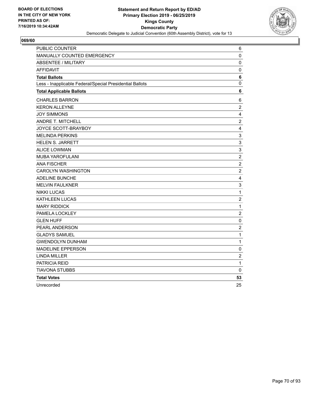

| PUBLIC COUNTER                                           | 6                         |
|----------------------------------------------------------|---------------------------|
| MANUALLY COUNTED EMERGENCY                               | 0                         |
| <b>ABSENTEE / MILITARY</b>                               | 0                         |
| <b>AFFIDAVIT</b>                                         | 0                         |
| <b>Total Ballots</b>                                     | 6                         |
| Less - Inapplicable Federal/Special Presidential Ballots | 0                         |
| <b>Total Applicable Ballots</b>                          | 6                         |
| <b>CHARLES BARRON</b>                                    | 6                         |
| <b>KERON ALLEYNE</b>                                     | $\overline{2}$            |
| <b>JOY SIMMONS</b>                                       | $\overline{\mathbf{4}}$   |
| <b>ANDRE T. MITCHELL</b>                                 | $\overline{c}$            |
| JOYCE SCOTT-BRAYBOY                                      | 4                         |
| <b>MELINDA PERKINS</b>                                   | 3                         |
| <b>HELEN S. JARRETT</b>                                  | $\mathsf 3$               |
| <b>ALICE LOWMAN</b>                                      | 3                         |
| <b>MUBA YAROFULANI</b>                                   | $\overline{c}$            |
| <b>ANA FISCHER</b>                                       | $\overline{2}$            |
| <b>CAROLYN WASHINGTON</b>                                | $\boldsymbol{2}$          |
| <b>ADELINE BUNCHE</b>                                    | $\overline{\mathbf{4}}$   |
| <b>MELVIN FAULKNER</b>                                   | $\ensuremath{\mathsf{3}}$ |
| <b>NIKKI LUCAS</b>                                       | $\mathbf{1}$              |
| KATHLEEN LUCAS                                           | $\overline{c}$            |
| <b>MARY RIDDICK</b>                                      | $\mathbf 1$               |
| PAMELA LOCKLEY                                           | $\sqrt{2}$                |
| <b>GLEN HUFF</b>                                         | $\pmb{0}$                 |
| PEARL ANDERSON                                           | $\overline{2}$            |
| <b>GLADYS SAMUEL</b>                                     | $\mathbf 1$               |
| <b>GWENDOLYN DUNHAM</b>                                  | 1                         |
| <b>MADELINE EPPERSON</b>                                 | 0                         |
| <b>LINDA MILLER</b>                                      | $\overline{c}$            |
| PATRICIA REID                                            | 1                         |
| <b>TIAVONA STUBBS</b>                                    | 0                         |
| <b>Total Votes</b>                                       | 53                        |
| Unrecorded                                               | 25                        |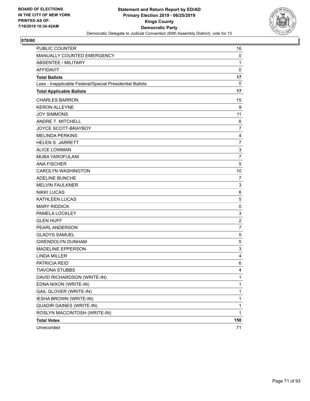

| PUBLIC COUNTER                                           | 16             |
|----------------------------------------------------------|----------------|
| MANUALLY COUNTED EMERGENCY                               | 0              |
| <b>ABSENTEE / MILITARY</b>                               | $\mathbf{1}$   |
| <b>AFFIDAVIT</b>                                         | $\mathbf 0$    |
| <b>Total Ballots</b>                                     | 17             |
| Less - Inapplicable Federal/Special Presidential Ballots | $\mathbf{0}$   |
| <b>Total Applicable Ballots</b>                          | 17             |
| <b>CHARLES BARRON</b>                                    | 15             |
| <b>KERON ALLEYNE</b>                                     | 9              |
| <b>JOY SIMMONS</b>                                       | 11             |
| <b>ANDRE T. MITCHELL</b>                                 | 6              |
| JOYCE SCOTT-BRAYBOY                                      | $\overline{7}$ |
| <b>MELINDA PERKINS</b>                                   | 4              |
| <b>HELEN S. JARRETT</b>                                  | $\overline{7}$ |
| <b>ALICE LOWMAN</b>                                      | $\mathsf 3$    |
| <b>MUBA YAROFULANI</b>                                   | $\overline{7}$ |
| <b>ANA FISCHER</b>                                       | 5              |
| <b>CAROLYN WASHINGTON</b>                                | 10             |
| ADELINE BUNCHE                                           | 7              |
| <b>MELVIN FAULKNER</b>                                   | 3              |
| <b>NIKKI LUCAS</b>                                       | 6              |
| <b>KATHLEEN LUCAS</b>                                    | 5              |
| <b>MARY RIDDICK</b>                                      | 0              |
| PAMELA LOCKLEY                                           | $\mathsf 3$    |
| <b>GLEN HUFF</b>                                         | $\overline{c}$ |
| PEARL ANDERSON                                           | $\overline{7}$ |
| <b>GLADYS SAMUEL</b>                                     | 5              |
| <b>GWENDOLYN DUNHAM</b>                                  | 5              |
| <b>MADELINE EPPERSON</b>                                 | 3              |
| <b>LINDA MILLER</b>                                      | 4              |
| PATRICIA REID                                            | 6              |
| <b>TIAVONA STUBBS</b>                                    | 4              |
| DAVID RICHARDSON (WRITE-IN)                              | 1              |
| EDNA NIXON (WRITE-IN)                                    | 1              |
| GAIL GLOVER (WRITE-IN)                                   | 1              |
| <b>IESHA BROWN (WRITE-IN)</b>                            | $\mathbf 1$    |
| <b>QUADIR GAINES (WRITE-IN)</b>                          | 1              |
| ROSLYN MACCINTOSH (WRITE-IN)                             | 1              |
| <b>Total Votes</b>                                       | 150            |
| Unrecorded                                               | 71             |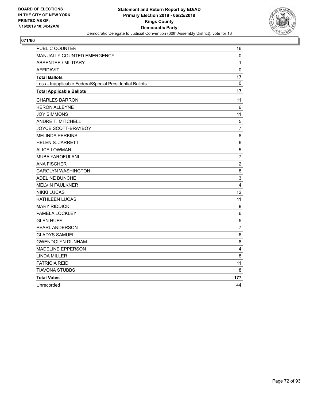

| PUBLIC COUNTER                                           | 16             |
|----------------------------------------------------------|----------------|
| MANUALLY COUNTED EMERGENCY                               | 0              |
| <b>ABSENTEE / MILITARY</b>                               | 1              |
| <b>AFFIDAVIT</b>                                         | $\Omega$       |
| <b>Total Ballots</b>                                     | 17             |
| Less - Inapplicable Federal/Special Presidential Ballots | 0              |
| <b>Total Applicable Ballots</b>                          | 17             |
| <b>CHARLES BARRON</b>                                    | 11             |
| <b>KERON ALLEYNE</b>                                     | 6              |
| <b>JOY SIMMONS</b>                                       | 11             |
| <b>ANDRE T. MITCHELL</b>                                 | 5              |
| JOYCE SCOTT-BRAYBOY                                      | $\overline{7}$ |
| <b>MELINDA PERKINS</b>                                   | 8              |
| <b>HELEN S. JARRETT</b>                                  | $\,6$          |
| <b>ALICE LOWMAN</b>                                      | 5              |
| MUBA YAROFULANI                                          | $\overline{7}$ |
| <b>ANA FISCHER</b>                                       | $\overline{2}$ |
| <b>CAROLYN WASHINGTON</b>                                | 8              |
| <b>ADELINE BUNCHE</b>                                    | $\mathsf 3$    |
| <b>MELVIN FAULKNER</b>                                   | $\overline{4}$ |
| <b>NIKKI LUCAS</b>                                       | 12             |
| KATHLEEN LUCAS                                           | 11             |
| <b>MARY RIDDICK</b>                                      | 8              |
| PAMELA LOCKLEY                                           | 6              |
| <b>GLEN HUFF</b>                                         | 5              |
| PEARL ANDERSON                                           | $\overline{7}$ |
| <b>GLADYS SAMUEL</b>                                     | 6              |
| <b>GWENDOLYN DUNHAM</b>                                  | 8              |
| <b>MADELINE EPPERSON</b>                                 | 4              |
| <b>LINDA MILLER</b>                                      | 8              |
| PATRICIA REID                                            | 11             |
| <b>TIAVONA STUBBS</b>                                    | 8              |
| <b>Total Votes</b>                                       | 177            |
| Unrecorded                                               | 44             |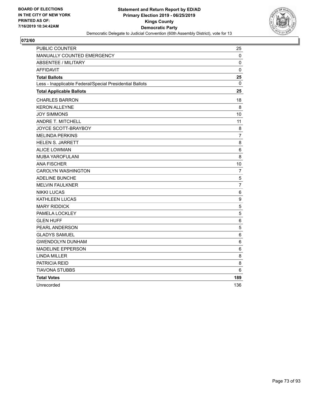

| <b>PUBLIC COUNTER</b>                                    | 25               |
|----------------------------------------------------------|------------------|
| MANUALLY COUNTED EMERGENCY                               | 0                |
| <b>ABSENTEE / MILITARY</b>                               | 0                |
| <b>AFFIDAVIT</b>                                         | 0                |
| <b>Total Ballots</b>                                     | 25               |
| Less - Inapplicable Federal/Special Presidential Ballots | $\mathbf{0}$     |
| <b>Total Applicable Ballots</b>                          | 25               |
| <b>CHARLES BARRON</b>                                    | 18               |
| <b>KERON ALLEYNE</b>                                     | 8                |
| <b>JOY SIMMONS</b>                                       | 10               |
| ANDRE T. MITCHELL                                        | 11               |
| JOYCE SCOTT-BRAYBOY                                      | 8                |
| <b>MELINDA PERKINS</b>                                   | $\overline{7}$   |
| <b>HELEN S. JARRETT</b>                                  | 8                |
| <b>ALICE LOWMAN</b>                                      | 6                |
| <b>MUBA YAROFULANI</b>                                   | 8                |
| <b>ANA FISCHER</b>                                       | 10               |
| <b>CAROLYN WASHINGTON</b>                                | $\overline{7}$   |
| <b>ADELINE BUNCHE</b>                                    | $\mathbf 5$      |
| <b>MELVIN FAULKNER</b>                                   | $\overline{7}$   |
| <b>NIKKI LUCAS</b>                                       | 6                |
| KATHLEEN LUCAS                                           | $\boldsymbol{9}$ |
| <b>MARY RIDDICK</b>                                      | 5                |
| PAMELA LOCKLEY                                           | 5                |
| <b>GLEN HUFF</b>                                         | $\,6$            |
| <b>PEARL ANDERSON</b>                                    | 5                |
| <b>GLADYS SAMUEL</b>                                     | 6                |
| <b>GWENDOLYN DUNHAM</b>                                  | 6                |
| <b>MADELINE EPPERSON</b>                                 | 6                |
| <b>LINDA MILLER</b>                                      | 8                |
| PATRICIA REID                                            | 8                |
| <b>TIAVONA STUBBS</b>                                    | 6                |
| <b>Total Votes</b>                                       | 189              |
| Unrecorded                                               | 136              |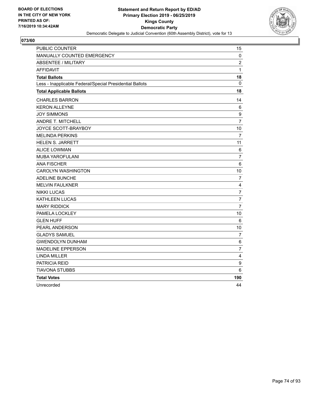

| PUBLIC COUNTER                                           | 15                      |
|----------------------------------------------------------|-------------------------|
| MANUALLY COUNTED EMERGENCY                               | 0                       |
| <b>ABSENTEE / MILITARY</b>                               | $\overline{2}$          |
| <b>AFFIDAVIT</b>                                         | $\mathbf{1}$            |
| <b>Total Ballots</b>                                     | 18                      |
| Less - Inapplicable Federal/Special Presidential Ballots | 0                       |
| <b>Total Applicable Ballots</b>                          | 18                      |
| <b>CHARLES BARRON</b>                                    | 14                      |
| <b>KERON ALLEYNE</b>                                     | 6                       |
| <b>JOY SIMMONS</b>                                       | 9                       |
| <b>ANDRE T. MITCHELL</b>                                 | $\overline{7}$          |
| JOYCE SCOTT-BRAYBOY                                      | 10                      |
| <b>MELINDA PERKINS</b>                                   | $\overline{7}$          |
| <b>HELEN S. JARRETT</b>                                  | 11                      |
| <b>ALICE LOWMAN</b>                                      | 6                       |
| <b>MUBA YAROFULANI</b>                                   | $\overline{7}$          |
| <b>ANA FISCHER</b>                                       | 6                       |
| <b>CAROLYN WASHINGTON</b>                                | 10                      |
| <b>ADELINE BUNCHE</b>                                    | 7                       |
| <b>MELVIN FAULKNER</b>                                   | $\overline{4}$          |
| <b>NIKKI LUCAS</b>                                       | $\overline{7}$          |
| KATHLEEN LUCAS                                           | $\overline{7}$          |
| <b>MARY RIDDICK</b>                                      | $\overline{7}$          |
| PAMELA LOCKLEY                                           | 10                      |
| <b>GLEN HUFF</b>                                         | 6                       |
| PEARL ANDERSON                                           | 10                      |
| <b>GLADYS SAMUEL</b>                                     | $\overline{7}$          |
| <b>GWENDOLYN DUNHAM</b>                                  | 6                       |
| <b>MADELINE EPPERSON</b>                                 | 7                       |
| <b>LINDA MILLER</b>                                      | $\overline{\mathbf{4}}$ |
| PATRICIA REID                                            | 9                       |
| TIAVONA STUBBS                                           | 6                       |
| <b>Total Votes</b>                                       | 190                     |
| Unrecorded                                               | 44                      |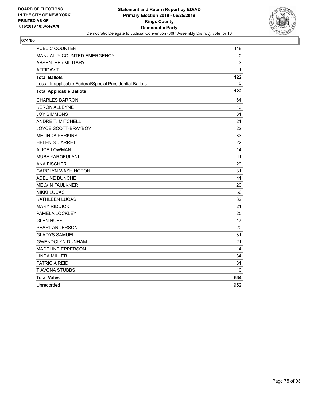

| <b>PUBLIC COUNTER</b>                                    | 118          |
|----------------------------------------------------------|--------------|
| <b>MANUALLY COUNTED EMERGENCY</b>                        | 0            |
| <b>ABSENTEE / MILITARY</b>                               | 3            |
| <b>AFFIDAVIT</b>                                         | $\mathbf{1}$ |
| <b>Total Ballots</b>                                     | 122          |
| Less - Inapplicable Federal/Special Presidential Ballots | 0            |
| <b>Total Applicable Ballots</b>                          | 122          |
| <b>CHARLES BARRON</b>                                    | 64           |
| <b>KERON ALLEYNE</b>                                     | 13           |
| <b>JOY SIMMONS</b>                                       | 31           |
| ANDRE T. MITCHELL                                        | 21           |
| JOYCE SCOTT-BRAYBOY                                      | 22           |
| <b>MELINDA PERKINS</b>                                   | 33           |
| HELEN S. JARRETT                                         | 22           |
| <b>ALICE LOWMAN</b>                                      | 14           |
| MUBA YAROFULANI                                          | 11           |
| <b>ANA FISCHER</b>                                       | 29           |
| <b>CAROLYN WASHINGTON</b>                                | 31           |
| ADELINE BUNCHE                                           | 11           |
| <b>MELVIN FAULKNER</b>                                   | 20           |
| <b>NIKKI LUCAS</b>                                       | 56           |
| <b>KATHLEEN LUCAS</b>                                    | 32           |
| <b>MARY RIDDICK</b>                                      | 21           |
| PAMELA LOCKLEY                                           | 25           |
| <b>GLEN HUFF</b>                                         | 17           |
| PEARL ANDERSON                                           | 20           |
| <b>GLADYS SAMUEL</b>                                     | 31           |
| <b>GWENDOLYN DUNHAM</b>                                  | 21           |
| <b>MADELINE EPPERSON</b>                                 | 14           |
| <b>LINDA MILLER</b>                                      | 34           |
| PATRICIA REID                                            | 31           |
| <b>TIAVONA STUBBS</b>                                    | 10           |
| <b>Total Votes</b>                                       | 634          |
| Unrecorded                                               | 952          |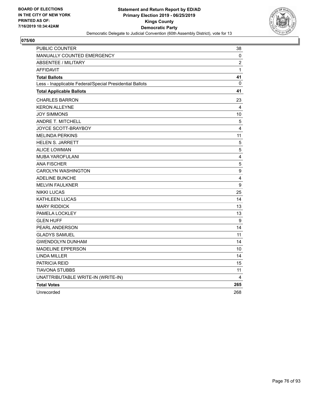

| PUBLIC COUNTER                                           | 38                      |
|----------------------------------------------------------|-------------------------|
| MANUALLY COUNTED EMERGENCY                               | 0                       |
| <b>ABSENTEE / MILITARY</b>                               | $\overline{c}$          |
| <b>AFFIDAVIT</b>                                         | 1                       |
| <b>Total Ballots</b>                                     | 41                      |
| Less - Inapplicable Federal/Special Presidential Ballots | 0                       |
| <b>Total Applicable Ballots</b>                          | 41                      |
| <b>CHARLES BARRON</b>                                    | 23                      |
| <b>KERON ALLEYNE</b>                                     | 4                       |
| <b>JOY SIMMONS</b>                                       | 10                      |
| ANDRE T. MITCHELL                                        | $\,$ 5 $\,$             |
| JOYCE SCOTT-BRAYBOY                                      | $\overline{4}$          |
| <b>MELINDA PERKINS</b>                                   | 11                      |
| <b>HELEN S. JARRETT</b>                                  | $\overline{5}$          |
| <b>ALICE LOWMAN</b>                                      | 5                       |
| <b>MUBA YAROFULANI</b>                                   | $\overline{\mathbf{4}}$ |
| <b>ANA FISCHER</b>                                       | $\sqrt{5}$              |
| <b>CAROLYN WASHINGTON</b>                                | $\boldsymbol{9}$        |
| <b>ADELINE BUNCHE</b>                                    | 4                       |
| <b>MELVIN FAULKNER</b>                                   | $\boldsymbol{9}$        |
| <b>NIKKI LUCAS</b>                                       | 25                      |
| <b>KATHLEEN LUCAS</b>                                    | 14                      |
| <b>MARY RIDDICK</b>                                      | 13                      |
| PAMELA LOCKLEY                                           | 13                      |
| <b>GLEN HUFF</b>                                         | 9                       |
| PEARL ANDERSON                                           | 14                      |
| <b>GLADYS SAMUEL</b>                                     | 11                      |
| <b>GWENDOLYN DUNHAM</b>                                  | 14                      |
| <b>MADELINE EPPERSON</b>                                 | 10                      |
| LINDA MILLER                                             | 14                      |
| <b>PATRICIA REID</b>                                     | 15                      |
| TIAVONA STUBBS                                           | 11                      |
| UNATTRIBUTABLE WRITE-IN (WRITE-IN)                       | 4                       |
| <b>Total Votes</b>                                       | 265                     |
| Unrecorded                                               | 268                     |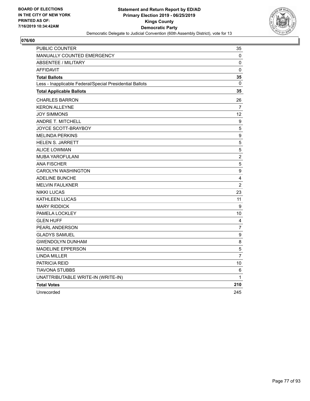

| PUBLIC COUNTER                                           | 35                      |
|----------------------------------------------------------|-------------------------|
| MANUALLY COUNTED EMERGENCY                               | 0                       |
| <b>ABSENTEE / MILITARY</b>                               | 0                       |
| <b>AFFIDAVIT</b>                                         | $\pmb{0}$               |
| <b>Total Ballots</b>                                     | 35                      |
| Less - Inapplicable Federal/Special Presidential Ballots | $\mathbf{0}$            |
| <b>Total Applicable Ballots</b>                          | 35                      |
| <b>CHARLES BARRON</b>                                    | 26                      |
| <b>KERON ALLEYNE</b>                                     | $\overline{7}$          |
| <b>JOY SIMMONS</b>                                       | $12 \overline{ }$       |
| ANDRE T. MITCHELL                                        | 9                       |
| JOYCE SCOTT-BRAYBOY                                      | 5                       |
| <b>MELINDA PERKINS</b>                                   | 9                       |
| <b>HELEN S. JARRETT</b>                                  | 5                       |
| ALICE LOWMAN                                             | 5                       |
| <b>MUBA YAROFULANI</b>                                   | $\overline{c}$          |
| <b>ANA FISCHER</b>                                       | $\sqrt{5}$              |
| <b>CAROLYN WASHINGTON</b>                                | 9                       |
| <b>ADELINE BUNCHE</b>                                    | $\overline{\mathbf{4}}$ |
| <b>MELVIN FAULKNER</b>                                   | $\overline{2}$          |
| <b>NIKKI LUCAS</b>                                       | 23                      |
| <b>KATHLEEN LUCAS</b>                                    | 11                      |
| <b>MARY RIDDICK</b>                                      | 9                       |
| PAMELA LOCKLEY                                           | 10                      |
| <b>GLEN HUFF</b>                                         | 4                       |
| PEARL ANDERSON                                           | $\overline{7}$          |
| <b>GLADYS SAMUEL</b>                                     | 9                       |
| <b>GWENDOLYN DUNHAM</b>                                  | 8                       |
| <b>MADELINE EPPERSON</b>                                 | 5                       |
| <b>LINDA MILLER</b>                                      | $\overline{7}$          |
| <b>PATRICIA REID</b>                                     | 10                      |
| TIAVONA STUBBS                                           | 6                       |
| UNATTRIBUTABLE WRITE-IN (WRITE-IN)                       | 1                       |
| <b>Total Votes</b>                                       | 210                     |
| Unrecorded                                               | 245                     |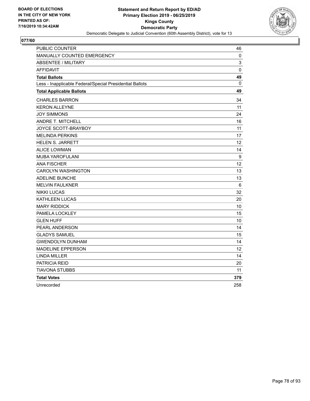

| <b>PUBLIC COUNTER</b>                                    | 46          |
|----------------------------------------------------------|-------------|
| <b>MANUALLY COUNTED EMERGENCY</b>                        | 0           |
| <b>ABSENTEE / MILITARY</b>                               | 3           |
| <b>AFFIDAVIT</b>                                         | $\mathbf 0$ |
| <b>Total Ballots</b>                                     | 49          |
| Less - Inapplicable Federal/Special Presidential Ballots | 0           |
| <b>Total Applicable Ballots</b>                          | 49          |
| <b>CHARLES BARRON</b>                                    | 34          |
| <b>KERON ALLEYNE</b>                                     | 11          |
| <b>JOY SIMMONS</b>                                       | 24          |
| ANDRE T. MITCHELL                                        | 16          |
| JOYCE SCOTT-BRAYBOY                                      | 11          |
| <b>MELINDA PERKINS</b>                                   | 17          |
| HELEN S. JARRETT                                         | 12          |
| <b>ALICE LOWMAN</b>                                      | 14          |
| MUBA YAROFULANI                                          | 9           |
| <b>ANA FISCHER</b>                                       | 12          |
| <b>CAROLYN WASHINGTON</b>                                | 13          |
| ADELINE BUNCHE                                           | 13          |
| <b>MELVIN FAULKNER</b>                                   | 6           |
| <b>NIKKI LUCAS</b>                                       | 32          |
| <b>KATHLEEN LUCAS</b>                                    | 20          |
| <b>MARY RIDDICK</b>                                      | 10          |
| PAMELA LOCKLEY                                           | 15          |
| <b>GLEN HUFF</b>                                         | 10          |
| <b>PEARL ANDERSON</b>                                    | 14          |
| <b>GLADYS SAMUEL</b>                                     | 15          |
| <b>GWENDOLYN DUNHAM</b>                                  | 14          |
| <b>MADELINE EPPERSON</b>                                 | 12          |
| <b>LINDA MILLER</b>                                      | 14          |
| PATRICIA REID                                            | 20          |
| <b>TIAVONA STUBBS</b>                                    | 11          |
| <b>Total Votes</b>                                       | 379         |
| Unrecorded                                               | 258         |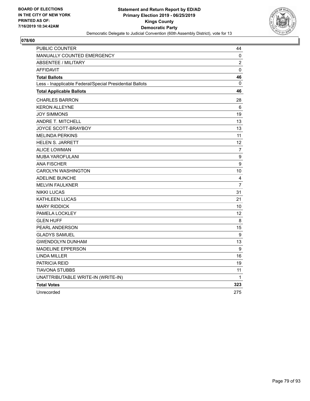

| PUBLIC COUNTER                                           | 44               |
|----------------------------------------------------------|------------------|
| MANUALLY COUNTED EMERGENCY                               | 0                |
| <b>ABSENTEE / MILITARY</b>                               | $\overline{c}$   |
| AFFIDAVIT                                                | $\pmb{0}$        |
| <b>Total Ballots</b>                                     | 46               |
| Less - Inapplicable Federal/Special Presidential Ballots | 0                |
| <b>Total Applicable Ballots</b>                          | 46               |
| <b>CHARLES BARRON</b>                                    | 28               |
| <b>KERON ALLEYNE</b>                                     | 6                |
| <b>JOY SIMMONS</b>                                       | 19               |
| <b>ANDRE T. MITCHELL</b>                                 | 13               |
| JOYCE SCOTT-BRAYBOY                                      | 13               |
| <b>MELINDA PERKINS</b>                                   | 11               |
| <b>HELEN S. JARRETT</b>                                  | 12               |
| <b>ALICE LOWMAN</b>                                      | 7                |
| <b>MUBA YAROFULANI</b>                                   | 9                |
| <b>ANA FISCHER</b>                                       | $\boldsymbol{9}$ |
| <b>CAROLYN WASHINGTON</b>                                | 10               |
| <b>ADELINE BUNCHE</b>                                    | 4                |
| <b>MELVIN FAULKNER</b>                                   | 7                |
| <b>NIKKI LUCAS</b>                                       | 31               |
| <b>KATHLEEN LUCAS</b>                                    | 21               |
| <b>MARY RIDDICK</b>                                      | 10               |
| PAMELA LOCKLEY                                           | 12 <sup>2</sup>  |
| <b>GLEN HUFF</b>                                         | 8                |
| PEARL ANDERSON                                           | 15               |
| <b>GLADYS SAMUEL</b>                                     | 9                |
| <b>GWENDOLYN DUNHAM</b>                                  | 13               |
| <b>MADELINE EPPERSON</b>                                 | 9                |
| <b>LINDA MILLER</b>                                      | 16               |
| <b>PATRICIA REID</b>                                     | 19               |
| TIAVONA STUBBS                                           | 11               |
| UNATTRIBUTABLE WRITE-IN (WRITE-IN)                       | 1                |
| <b>Total Votes</b>                                       | 323              |
| Unrecorded                                               | 275              |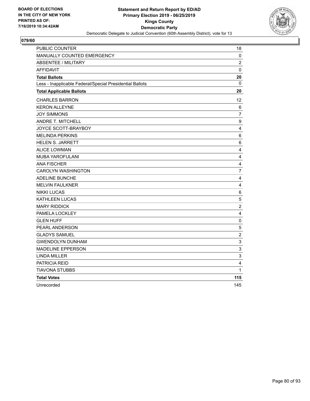

| <b>PUBLIC COUNTER</b>                                    | 18                      |
|----------------------------------------------------------|-------------------------|
| MANUALLY COUNTED EMERGENCY                               | 0                       |
| <b>ABSENTEE / MILITARY</b>                               | $\overline{2}$          |
| <b>AFFIDAVIT</b>                                         | $\mathbf 0$             |
| <b>Total Ballots</b>                                     | 20                      |
| Less - Inapplicable Federal/Special Presidential Ballots | 0                       |
| <b>Total Applicable Ballots</b>                          | 20                      |
| <b>CHARLES BARRON</b>                                    | 12 <sup>2</sup>         |
| <b>KERON ALLEYNE</b>                                     | 6                       |
| <b>JOY SIMMONS</b>                                       | 7                       |
| ANDRE T. MITCHELL                                        | 9                       |
| JOYCE SCOTT-BRAYBOY                                      | $\overline{4}$          |
| <b>MELINDA PERKINS</b>                                   | 6                       |
| <b>HELEN S. JARRETT</b>                                  | 6                       |
| <b>ALICE LOWMAN</b>                                      | $\overline{\mathbf{4}}$ |
| MUBA YAROFULANI                                          | $\overline{4}$          |
| <b>ANA FISCHER</b>                                       | 4                       |
| <b>CAROLYN WASHINGTON</b>                                | $\overline{7}$          |
| ADELINE BUNCHE                                           | $\overline{4}$          |
| <b>MELVIN FAULKNER</b>                                   | $\overline{\mathbf{4}}$ |
| <b>NIKKI LUCAS</b>                                       | $\,6$                   |
| <b>KATHLEEN LUCAS</b>                                    | $\mathbf 5$             |
| <b>MARY RIDDICK</b>                                      | $\sqrt{2}$              |
| PAMELA LOCKLEY                                           | 4                       |
| <b>GLEN HUFF</b>                                         | $\mathbf 0$             |
| PEARL ANDERSON                                           | 5                       |
| <b>GLADYS SAMUEL</b>                                     | $\overline{c}$          |
| <b>GWENDOLYN DUNHAM</b>                                  | 3                       |
| <b>MADELINE EPPERSON</b>                                 | 3                       |
| <b>LINDA MILLER</b>                                      | 3                       |
| PATRICIA REID                                            | 4                       |
| <b>TIAVONA STUBBS</b>                                    | 1                       |
| <b>Total Votes</b>                                       | 115                     |
| Unrecorded                                               | 145                     |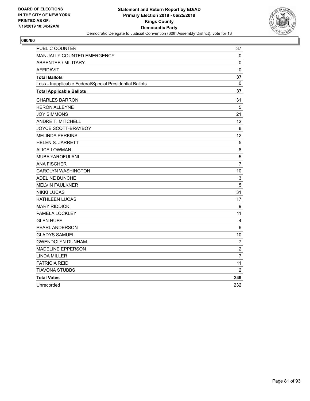

| PUBLIC COUNTER                                           | 37             |
|----------------------------------------------------------|----------------|
| MANUALLY COUNTED EMERGENCY                               | 0              |
| <b>ABSENTEE / MILITARY</b>                               | 0              |
| <b>AFFIDAVIT</b>                                         | 0              |
| <b>Total Ballots</b>                                     | 37             |
| Less - Inapplicable Federal/Special Presidential Ballots | 0              |
| <b>Total Applicable Ballots</b>                          | 37             |
| <b>CHARLES BARRON</b>                                    | 31             |
| <b>KERON ALLEYNE</b>                                     | 5              |
| <b>JOY SIMMONS</b>                                       | 21             |
| ANDRE T. MITCHELL                                        | 12             |
| JOYCE SCOTT-BRAYBOY                                      | 8              |
| <b>MELINDA PERKINS</b>                                   | 12             |
| <b>HELEN S. JARRETT</b>                                  | 5              |
| <b>ALICE LOWMAN</b>                                      | 8              |
| <b>MUBA YAROFULANI</b>                                   | 5              |
| <b>ANA FISCHER</b>                                       | $\overline{7}$ |
| <b>CAROLYN WASHINGTON</b>                                | 10             |
| <b>ADELINE BUNCHE</b>                                    | 3              |
| <b>MELVIN FAULKNER</b>                                   | 5              |
| <b>NIKKI LUCAS</b>                                       | 31             |
| KATHLEEN LUCAS                                           | 17             |
| <b>MARY RIDDICK</b>                                      | 9              |
| PAMELA LOCKLEY                                           | 11             |
| <b>GLEN HUFF</b>                                         | 4              |
| PEARL ANDERSON                                           | 6              |
| <b>GLADYS SAMUEL</b>                                     | 10             |
| <b>GWENDOLYN DUNHAM</b>                                  | 7              |
| <b>MADELINE EPPERSON</b>                                 | $\overline{2}$ |
| <b>LINDA MILLER</b>                                      | $\overline{7}$ |
| PATRICIA REID                                            | 11             |
| TIAVONA STUBBS                                           | 2              |
| <b>Total Votes</b>                                       | 249            |
| Unrecorded                                               | 232            |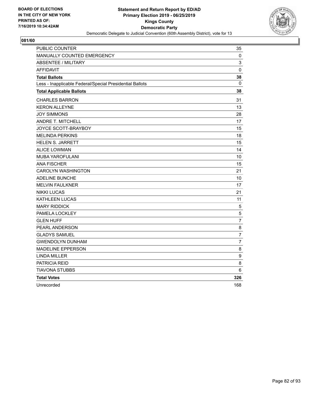

| <b>PUBLIC COUNTER</b>                                    | 35             |
|----------------------------------------------------------|----------------|
| <b>MANUALLY COUNTED EMERGENCY</b>                        | 0              |
| <b>ABSENTEE / MILITARY</b>                               | 3              |
| <b>AFFIDAVIT</b>                                         | $\mathbf 0$    |
| <b>Total Ballots</b>                                     | 38             |
| Less - Inapplicable Federal/Special Presidential Ballots | 0              |
| <b>Total Applicable Ballots</b>                          | 38             |
| <b>CHARLES BARRON</b>                                    | 31             |
| <b>KERON ALLEYNE</b>                                     | 13             |
| <b>JOY SIMMONS</b>                                       | 28             |
| ANDRE T. MITCHELL                                        | 17             |
| JOYCE SCOTT-BRAYBOY                                      | 15             |
| <b>MELINDA PERKINS</b>                                   | 18             |
| <b>HELEN S. JARRETT</b>                                  | 15             |
| <b>ALICE LOWMAN</b>                                      | 14             |
| MUBA YAROFULANI                                          | 10             |
| <b>ANA FISCHER</b>                                       | 15             |
| <b>CAROLYN WASHINGTON</b>                                | 21             |
| ADELINE BUNCHE                                           | 10             |
| <b>MELVIN FAULKNER</b>                                   | 17             |
| <b>NIKKI LUCAS</b>                                       | 21             |
| <b>KATHLEEN LUCAS</b>                                    | 11             |
| <b>MARY RIDDICK</b>                                      | $\sqrt{5}$     |
| PAMELA LOCKLEY                                           | 5              |
| <b>GLEN HUFF</b>                                         | $\overline{7}$ |
| PEARL ANDERSON                                           | 8              |
| <b>GLADYS SAMUEL</b>                                     | $\overline{7}$ |
| <b>GWENDOLYN DUNHAM</b>                                  | 7              |
| <b>MADELINE EPPERSON</b>                                 | 8              |
| <b>LINDA MILLER</b>                                      | 9              |
| PATRICIA REID                                            | 8              |
| <b>TIAVONA STUBBS</b>                                    | 6              |
| <b>Total Votes</b>                                       | 326            |
| Unrecorded                                               | 168            |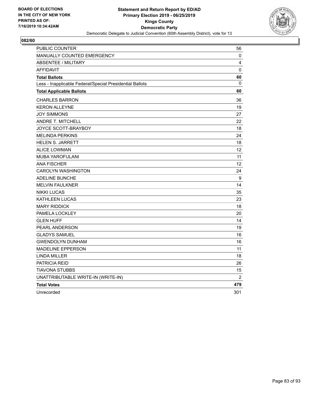

| PUBLIC COUNTER                                           | 56                |
|----------------------------------------------------------|-------------------|
| <b>MANUALLY COUNTED EMERGENCY</b>                        | 0                 |
| <b>ABSENTEE / MILITARY</b>                               | 4                 |
| <b>AFFIDAVIT</b>                                         | 0                 |
| <b>Total Ballots</b>                                     | 60                |
| Less - Inapplicable Federal/Special Presidential Ballots | 0                 |
| <b>Total Applicable Ballots</b>                          | 60                |
| <b>CHARLES BARRON</b>                                    | 36                |
| <b>KERON ALLEYNE</b>                                     | 19                |
| <b>JOY SIMMONS</b>                                       | 27                |
| ANDRE T. MITCHELL                                        | 22                |
| JOYCE SCOTT-BRAYBOY                                      | 18                |
| <b>MELINDA PERKINS</b>                                   | 24                |
| HELEN S. JARRETT                                         | 18                |
| <b>ALICE LOWMAN</b>                                      | $12 \overline{ }$ |
| <b>MUBA YAROFULANI</b>                                   | 11                |
| <b>ANA FISCHER</b>                                       | $12 \overline{ }$ |
| <b>CAROLYN WASHINGTON</b>                                | 24                |
| <b>ADELINE BUNCHE</b>                                    | $\boldsymbol{9}$  |
| <b>MELVIN FAULKNER</b>                                   | 14                |
| <b>NIKKI LUCAS</b>                                       | 35                |
| <b>KATHLEEN LUCAS</b>                                    | 23                |
| <b>MARY RIDDICK</b>                                      | 18                |
| PAMELA LOCKLEY                                           | 20                |
| <b>GLEN HUFF</b>                                         | 14                |
| PEARL ANDERSON                                           | 19                |
| <b>GLADYS SAMUEL</b>                                     | 16                |
| <b>GWENDOLYN DUNHAM</b>                                  | 16                |
| MADELINE EPPERSON                                        | 11                |
| <b>LINDA MILLER</b>                                      | 18                |
| PATRICIA REID                                            | 26                |
| TIAVONA STUBBS                                           | 15                |
| UNATTRIBUTABLE WRITE-IN (WRITE-IN)                       | $\overline{2}$    |
| <b>Total Votes</b>                                       | 479               |
| Unrecorded                                               | 301               |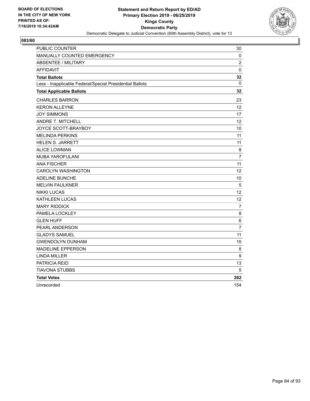

| <b>PUBLIC COUNTER</b>                                    | 30                |
|----------------------------------------------------------|-------------------|
| <b>MANUALLY COUNTED EMERGENCY</b>                        | 0                 |
| <b>ABSENTEE / MILITARY</b>                               | $\overline{2}$    |
| <b>AFFIDAVIT</b>                                         | $\mathbf 0$       |
| <b>Total Ballots</b>                                     | 32                |
| Less - Inapplicable Federal/Special Presidential Ballots | 0                 |
| <b>Total Applicable Ballots</b>                          | 32                |
| <b>CHARLES BARRON</b>                                    | 23                |
| <b>KERON ALLEYNE</b>                                     | $12 \overline{ }$ |
| <b>JOY SIMMONS</b>                                       | 17                |
| ANDRE T. MITCHELL                                        | 12 <sup>2</sup>   |
| JOYCE SCOTT-BRAYBOY                                      | 10                |
| <b>MELINDA PERKINS</b>                                   | 11                |
| <b>HELEN S. JARRETT</b>                                  | 11                |
| <b>ALICE LOWMAN</b>                                      | 8                 |
| MUBA YAROFULANI                                          | $\overline{7}$    |
| <b>ANA FISCHER</b>                                       | 11                |
| <b>CAROLYN WASHINGTON</b>                                | 12                |
| ADELINE BUNCHE                                           | 10                |
| <b>MELVIN FAULKNER</b>                                   | 5                 |
| <b>NIKKI LUCAS</b>                                       | 12                |
| <b>KATHLEEN LUCAS</b>                                    | 12                |
| <b>MARY RIDDICK</b>                                      | $\overline{7}$    |
| PAMELA LOCKLEY                                           | 8                 |
| <b>GLEN HUFF</b>                                         | 6                 |
| PEARL ANDERSON                                           | $\overline{7}$    |
| <b>GLADYS SAMUEL</b>                                     | 11                |
| <b>GWENDOLYN DUNHAM</b>                                  | 15                |
| <b>MADELINE EPPERSON</b>                                 | 8                 |
| <b>LINDA MILLER</b>                                      | 9                 |
| PATRICIA REID                                            | 13                |
| <b>TIAVONA STUBBS</b>                                    | 5                 |
| <b>Total Votes</b>                                       | 262               |
| Unrecorded                                               | 154               |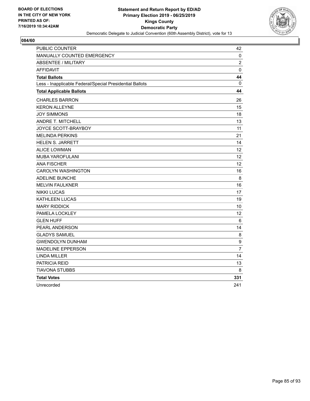

| <b>PUBLIC COUNTER</b>                                    | 42               |
|----------------------------------------------------------|------------------|
| MANUALLY COUNTED EMERGENCY                               | 0                |
| <b>ABSENTEE / MILITARY</b>                               | $\overline{c}$   |
| <b>AFFIDAVIT</b>                                         | $\mathbf 0$      |
| <b>Total Ballots</b>                                     | 44               |
| Less - Inapplicable Federal/Special Presidential Ballots | 0                |
| <b>Total Applicable Ballots</b>                          | 44               |
| <b>CHARLES BARRON</b>                                    | 26               |
| <b>KERON ALLEYNE</b>                                     | 15               |
| <b>JOY SIMMONS</b>                                       | 18               |
| <b>ANDRE T. MITCHELL</b>                                 | 13               |
| JOYCE SCOTT-BRAYBOY                                      | 11               |
| <b>MELINDA PERKINS</b>                                   | 21               |
| <b>HELEN S. JARRETT</b>                                  | 14               |
| <b>ALICE LOWMAN</b>                                      | 12               |
| <b>MUBA YAROFULANI</b>                                   | 12 <sup>2</sup>  |
| <b>ANA FISCHER</b>                                       | 12               |
| <b>CAROLYN WASHINGTON</b>                                | 16               |
| <b>ADELINE BUNCHE</b>                                    | 8                |
| <b>MELVIN FAULKNER</b>                                   | 16               |
| <b>NIKKI LUCAS</b>                                       | 17               |
| <b>KATHLEEN LUCAS</b>                                    | 19               |
| <b>MARY RIDDICK</b>                                      | 10               |
| PAMELA LOCKLEY                                           | 12               |
| <b>GLEN HUFF</b>                                         | 6                |
| PEARL ANDERSON                                           | 14               |
| <b>GLADYS SAMUEL</b>                                     | 8                |
| <b>GWENDOLYN DUNHAM</b>                                  | $\boldsymbol{9}$ |
| <b>MADELINE EPPERSON</b>                                 | $\overline{7}$   |
| <b>LINDA MILLER</b>                                      | 14               |
| PATRICIA REID                                            | 13               |
| <b>TIAVONA STUBBS</b>                                    | 8                |
| <b>Total Votes</b>                                       | 331              |
| Unrecorded                                               | 241              |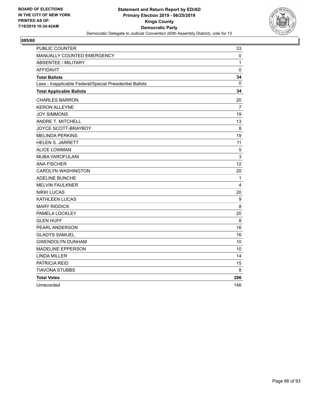

| <b>PUBLIC COUNTER</b>                                    | 33           |
|----------------------------------------------------------|--------------|
| MANUALLY COUNTED EMERGENCY                               | 0            |
| <b>ABSENTEE / MILITARY</b>                               | $\mathbf{1}$ |
| <b>AFFIDAVIT</b>                                         | $\pmb{0}$    |
| <b>Total Ballots</b>                                     | 34           |
| Less - Inapplicable Federal/Special Presidential Ballots | 0            |
| <b>Total Applicable Ballots</b>                          | 34           |
| <b>CHARLES BARRON</b>                                    | 20           |
| <b>KERON ALLEYNE</b>                                     | 7            |
| <b>JOY SIMMONS</b>                                       | 19           |
| <b>ANDRE T. MITCHELL</b>                                 | 13           |
| JOYCE SCOTT-BRAYBOY                                      | 8            |
| <b>MELINDA PERKINS</b>                                   | 19           |
| <b>HELEN S. JARRETT</b>                                  | 11           |
| <b>ALICE LOWMAN</b>                                      | 5            |
| <b>MUBA YAROFULANI</b>                                   | 3            |
| <b>ANA FISCHER</b>                                       | 12           |
| <b>CAROLYN WASHINGTON</b>                                | 20           |
| <b>ADELINE BUNCHE</b>                                    | 1            |
| <b>MELVIN FAULKNER</b>                                   | 4            |
| <b>NIKKI LUCAS</b>                                       | 20           |
| KATHLEEN LUCAS                                           | 9            |
| <b>MARY RIDDICK</b>                                      | 8            |
| PAMELA LOCKLEY                                           | 20           |
| <b>GLEN HUFF</b>                                         | 8            |
| PEARL ANDERSON                                           | 16           |
| <b>GLADYS SAMUEL</b>                                     | 16           |
| <b>GWENDOLYN DUNHAM</b>                                  | 10           |
| <b>MADELINE EPPERSON</b>                                 | 10           |
| <b>LINDA MILLER</b>                                      | 14           |
| PATRICIA REID                                            | 15           |
| TIAVONA STUBBS                                           | 8            |
| <b>Total Votes</b>                                       | 296          |
| Unrecorded                                               | 146          |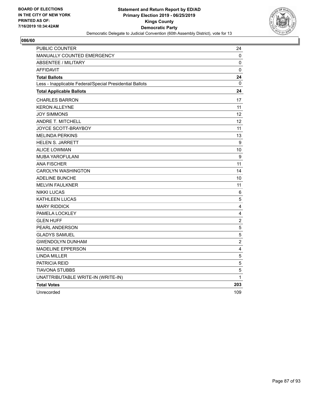

| PUBLIC COUNTER                                           | 24                      |
|----------------------------------------------------------|-------------------------|
| MANUALLY COUNTED EMERGENCY                               | 0                       |
| <b>ABSENTEE / MILITARY</b>                               | 0                       |
| <b>AFFIDAVIT</b>                                         | 0                       |
| <b>Total Ballots</b>                                     | 24                      |
| Less - Inapplicable Federal/Special Presidential Ballots | 0                       |
| <b>Total Applicable Ballots</b>                          | 24                      |
| <b>CHARLES BARRON</b>                                    | 17                      |
| <b>KERON ALLEYNE</b>                                     | 11                      |
| <b>JOY SIMMONS</b>                                       | 12                      |
| ANDRE T. MITCHELL                                        | 12                      |
| JOYCE SCOTT-BRAYBOY                                      | 11                      |
| <b>MELINDA PERKINS</b>                                   | 13                      |
| HELEN S. JARRETT                                         | 9                       |
| <b>ALICE LOWMAN</b>                                      | 10                      |
| <b>MUBA YAROFULANI</b>                                   | 9                       |
| <b>ANA FISCHER</b>                                       | 11                      |
| <b>CAROLYN WASHINGTON</b>                                | 14                      |
| <b>ADELINE BUNCHE</b>                                    | 10                      |
| <b>MELVIN FAULKNER</b>                                   | 11                      |
| <b>NIKKI LUCAS</b>                                       | 6                       |
| <b>KATHLEEN LUCAS</b>                                    | 5                       |
| <b>MARY RIDDICK</b>                                      | $\overline{4}$          |
| PAMELA LOCKLEY                                           | 4                       |
| <b>GLEN HUFF</b>                                         | $\overline{c}$          |
| PEARL ANDERSON                                           | 5                       |
| <b>GLADYS SAMUEL</b>                                     | 5                       |
| <b>GWENDOLYN DUNHAM</b>                                  | $\overline{\mathbf{c}}$ |
| MADELINE EPPERSON                                        | 4                       |
| <b>LINDA MILLER</b>                                      | 5                       |
| PATRICIA REID                                            | 5                       |
| TIAVONA STUBBS                                           | 5                       |
| UNATTRIBUTABLE WRITE-IN (WRITE-IN)                       | $\mathbf{1}$            |
| <b>Total Votes</b>                                       | 203                     |
| Unrecorded                                               | 109                     |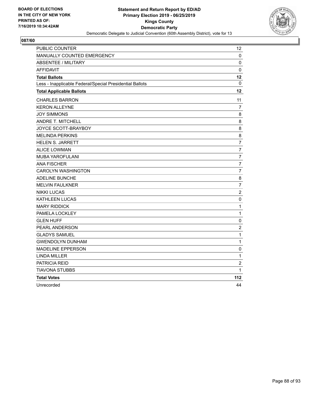

| <b>PUBLIC COUNTER</b>                                    | $12 \overline{ }$ |
|----------------------------------------------------------|-------------------|
| MANUALLY COUNTED EMERGENCY                               | 0                 |
| <b>ABSENTEE / MILITARY</b>                               | 0                 |
| <b>AFFIDAVIT</b>                                         | 0                 |
| <b>Total Ballots</b>                                     | 12                |
| Less - Inapplicable Federal/Special Presidential Ballots | 0                 |
| <b>Total Applicable Ballots</b>                          | 12                |
| <b>CHARLES BARRON</b>                                    | 11                |
| <b>KERON ALLEYNE</b>                                     | 7                 |
| <b>JOY SIMMONS</b>                                       | 8                 |
| <b>ANDRE T. MITCHELL</b>                                 | 8                 |
| JOYCE SCOTT-BRAYBOY                                      | 8                 |
| <b>MELINDA PERKINS</b>                                   | 8                 |
| <b>HELEN S. JARRETT</b>                                  | $\overline{7}$    |
| <b>ALICE LOWMAN</b>                                      | $\overline{7}$    |
| MUBA YAROFULANI                                          | $\overline{7}$    |
| <b>ANA FISCHER</b>                                       | 7                 |
| <b>CAROLYN WASHINGTON</b>                                | $\overline{7}$    |
| ADELINE BUNCHE                                           | 8                 |
| <b>MELVIN FAULKNER</b>                                   | $\overline{7}$    |
| <b>NIKKI LUCAS</b>                                       | $\boldsymbol{2}$  |
| <b>KATHLEEN LUCAS</b>                                    | 0                 |
| <b>MARY RIDDICK</b>                                      | $\mathbf{1}$      |
| PAMELA LOCKLEY                                           | $\mathbf 1$       |
| <b>GLEN HUFF</b>                                         | $\mathbf 0$       |
| <b>PEARL ANDERSON</b>                                    | $\overline{c}$    |
| <b>GLADYS SAMUEL</b>                                     | $\mathbf{1}$      |
| <b>GWENDOLYN DUNHAM</b>                                  | 1                 |
| <b>MADELINE EPPERSON</b>                                 | 0                 |
| <b>LINDA MILLER</b>                                      | $\mathbf 1$       |
| PATRICIA REID                                            | $\overline{2}$    |
| <b>TIAVONA STUBBS</b>                                    | 1                 |
| <b>Total Votes</b>                                       | 112               |
| Unrecorded                                               | 44                |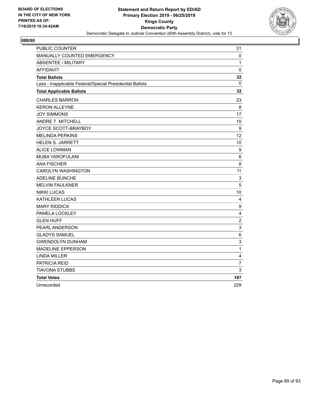

| <b>PUBLIC COUNTER</b>                                    | 31                      |
|----------------------------------------------------------|-------------------------|
| <b>MANUALLY COUNTED EMERGENCY</b>                        | 0                       |
| <b>ABSENTEE / MILITARY</b>                               | 1                       |
| <b>AFFIDAVIT</b>                                         | $\mathbf 0$             |
| <b>Total Ballots</b>                                     | 32                      |
| Less - Inapplicable Federal/Special Presidential Ballots | 0                       |
| <b>Total Applicable Ballots</b>                          | 32                      |
| <b>CHARLES BARRON</b>                                    | 23                      |
| <b>KERON ALLEYNE</b>                                     | 8                       |
| <b>JOY SIMMONS</b>                                       | 17                      |
| ANDRE T. MITCHELL                                        | 10                      |
| JOYCE SCOTT-BRAYBOY                                      | 9                       |
| <b>MELINDA PERKINS</b>                                   | 12                      |
| <b>HELEN S. JARRETT</b>                                  | 10                      |
| <b>ALICE LOWMAN</b>                                      | 9                       |
| MUBA YAROFULANI                                          | 6                       |
| <b>ANA FISCHER</b>                                       | 8                       |
| <b>CAROLYN WASHINGTON</b>                                | 11                      |
| ADELINE BUNCHE                                           | 3                       |
| <b>MELVIN FAULKNER</b>                                   | 5                       |
| <b>NIKKI LUCAS</b>                                       | 10                      |
| <b>KATHLEEN LUCAS</b>                                    | 4                       |
| <b>MARY RIDDICK</b>                                      | $\boldsymbol{9}$        |
| PAMELA LOCKLEY                                           | 4                       |
| <b>GLEN HUFF</b>                                         | $\overline{2}$          |
| PEARL ANDERSON                                           | 3                       |
| <b>GLADYS SAMUEL</b>                                     | 6                       |
| <b>GWENDOLYN DUNHAM</b>                                  | 3                       |
| <b>MADELINE EPPERSON</b>                                 | 1                       |
| <b>LINDA MILLER</b>                                      | $\overline{\mathbf{4}}$ |
| PATRICIA REID                                            | $\overline{7}$          |
| <b>TIAVONA STUBBS</b>                                    | 3                       |
| <b>Total Votes</b>                                       | 187                     |
| Unrecorded                                               | 229                     |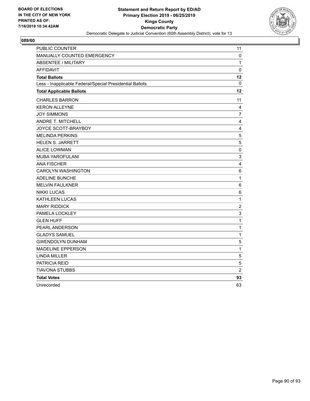

| PUBLIC COUNTER                                           | 11             |
|----------------------------------------------------------|----------------|
| MANUALLY COUNTED EMERGENCY                               | 0              |
| <b>ABSENTEE / MILITARY</b>                               | 1              |
| <b>AFFIDAVIT</b>                                         | $\mathbf 0$    |
| <b>Total Ballots</b>                                     | 12             |
| Less - Inapplicable Federal/Special Presidential Ballots | $\mathbf{0}$   |
| <b>Total Applicable Ballots</b>                          | 12             |
| <b>CHARLES BARRON</b>                                    | 11             |
| <b>KERON ALLEYNE</b>                                     | 4              |
| <b>JOY SIMMONS</b>                                       | $\overline{7}$ |
| ANDRE T. MITCHELL                                        | 4              |
| JOYCE SCOTT-BRAYBOY                                      | 4              |
| <b>MELINDA PERKINS</b>                                   | $\sqrt{5}$     |
| <b>HELEN S. JARRETT</b>                                  | 5              |
| <b>ALICE LOWMAN</b>                                      | $\mathbf 0$    |
| MUBA YAROFULANI                                          | 3              |
| <b>ANA FISCHER</b>                                       | 4              |
| <b>CAROLYN WASHINGTON</b>                                | 6              |
| <b>ADELINE BUNCHE</b>                                    | $\mathbf{1}$   |
| <b>MELVIN FAULKNER</b>                                   | 6              |
| <b>NIKKI LUCAS</b>                                       | 6              |
| KATHLEEN LUCAS                                           | 1              |
| <b>MARY RIDDICK</b>                                      | $\overline{c}$ |
| PAMELA LOCKLEY                                           | 3              |
| <b>GLEN HUFF</b>                                         | $\mathbf 1$    |
| PEARL ANDERSON                                           | $\mathbf{1}$   |
| <b>GLADYS SAMUEL</b>                                     | $\mathbf 1$    |
| <b>GWENDOLYN DUNHAM</b>                                  | 5              |
| <b>MADELINE EPPERSON</b>                                 | 1              |
| <b>LINDA MILLER</b>                                      | 5              |
| PATRICIA REID                                            | 5              |
| TIAVONA STUBBS                                           | $\overline{2}$ |
| <b>Total Votes</b>                                       | 93             |
| Unrecorded                                               | 63             |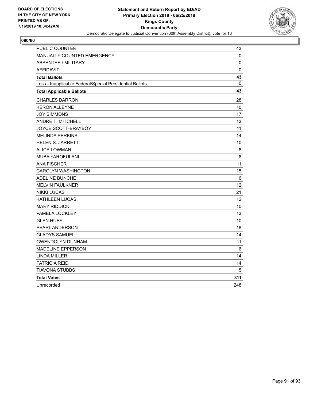

| <b>PUBLIC COUNTER</b>                                    | 43              |
|----------------------------------------------------------|-----------------|
| MANUALLY COUNTED EMERGENCY                               | 0               |
| <b>ABSENTEE / MILITARY</b>                               | 0               |
| <b>AFFIDAVIT</b>                                         | $\mathbf 0$     |
| <b>Total Ballots</b>                                     | 43              |
| Less - Inapplicable Federal/Special Presidential Ballots | 0               |
| <b>Total Applicable Ballots</b>                          | 43              |
| <b>CHARLES BARRON</b>                                    | 28              |
| <b>KERON ALLEYNE</b>                                     | 10              |
| <b>JOY SIMMONS</b>                                       | 17              |
| <b>ANDRE T. MITCHELL</b>                                 | 13              |
| JOYCE SCOTT-BRAYBOY                                      | 11              |
| <b>MELINDA PERKINS</b>                                   | 14              |
| <b>HELEN S. JARRETT</b>                                  | 10              |
| <b>ALICE LOWMAN</b>                                      | 8               |
| <b>MUBA YAROFULANI</b>                                   | $\,8\,$         |
| <b>ANA FISCHER</b>                                       | 11              |
| <b>CAROLYN WASHINGTON</b>                                | 15              |
| <b>ADELINE BUNCHE</b>                                    | 6               |
| <b>MELVIN FAULKNER</b>                                   | 12              |
| <b>NIKKI LUCAS</b>                                       | 21              |
| <b>KATHLEEN LUCAS</b>                                    | 12 <sup>2</sup> |
| <b>MARY RIDDICK</b>                                      | 10              |
| PAMELA LOCKLEY                                           | 13              |
| <b>GLEN HUFF</b>                                         | 10              |
| PEARL ANDERSON                                           | 18              |
| <b>GLADYS SAMUEL</b>                                     | 14              |
| <b>GWENDOLYN DUNHAM</b>                                  | 11              |
| <b>MADELINE EPPERSON</b>                                 | 6               |
| <b>LINDA MILLER</b>                                      | 14              |
| PATRICIA REID                                            | 14              |
| <b>TIAVONA STUBBS</b>                                    | 5               |
| <b>Total Votes</b>                                       | 311             |
| Unrecorded                                               | 248             |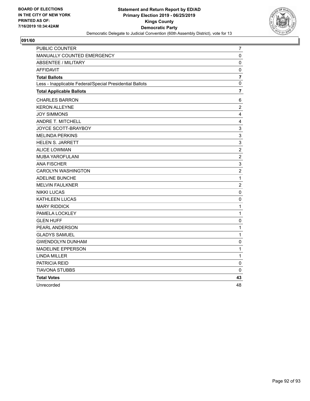

| PUBLIC COUNTER                                           | $\overline{7}$ |
|----------------------------------------------------------|----------------|
| MANUALLY COUNTED EMERGENCY                               | 0              |
| <b>ABSENTEE / MILITARY</b>                               | $\pmb{0}$      |
| <b>AFFIDAVIT</b>                                         | $\pmb{0}$      |
| <b>Total Ballots</b>                                     | $\overline{7}$ |
| Less - Inapplicable Federal/Special Presidential Ballots | 0              |
| <b>Total Applicable Ballots</b>                          | 7              |
| <b>CHARLES BARRON</b>                                    | 6              |
| <b>KERON ALLEYNE</b>                                     | $\overline{2}$ |
| <b>JOY SIMMONS</b>                                       | 4              |
| ANDRE T. MITCHELL                                        | 4              |
| JOYCE SCOTT-BRAYBOY                                      | $\mathsf 3$    |
| <b>MELINDA PERKINS</b>                                   | 3              |
| <b>HELEN S. JARRETT</b>                                  | 3              |
| <b>ALICE LOWMAN</b>                                      | $\overline{c}$ |
| MUBA YAROFULANI                                          | $\overline{c}$ |
| <b>ANA FISCHER</b>                                       | 3              |
| <b>CAROLYN WASHINGTON</b>                                | $\overline{c}$ |
| <b>ADELINE BUNCHE</b>                                    | $\mathbf{1}$   |
| <b>MELVIN FAULKNER</b>                                   | $\overline{c}$ |
| <b>NIKKI LUCAS</b>                                       | 0              |
| KATHLEEN LUCAS                                           | 0              |
| <b>MARY RIDDICK</b>                                      | $\mathbf{1}$   |
| PAMELA LOCKLEY                                           | 1              |
| <b>GLEN HUFF</b>                                         | $\pmb{0}$      |
| PEARL ANDERSON                                           | $\mathbf{1}$   |
| <b>GLADYS SAMUEL</b>                                     | $\mathbf{1}$   |
| <b>GWENDOLYN DUNHAM</b>                                  | 0              |
| <b>MADELINE EPPERSON</b>                                 | 1              |
| <b>LINDA MILLER</b>                                      | $\mathbf{1}$   |
| PATRICIA REID                                            | $\mathbf 0$    |
| TIAVONA STUBBS                                           | 0              |
| <b>Total Votes</b>                                       | 43             |
| Unrecorded                                               | 48             |